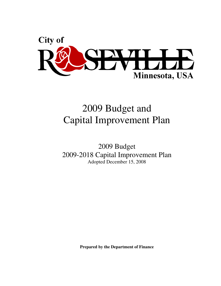

# 2009 Budget and Capital Improvement Plan

2009 Budget 2009-2018 Capital Improvement Plan Adopted December 15, 2008

**Prepared by the Department of Finance**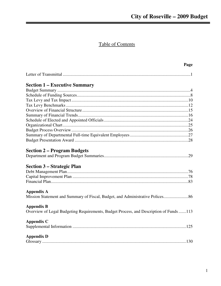# **Table of Contents**

|                                                                                       | Page |
|---------------------------------------------------------------------------------------|------|
|                                                                                       |      |
| <b>Section 1 – Executive Summary</b>                                                  |      |
|                                                                                       |      |
|                                                                                       |      |
|                                                                                       |      |
|                                                                                       |      |
|                                                                                       |      |
|                                                                                       |      |
|                                                                                       |      |
|                                                                                       |      |
|                                                                                       |      |
|                                                                                       |      |
|                                                                                       |      |
| <b>Section 2 – Program Budgets</b>                                                    |      |
|                                                                                       |      |
| <b>Section 3 – Strategic Plan</b>                                                     |      |
|                                                                                       |      |
|                                                                                       |      |
|                                                                                       |      |
| Appendix A                                                                            |      |
| Mission Statement and Summary of Fiscal, Budget, and Administrative Polices           |      |
| <b>Appendix B</b>                                                                     |      |
| Overview of Legal Budgeting Requirements, Budget Process, and Description of Funds113 |      |
| <b>Appendix C</b>                                                                     |      |
|                                                                                       |      |
| <b>Appendix D</b>                                                                     |      |
|                                                                                       |      |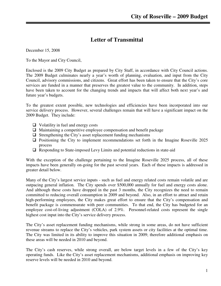### **Letter of Transmittal**

December 15, 2008

To the Mayor and City Council,

Enclosed is the 2009 City Budget as prepared by City Staff, in accordance with City Council actions. The 2009 Budget culminates nearly a year's worth of planning, evaluation, and input from the City Council, advisory commissions, and citizens. Great effort has been taken to ensure that the City's core services are funded in a manner that preserves the greatest value to the community. In addition, steps have been taken to account for the changing trends and impacts that will affect both next year's and future year's budgets.

To the greatest extent possible, new technologies and efficiencies have been incorporated into our service delivery process. However, several challenges remain that will have a significant impact on the 2009 Budget. They include:

- $\Box$  Volatility in fuel and energy costs
- $\Box$  Maintaining a competitive employee compensation and benefit package
- $\Box$  Strengthening the City's asset replacement funding mechanisms
- $\Box$  Positioning the City to implement recommendations set forth in the Imagine Roseville 2025 process
- $\Box$  Responding to State-imposed Levy Limits and potential reductions in state-aid

With the exception of the challenge pertaining to the Imagine Roseville 2025 process, all of these impacts have been generally on-going for the past several years. Each of these impacts is addressed in greater detail below.

Many of the City's largest service inputs - such as fuel and energy related costs remain volatile and are outpacing general inflation. The City spends over \$500,000 annually for fuel and energy costs alone. And although these costs have dropped in the past 3 months, the City recognizes the need to remain committed to reducing overall consumption in 2009 and beyond. Also, in an effort to attract and retain high-performing employees, the City makes great effort to ensure that the City's compensation and benefit package is commensurate with peer communities. To that end, the City has budgeted for an employee cost-of-living adjustment (COLA) of 2.9%. Personnel-related costs represent the single highest cost input into the City's service delivery process.

The City's asset replacement funding mechanisms, while strong in some areas, do not have sufficient revenue streams to replace the City's vehicles, park system assets or city facilities at the optimal time. The City was limited in its ability to improve this situation in 2009; therefore additional emphasis on these areas will be needed in 2010 and beyond.

The City's cash reserves, while strong overall, are below target levels in a few of the City's key operating funds. Like the City's asset replacement mechanisms, additional emphasis on improving key reserve levels will be needed in 2010 and beyond.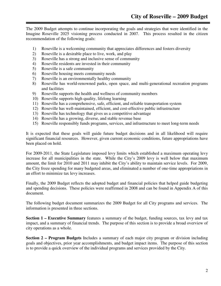The 2009 Budget attempts to continue incorporating the goals and strategies that were identified in the Imagine Roseville 2025 visioning process conducted in 2007. This process resulted in the citizen recommendation of the following goals:

- 1) Roseville is a welcoming community that appreciates differences and fosters diversity
- 2) Roseville is a desirable place to live, work, and play
- 3) Roseville has a strong and inclusive sense of community
- 4) Roseville residents are invested in their community
- 5) Roseville is a safe community
- 6) Roseville housing meets community needs
- 7) Roseville is an environmentally healthy community
- 8) Roseville has world-renowned parks, open space, and multi-generational recreation programs and facilities
- 9) Roseville supports the health and wellness of community members
- 10) Roseville supports high quality, lifelong learning
- 11) Roseville has a comprehensive, safe, efficient, and reliable transportation system
- 12) Roseville has well-maintained, efficient, and cost-effective public infrastructure
- 13) Roseville has technology that gives us a competitive advantage
- 14) Roseville has a growing, diverse, and stable revenue base
- 15) Roseville responsibly funds programs, services, and infrastructure to meet long-term needs

It is expected that these goals will guide future budget decisions and in all likelihood will require significant financial resources. However, given current economic conditions, future appropriations have been placed on hold.

For 2009-2011, the State Legislature imposed levy limits which established a maximum operating levy increase for all municipalities in the state. While the City's 2009 levy is well below that maximum amount, the limit for 2010 and 2011 may inhibit the City's ability to maintain service levels. For 2009, the City froze spending for many budgeted areas, and eliminated a number of one-time appropriations in an effort to minimize tax levy increases.

Finally, the 2009 Budget reflects the adopted budget and financial policies that helped guide budgeting and spending decisions. These policies were reaffirmed in 2008 and can be found in Appendix A of this document.

The following budget document summarizes the 2009 Budget for all City programs and services. The information is presented in three sections.

**Section 1 – Executive Summary** features a summary of the budget, funding sources, tax levy and tax impact, and a summary of financial trends. The purpose of this section is to provide a broad overview of city operations as a whole.

**Section 2 – Program Budgets** Includes a summary of each major city program or division including goals and objectives, prior year accomplishments, and budget impact items. The purpose of this section is to provide a quick overview of the individual programs and services provided by the City.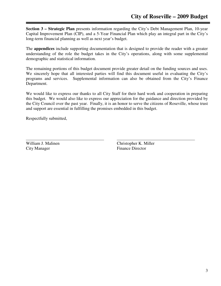**Section 3 – Strategic Plan** presents information regarding the City's Debt Management Plan, 10-year Capital Improvement Plan (CIP), and a 5-Year Financial Plan which play an integral part in the City's long-term financial planning as well as next year's budget.

The **appendices** include supporting documentation that is designed to provide the reader with a greater understanding of the role the budget takes in the City's operations, along with some supplemental demographic and statistical information.

The remaining portions of this budget document provide greater detail on the funding sources and uses. We sincerely hope that all interested parties will find this document useful in evaluating the City's programs and services. Supplemental information can also be obtained from the City's Finance Department.

We would like to express our thanks to all City Staff for their hard work and cooperation in preparing this budget. We would also like to express our appreciation for the guidance and direction provided by the City Council over the past year. Finally, it is an honor to serve the citizens of Roseville, whose trust and support are essential in fulfilling the promises embedded in this budget.

Respectfully submitted,

City Manager Finance Director

William J. Malinen Christopher K. Miller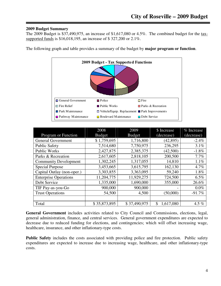#### **2009 Budget Summary**

The 2009 Budget is \$37,490,975, an increase of \$1,617,080 or 4.5%. The combined budget for the taxsupported funds is \$16,018,195, an increase of \$ 327,200 or 2.1%.

The following graph and table provides a summary of the budget by **major program or function**.



|                              | 2008          | 2009          | \$ Increase     | % Increase |
|------------------------------|---------------|---------------|-----------------|------------|
| Program or Function          | <b>Budget</b> | <b>Budget</b> | (decrease)      | (decrease) |
| <b>General Government</b>    | \$1,759,695   | 1,716,800     | (42, 895)       | $-2.4%$    |
| <b>Public Safety</b>         | 7,514,680     | 7,750,975     | 236,295         | 3.1%       |
| <b>Public Works</b>          | 2,427,875     | 2,385,375     | (42,500)        | $-1.8%$    |
| Parks & Recreation           | 2,617,605     | 2,818,105     | 200,500         | 7.7%       |
| <b>Community Development</b> | 1,302,245     | 1,317,055     | 14,810          | 1.1%       |
| <b>Special Purpose</b>       | 3,453,665     | 3,615,795     | 162,130         | 4.7%       |
| Capital Outlay (non-oper.)   | 3,303,855     | 3,363,095     | 59,240          | 1.8%       |
| <b>Enterprise Operations</b> | 11,204,775    | 11,929,275    | 724,500         | $6.5\%$    |
| Debt Service                 | 1,335,000     | 1,690,000     | 355,000         | 26.6%      |
| TIF Pay-as-you-Go            | 900,000       | 900,000       |                 | $0.0\%$    |
| <b>Trust Operations</b>      | 54,500        | 4,500         | (50,000)        | $-91.7%$   |
|                              |               |               |                 |            |
| Total                        | \$35,873,895  | \$37,490,975  | 1,617,080<br>\$ | 4.5 $%$    |

**General Government** includes activities related to City Council and Commissions, elections, legal, general administration, finance, and central services. General government expenditures are expected to decrease due to reduced funding for elections, and contingencies; which will offset increasing wage, healthcare, insurance, and other inflationary-type costs.

**Public Safety** includes the costs associated with providing police and fire protection. Public safety expenditures are expected to increase due to increasing wage, healthcare, and other inflationary-type costs.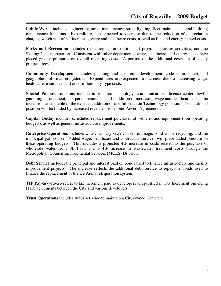**Public Works** includes engineering, street maintenance, street lighting, fleet maintenance, and building maintenance functions. Expenditures are expected to decrease due to the reduction of depreciation charges; which will offset increasing wage and healthcare costs, as well as fuel and energy-related costs.

Parks and Recreation includes recreation administration and programs, leisure activities, and the Skating Center operation. Consistent with other departments, wage, healthcare, and energy costs have placed greater pressures on overall operating costs. A portion of the additional costs are offset by program fees.

**Community Development** includes planning and economic development, code enforcement, and geographic information systems. Expenditures are expected to increase due to increasing wage, healthcare, insurance, and other inflationary-type costs.

**Special Purpose** functions include information technology, communications, license center, lawful gambling enforcement, and parks maintenance. In addition to increasing wage and healthcare costs, the increase is attributable to the expected addition of one Information Technology position. The additional position will be funded by increased revenues from Joint Powers Agreements.

**Capital Outlay** includes scheduled replacement purchases of vehicles and equipment (non-operating budgets), as well as general infrastructure improvements.

**Enterprise Operations** includes water, sanitary sewer, storm drainage, solid waste recycling, and the municipal golf course. Added wage, healthcare and contractual services will place added pressure on these operating budgets. This includes a projected 4% increase in costs related to the purchase of wholesale water from St. Paul, and a 4% increase in wastewater treatment costs through the Metropolitan Council Environmental Services (MCES) Division.

**Debt Service** includes the principal and interest paid on bonds used to finance infrastructure and facility improvement projects. The increase reflects the additional debt service to repay the bonds used to finance the replacement of the Ice Arena refrigeration system.

**TIF Pay-as-you-Go** refers to tax increment paid to developers as specified in Tax Increment Financing (TIF) agreements between the City and various developers.

**Trust Operations** includes funds set aside to maintain a City-owned Cemetery.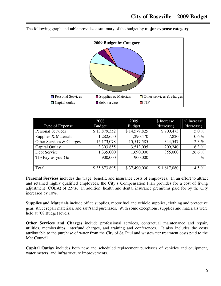

The following graph and table provides a summary of the budget by **major expense category**.

|                          | 2009<br>2008  |               | \$ Increase              | % Increase |  |
|--------------------------|---------------|---------------|--------------------------|------------|--|
| Type of Expense          | <b>Budget</b> | <b>Budget</b> | (decrease)               | (decrease) |  |
| <b>Personal Services</b> | \$13,879,352  | \$14,579,825  | \$700,473                | 5.0%       |  |
| Supplies & Materials     | 1,282,650     | 1,290,470     | 7,820                    | $0.6\%$    |  |
| Other Services & Charges | 15,173,078    | 15,517,585    | 344,547                  | 2.3%       |  |
| Capital Outlay           | 3,303,855     | 3,513,095     | 209,240                  | 6.3 $%$    |  |
| Debt Service             | 1,335,000     | 1,690,000     | 355,000                  | 26.6%      |  |
| TIF Pay-as-you-Go        | 900,000       | 900,000       | $\overline{\phantom{m}}$ | $-$ %      |  |
|                          |               |               |                          |            |  |
| Total                    | \$35,873,895  | \$37,490,000  | \$1,617,080              | 4.5 $%$    |  |

**Personal Services** includes the wage, benefit, and insurance costs of employees. In an effort to attract and retained highly qualified employees, the City's Compensation Plan provides for a cost of living adjustment (COLA) of 2.9%. In addition, health and dental insurance premiums paid for by the City increased by 10%.

**Supplies and Materials** include office supplies, motor fuel and vehicle supplies, clothing and protective gear, street repair materials, and salt/sand purchases. With some exceptions, supplies and materials were held at '08 Budget levels.

**Other Services and Charges** include professional services, contractual maintenance and repair, utilities, memberships, interfund charges, and training and conferences. It also includes the costs attributable to the purchase of water from the City of St. Paul and wastewater treatment costs paid to the Met Council.

**Capital Outlay** includes both new and scheduled replacement purchases of vehicles and equipment, water meters, and infrastructure improvements.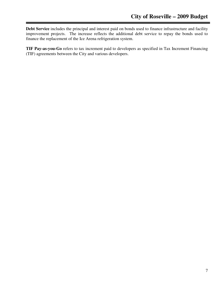**Debt Service** includes the principal and interest paid on bonds used to finance infrastructure and facility improvement projects. The increase reflects the additional debt service to repay the bonds used to finance the replacement of the Ice Arena refrigeration system.

**TIF Pay-as-you-Go** refers to tax increment paid to developers as specified in Tax Increment Financing (TIF) agreements between the City and various developers.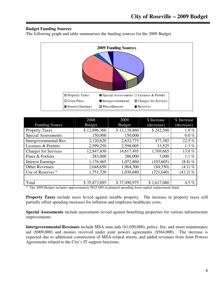#### **Budget Funding Sources**

The following graph and table summarizes the funding sources for the 2009 Budget.



|                             | 2008          | 2009          | \$ Increase | % Increase  |
|-----------------------------|---------------|---------------|-------------|-------------|
| <b>Funding Source</b>       | <b>Budget</b> | <b>Budget</b> | (decrease)  | (decrease)  |
| <b>Property Taxes</b>       | \$12,896,360  | \$13,138,860  | \$242,500   | 1.9%        |
| <b>Special Assessments</b>  | 150,000       | 150,000       |             | $0.0\%$     |
| Intergovernmental Rev.      | 2,120,620     | 2,632,775     | 477,385     | 22.5 %      |
| Licenses & Permits          | 2,599,250     | 2,598,005     | 33,525      | 1.3 $%$     |
| <b>Charges for Services</b> | 12,847,830    | 14,617,495    | 1,769,665   | 13.8%       |
| Fines & Forfeits            | 283,000       | 286,000       | 3,000       | 1.1 $%$     |
| <b>Interest Earnings</b>    | 1,176,465     | 1,072,860     | (103, 605)  | $(8.8) \%$  |
| <b>Other Revenues</b>       | 2,048,650     | 1,964,300     | (84,350)    | $(4.1) \%$  |
| Use of Reserves *           | 1,751,720     | 1,030,680     | (721, 040)  | $(41.2) \%$ |
|                             |               |               |             |             |
| Total                       | \$35,873,895  | \$37,490,975  | \$1,617,080 | 4.5 $%$     |

\* The 2009 Budget includes approximately \$825,000 in planned spending from capital replacement funds

**Property Taxes** include taxes levied against taxable property. The increase in property taxes will partially offset spending increases for inflation and employee healthcare costs.

**Special Assessments** include assessments levied against benefiting properties for various infrastructure improvements.

**Intergovernmental Revenues** include MSA state aids (\$1,050,000), police, fire, and street maintenance aid (\$909,000) and monies received under joint powers agreements (\$564,000). The increase is expected due to additional construction of MSA-related streets, and added revenues from Joint Powers Agreements related to the City's IT support functions.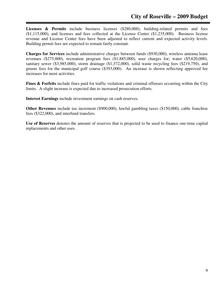Licenses & Permits include business licenses (\$280,000), building-related permits and fees (\$1,115,000), and licenses and fees collected at the License Center (\$1,235,000). Business license revenue and License Center fees have been adjusted to reflect current and expected activity levels. Building permit fees are expected to remain fairly constant.

**Charges for Services** include administrative charges between funds (\$930,000), wireless antenna lease revenues (\$275,000), recreation program fees (\$1,885,000), user charges for; water (\$5,620,000), sanitary sewer (\$3,985,000), storm drainage (\$1,372,000), solid waste recycling fees (\$219,750), and greens fees for the municipal golf course (\$393,000). An increase is shown reflecting approved fee increases for most activities.

**Fines & Forfeits** include fines paid for traffic violations and criminal offenses occurring within the City limits. A slight increase is expected due to increased prosecution efforts.

**Interest Earnings** include investment earnings on cash reserves.

**Other Revenues** include tax increment (\$900,000), lawful gambling taxes (\$150,000), cable franchise fees (\$322,000), and interfund transfers.

**Use of Reserves** denotes the amount of reserves that is projected to be used to finance one-time capital replacements and other uses.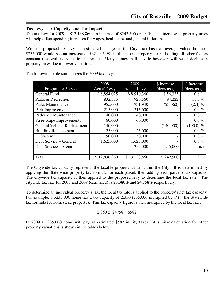#### **Tax Levy, Tax Capacity, and Tax Impact**

The tax levy for 2009 is \$13,138,860, an increase of \$242,500 or 1.9%. The increase in property taxes will help offset spending increases for wages, healthcare, and general inflation.

With the proposed tax levy and estimated changes in the City's tax base, an average-valued home of \$235,000 would see an increase of \$32 or 5.9% in their local property taxes, holding all other factors constant (i.e. with no valuation increase). Many homes in Roseville however, will see a decline in property taxes due to lower valuations.

|                                 | 2008               | 2009               | \$ Increase              | % Increase   |
|---------------------------------|--------------------|--------------------|--------------------------|--------------|
| Program or Service              | <b>Actual Levy</b> | <b>Actual Levy</b> | (decrease)               | (decrease)   |
| General Fund                    | \$8,854,025        | \$8,910,360        | \$56,335                 | $0.6\%$      |
| Parks & Recreation              | 832,335            | 926,560            | 94,222                   | 11.3%        |
| <b>Parks Maintenance</b>        | 955,000            | 931,940            | (23,060)                 | $(2.4) \%$   |
| Park Improvements               | 215,000            | 215,000            |                          | $0.0 \%$     |
| Pathways Maintenance            | 140,000            | 140,000            | $\overline{\phantom{a}}$ | $0.0 \%$     |
| <b>Streetscape Improvements</b> | 60,000             | 60,000             | -                        | $0.0\%$      |
| General Vehicle Replacement     | 140,000            |                    | (140,000)                | $(100.0) \%$ |
| <b>Building Replacement</b>     | 25,000             | 25,000             |                          | $0.0 \%$     |
| IT Systems                      | 50,000             | 50,000             | $\overline{\phantom{a}}$ | $0.0 \%$     |
| Debt Service - General          | 1,625,000          | 1,625,000          | $\overline{\phantom{a}}$ | $0.0 \%$     |
| Debt Service - Arena            |                    | 255,000            | 255,000                  | n/a          |
|                                 |                    |                    |                          |              |
| Total                           | \$12,896,360       | \$13,138,860       | \$242,500                | $1.9\%$      |

The following table summarizes the 2009 tax levy.

The Citywide tax capacity represents the taxable property value within the City. It is determined by applying the State-wide property tax formula for each parcel, then adding each parcel's tax capacity. The citywide tax capacity is then applied to the proposed levy to determine the local tax rate. The citywide tax rate for 2008 and 2009 (estimated) is 23.380% and 24.758% respectively.

To determine an individual property's tax, the local tax rate is applied to the property's net tax capacity. For example, a \$235,000 home has a tax capacity of 2,350 (235,000 multiplied by 1% - the Statewide tax formula for homestead property). This tax capacity figure is then multiplied by the local tax rate.

$$
2,350 \text{ x } .24758 = $582
$$

In 2009 a \$235,000 home will pay an estimated \$582 in city taxes. A similar calculation for other property valuations is shown in the tables below.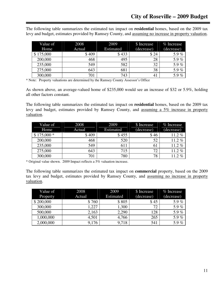The following table summarizes the estimated tax impact on **residential** homes, based on the 2009 tax levy and budget, estimates provided by Ramsey County, and assuming no increase in property valuation.

| Value of  | 2008   | 2009      | \$ Increase | % Increase |
|-----------|--------|-----------|-------------|------------|
| Home      | Actual | Estimated | (decrease)  | (decrease) |
| \$175,000 | \$409  | \$433     | \$24        | 5.9 $%$    |
| 200,000   | 468    | 495       | 28          | 5.9 $%$    |
| 235,000   | 549    | 582       | 32          | 5.9 $%$    |
| 275,000   | 643    | 681       | 38          | 5.9%       |
| 300,000   | 701    | 743       | 41          | 5.9 $%$    |

\* Note: Property valuations are determined by the Ramsey County Assessor's Office

As shown above, an average-valued home of \$235,000 would see an increase of \$32 or 5.9%, holding all other factors constant.

The following table summarizes the estimated tax impact on **residential** homes, based on the 2009 tax levy and budget, estimates provided by Ramsey County, and assuming a 5% increase in property valuation.

| Value of    | 2008   | 2009      | \$ Increase | % Increase |
|-------------|--------|-----------|-------------|------------|
| Home        | Actual | Estimated | (decrease)  | (decrease) |
| $$175,000*$ | \$409  | \$455     | \$46        | $11.2\%$   |
| 200,000     | 468    | 520       | 52          | 11.2 $%$   |
| 235,000     | 549    | 611       | 61          | 11.2%      |
| 275,000     | 643    | 715       | 72          | $11.2\%$   |
| 300,000     | 701    | 780       | 78          | 11.2 $%$   |

\* Original value shown. 2009 Impact reflects a 5% valuation increase.

The following table summarizes the estimated tax impact on **commercial** property, based on the 2009 tax levy and budget, estimates provided by Ramsey County, and assuming no increase in property valuation.

| Value of  | 2008   | 2009      | \$ Increase | % Increase |
|-----------|--------|-----------|-------------|------------|
| Property  | Actual | Estimated | (decrease)  | (decrease) |
| \$200,000 | \$760  | \$805     | \$45        | 5.9 $%$    |
| 300,000   | 1,227  | 1,300     | 72          | 5.9%       |
| 500,000   | 2,163  | 2,290     | 128         | 5.9%       |
| 1,000,000 | 4,501  | 4,766     | 265         | 5.9%       |
| 2,000,000 | 9,176  | 9,718     | 541         | 5.9%       |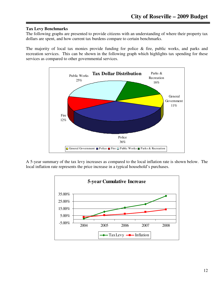#### **Tax Levy Benchmarks**

The following graphs are presented to provide citizens with an understanding of where their property tax dollars are spent, and how current tax burdens compare to certain benchmarks.

The majority of local tax monies provide funding for police & fire, public works, and parks and recreation services. This can be shown in the following graph which highlights tax spending for these services as compared to other governmental services.



A 5-year summary of the tax levy increases as compared to the local inflation rate is shown below. The local inflation rate represents the price increase in a typical household's purchases.

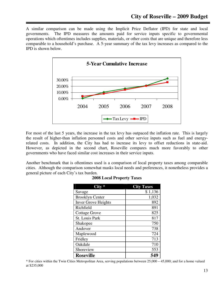A similar comparison can be made using the Implicit Price Deflator (IPD) for state and local governments. The IPD measures the amounts paid for service inputs specific to governmental operations which oftentimes includes supplies, materials, or other costs that are unique and therefore less comparable to a household's purchase. A 5-year summary of the tax levy increases as compared to the IPD is shown below.



For most of the last 5 years, the increase in the tax levy has outpaced the inflation rate. This is largely the result of higher-than inflation personnel costs and other service inputs such as fuel and energyrelated costs. In addition, the City has had to increase its levy to offset reductions in state-aid. However, as depicted in the second chart, Roseville compares much more favorably to other governments who have faced similar cost increases in their service inputs.

Another benchmark that is oftentimes used is a comparison of local property taxes among comparable cities. Although the comparison somewhat masks local needs and preferences, it nonetheless provides a general picture of each City's tax burden.

|                            | <b>City Taxes</b> |
|----------------------------|-------------------|
| Savage                     | \$1,136           |
| <b>Brooklyn Center</b>     | 1,032             |
| <b>Inver Grove Heights</b> | 892               |
| Richfield                  | 891               |
| <b>Cottage Grove</b>       | 825               |
| St. Louis Park             | 817               |
| Shakopee                   | 750               |
| Andover                    | 738               |
| Maplewood                  | 724               |
| Fridley                    | 713               |
| Oakdale                    | 710               |
| Shoreview                  | 553               |
| <b>Roseville</b>           | 549               |

#### **2008 Local Property Taxes**

\* For cities within the Twin Cities Metropolitan Area, serving populations between 25,000 – 45,000; and for a home valued at \$235,000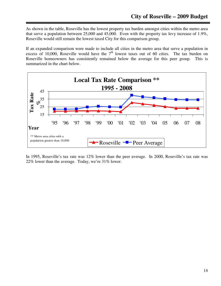As shown in the table, Roseville has the lowest property tax burden amongst cities within the metro area that serve a population between 25,000 and 45,000. Even with the property tax levy increase of 1.9%, Roseville would still remain the lowest taxed City for this comparison group.

If an expanded comparison were made to include all cities in the metro area that serve a population in excess of 10,000, Roseville would have the  $7<sup>th</sup>$  lowest taxes out of 60 cities. The tax burden on Roseville homeowners has consistently remained below the average for this peer group. This is summarized in the chart below.



In 1995, Roseville's tax rate was 12% lower than the peer average. In 2000, Roseville's tax rate was 22% lower than the average. Today, we're 31% lower.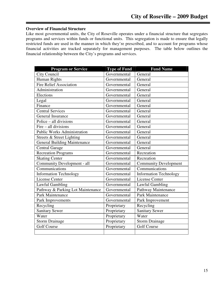#### **Overview of Financial Structure**

Like most governmental units, the City of Roseville operates under a financial structure that segregates programs and services within funds or functional units. This segregation is made to ensure that legally restricted funds are used in the manner in which they're prescribed, and to account for programs whose financial activities are tracked separately for management purposes. The table below outlines the financial relationship between the City's programs and services.

| <b>Program or Service</b>           | <b>Type of Fund</b> | <b>Fund Name</b>              |
|-------------------------------------|---------------------|-------------------------------|
| City Council                        | Governmental        | General                       |
| Human Rights                        | Governmental        | General                       |
| <b>Fire Relief Association</b>      | Governmental        | General                       |
| Administration                      | Governmental        | General                       |
| Elections                           | Governmental        | General                       |
| Legal                               | Governmental        | General                       |
| Finance                             | Governmental        | General                       |
| <b>Central Services</b>             | Governmental        | General                       |
| General Insurance                   | Governmental        | General                       |
| Police – all divisions              | Governmental        | General                       |
| $Fire - all divisions$              | Governmental        | General                       |
| <b>Public Works Administration</b>  | Governmental        | General                       |
| Streets & Street Lighting           | Governmental        | General                       |
| <b>General Building Maintenance</b> | Governmental        | General                       |
| <b>Central Garage</b>               | Governmental        | General                       |
| <b>Recreation Programs</b>          | Governmental        | Recreation                    |
| <b>Skating Center</b>               | Governmental        | Recreation                    |
| Community Development - all         | Governmental        | <b>Community Development</b>  |
| Communications                      | Governmental        | Communications                |
| <b>Information Technology</b>       | Governmental        | <b>Information Technology</b> |
| <b>License Center</b>               | Governmental        | <b>License Center</b>         |
| Lawful Gambling                     | Governmental        | Lawful Gambling               |
| Pathway & Parking Lot Maintenance   | Governmental        | Pathway Maintenance           |
| <b>Park Maintenance</b>             | Governmental        | Park Maintenance              |
| Park Improvements                   | Governmental        | Park Improvement              |
| Recycling                           | Proprietary         | Recycling                     |
| <b>Sanitary Sewer</b>               | Proprietary         | <b>Sanitary Sewer</b>         |
| Water                               | Proprietary         | Water                         |
| <b>Storm Drainage</b>               | Proprietary         | <b>Storm Drainage</b>         |
| <b>Golf Course</b>                  | Proprietary         | <b>Golf Course</b>            |
|                                     |                     |                               |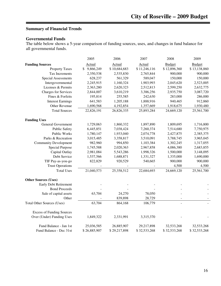### **Summary of Financial Trends**

#### **Governmental Funds**

The table below shows a 5-year comparison of funding sources, uses, and changes in fund balance for all governmental funds.

|                                   | 2005            | 2006         | 2007         | 2008          | 2009          |
|-----------------------------------|-----------------|--------------|--------------|---------------|---------------|
| <b>Funding Sources</b>            | Actual          | Actual       | Actual       | <b>Budget</b> | <b>Budget</b> |
| <b>Property Taxes</b>             | 9,866,249<br>\$ | \$10,684,683 | \$11,246,116 | \$12,896,360  | \$13,138,860  |
| Tax Increments                    | 2,350,538       | 2,535,830    | 2,765,844    | 900,000       | 900,000       |
| Special Assessments               | 628,237         | 561,329      | 589,047      | 150,000       | 150,000       |
| Intergovernmental                 | 2,245,915       | 1,160,324    | 1,903,993    | 2,045,620     | 2,523,005     |
| Licenses & Permits                | 2,363,280       | 2,620,323    | 2,512,813    | 2,599,250     | 2,632,775     |
| <b>Charges for Services</b>       | 2,844,007       | 3,610,219    | 3,386,256    | 2,935,750     | 3,087,720     |
| Fines & Forfeits                  | 195,814         | 255,585      | 242,630      | 283,000       | 286,000       |
| <b>Interest Earnings</b>          | 641,583         | 1,205,188    | 1,888,916    | 940,465       | 912,860       |
| Other Revenue                     | 1,690,568       | 4,192,854    | 1,357,669    | 1,918,675     | 1,930,480     |
| <b>Total Sources</b>              | 22,826,191      | 26,826,335   | 25,893,284   | 24,669,120    | 25,561,700    |
| <b>Funding Uses</b>               |                 |              |              |               |               |
| General Government                | 1,729,063       | 1,860,332    | 1,897,890    | 1,809,695     | 1,716,800     |
| <b>Public Safety</b>              | 6,445,851       | 7,038,424    | 7,260,374    | 7,514,680     | 7,750,975     |
| <b>Public Works</b>               | 1,780,147       | 1,933,040    | 2,074,778    | 2,427,875     | 2,385,375     |
| Parks & Recreation                | 3,015,485       | 3,358,817    | 3,510,091    | 3,788,745     | 3,965,045     |
| <b>Community Development</b>      | 982,960         | 994,850      | 1,103,384    | 1,302,245     | 1,317,055     |
| <b>Special Purpose</b>            | 1,745,588       | 2,020,363    | 2,967,858    | 4,086,380     | 2,683,855     |
| Capital Outlay                    | 2,981,084       | 5,543,286    | 1,998,326    | 1,500,000     | 3,148,095     |
| Debt Service                      | 1,537,566       | 1,688,871    | 1,331,327    | 1,335,000     | 1,690,000     |
| TIF Pay-as-you-go                 | 822,829         | 920,529      | 540,665      | 900,000       | 900,000       |
| <b>Trust Operations</b>           |                 |              |              | 4,500         | 4,500         |
| <b>Total Uses</b>                 | 21,040,573      | 25,358,512   | 22,684,693   | 24,669,120    | 25,561,700    |
| <b>Other Sources (Uses)</b>       |                 |              |              |               |               |
| <b>Early Debt Retirement</b>      |                 |              |              |               |               |
| <b>Bond Proceeds</b>              |                 |              |              |               |               |
| Sale of capital assets            | 63,704          | 24,270       | 78,050       |               |               |
| Other                             |                 | 839,898      | 28,729       |               |               |
| <b>Total Other Sources (Uses)</b> | 63,704          | 864,168      | 106,779      |               |               |
| <b>Excess of Funding Sources</b>  |                 |              |              |               |               |
| Over (Under) Funding Uses         | 1,849,322       | 2,331,991    | 3,315,370    |               |               |
| Fund Balance - Jan 1st            | 25,036,585      | 26,885,907   | 29,217,898   | 32,533,268    | 32,533,268    |
| Fund Balance - Dec 31st           | \$26,885,907    | \$29,217,898 | \$32,533,268 | \$32,533,268  | \$32,533,268  |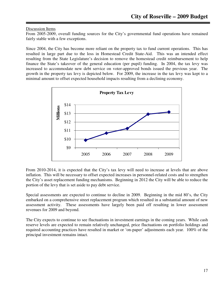#### Discussion Items

From 2005-2009, overall funding sources for the City's governmental fund operations have remained fairly stable with a few exceptions.

Since 2004, the City has become more reliant on the property tax to fund current operations. This has resulted in large part due to the loss in Homestead Credit State-Aid. This was an intended effect resulting from the State Legislature's decision to remove the homestead credit reimbursement to help finance the State's takeover of the general education (per pupil) funding. In 2004, the tax levy was increased to accommodate new debt service on voter-approved bonds issued the previous year. The growth in the property tax levy is depicted below. For 2009, the increase in the tax levy was kept to a minimal amount to offset expected household impacts resulting from a declining economy.



From 2010-2014, it is expected that the City's tax levy will need to increase at levels that are above inflation. This will be necessary to offset expected increases in personnel-related costs and to strengthen the City's asset replacement funding mechanisms. Beginning in 2012 the City will be able to reduce the portion of the levy that is set aside to pay debt service.

Special assessments are expected to continue to decline in 2009. Beginning in the mid 80's, the City embarked on a comprehensive street replacement program which resulted in a substantial amount of new assessment activity. These assessments have largely been paid off resulting in lower assessment revenues for 2009 and beyond.

The City expects to continue to see fluctuations in investment earnings in the coming years. While cash reserve levels are expected to remain relatively unchanged, price fluctuations on portfolio holdings and required accounting practices have resulted in market or 'on-paper' adjustments each year. 100% of the principal investment remains intact.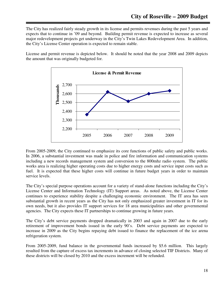The City has realized fairly steady growth in its license and permits revenues during the past 5 years and expects that to continue in '09 and beyond. Building permit revenue is expected to increase as several major redevelopment projects get underway in the City's Twin Lakes Redevelopment Area. In addition, the City's License Center operation is expected to remain stable.

License and permit revenue is depicted below. It should be noted that the year 2008 and 2009 depicts the amount that was originally budgeted for.



From 2005-2009, the City continued to emphasize its core functions of public safety and public works. In 2006, a substantial investment was made in police and fire information and communication systems including a new records management system and conversion to the 800mhz radio system. The public works area is realizing higher operating costs due to higher energy costs and service input costs such as fuel. It is expected that these higher costs will continue in future budget years in order to maintain service levels.

The City's special purpose operations account for a variety of stand-alone functions including the City's License Center and Information Technology (IT) Support areas. As noted above, the License Center continues to experience stability despite a challenging economic environment. The IT area has seen substantial growth in recent years as the City has not only emphasized greater investment in IT for its own needs, but it also provides IT support services for 18 area municipalities and other governmental agencies. The City expects these IT partnerships to continue growing in future years.

The City's debt service payments dropped dramatically in 2003 and again in 2007 due to the early retirement of improvement bonds issued in the early 90's. Debt service payments are expected to increase in 2009 as the City begins repaying debt issued to finance the replacement of the ice arena refrigeration system.

From 2005-2009, fund balance in the governmental funds increased by \$5.6 million. This largely resulted from the capture of excess tax increments in advance of closing selected TIF Districts. Many of these districts will be closed by 2010 and the excess increment will be refunded.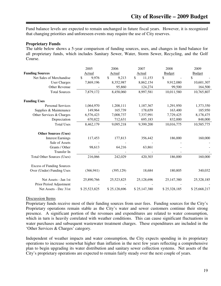Fund balance levels are expected to remain unchanged in future fiscal years. However, it is recognized that changing priorities and unforeseen events may require the use of City reserves.

#### **Proprietary Funds**

The table below shows a 5-year comparison of funding sources, uses, and changes in fund balance for all proprietary funds, which includes Sanitary Sewer, Water, Storm Sewer, Recycling, and the Golf Course.

|                                   | 2005         | 2006         | 2007         | 2008          | 2009          |
|-----------------------------------|--------------|--------------|--------------|---------------|---------------|
| <b>Funding Sources</b>            | Actual       | Actual       | Actual       | <b>Budget</b> | <b>Budget</b> |
| Net Sales of Merchandise          | \$<br>9,976  | \$<br>9,213  | \$<br>11,153 | \$            | \$            |
| <b>User Charges</b>               | 7,869,196    | 8,352,987    | 8,862,154    | 9,912,080     | 10,601,307    |
| Other Revenue                     |              | 95,860       | 124,274      | 99,500        | 164,500       |
| <b>Total Sources</b>              | 7,879,172    | 8,458,060    | 8,997,581    | 10,011,580    | 10,765,807    |
| <b>Funding Uses</b>               |              |              |              |               |               |
| <b>Personal Services</b>          | 1,064,970    | 1,208,111    | 1,187,367    | 1,291,950     | 1,373,350     |
| Supplies & Maintenance            | 149,964      | 165,739      | 178,659      | 163,400       | 185,950       |
| Other Services & Charges          | 6,576,423    | 7,008,737    | 7,337,991    | 7,729,425     | 8,178,475     |
| Depreciation                      | 670,822      | 712,631      | 695,183      | 832,000       | 848,000       |
| <b>Total Uses</b>                 | 8,462,179    | 9,095,218    | 9,399,200    | 10,016,775    | 10,585,775    |
| <b>Other Sources (Uses)</b>       |              |              |              |               |               |
| <b>Interest Earnings</b>          | 117,453      | 177,813      | 356,442      | 186,000       | 160,000       |
| Sale of Assets                    |              |              |              |               |               |
| Grants / Other                    | 98,613       | 64,216       | 63,861       |               |               |
| Transfer In                       |              |              |              |               |               |
| <b>Total Other Sources (Uses)</b> | 216,066      | 242,029      | 420,303      | 186,000       | 160,000       |
| <b>Excess of Funding Sources</b>  |              |              |              |               |               |
| Over (Under) Funding Uses         | (366, 941)   | (395, 129)   | 18,684       | 180,805       | 340,032       |
| Net Assets - Jan 1st              | 25,890,766   | 25,523,825   | 25,128,696   | 25,147,380    | 25,328,185    |
| Prior Period Adjustment           |              |              |              |               |               |
| Net Assets - Dec 31st             | \$25,523,825 | \$25,128,696 | \$25,147,380 | \$25,328,185  | \$25,668,217  |

#### Discussion Items

Proprietary funds receive most of their funding sources from user fees. Funding sources for the City's Proprietary operations remain stable as the City's water and sewer customers continue their strong presence. A significant portion of the revenues and expenditures are related to water consumption, which in turn is heavily correlated with weather conditions. This can cause significant fluctuations in water purchases and subsequent wastewater treatment charges. These expenditures are included in the 'Other Services & Charges' category.

Independent of weather impacts and water consumption, the City expects spending in its proprietary operations to increase somewhat higher than inflation in the next few years reflecting a comprehensive plan to begin upgrading its water distribution and sanitary sewer collection systems. Net assets of the City's proprietary operations are expected to remain fairly steady over the next couple of years.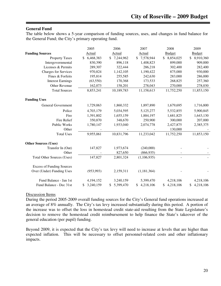#### **General Fund**

The table below shows a 5-year comparison of funding sources, uses, and changes in fund balance for the General Fund; the City's primary operating fund.

|                                   | 2005            | 2006                       | 2007            | 2008            | 2009            |
|-----------------------------------|-----------------|----------------------------|-----------------|-----------------|-----------------|
| <b>Funding Sources</b>            | Actual          | Actual                     | Actual          | <b>Budget</b>   | <b>Budget</b>   |
| <b>Property Taxes</b>             | 6,468,383<br>\$ | 7,244,962<br><sup>\$</sup> | 7,578,944<br>\$ | \$8,854,025     | 8,910,360<br>\$ |
| Intergovernmental                 | 830,390         | 896,118                    | 1,408,823       | 899,000         | 909,000         |
| Licenses & Permits                | 289,307         | 322,444                    | 286,218         | 302,400         | 282,400         |
| <b>Charges for Services</b>       | 970,824         | 1,142,105                  | 1,190,422       | 875,000         | 930,000         |
| Fines & Forfeits                  | 195,814         | 255,585                    | 242,630         | 283,000         | 286,000         |
| <b>Interest Earnings</b>          | (63, 550)       | 170,368                    | 173,533         | 268,825         | 257,360         |
| Other Revenue                     | 162,073         | 158,201                    | 278,043         | 270,000         | 278,030         |
| <b>Total Sources</b>              | 8,853,241       | 10,189,783                 | 11,158,613      | 11,752,250      | 11,853,150      |
| <b>Funding Uses</b>               |                 |                            |                 |                 |                 |
| General Government                | 1,729,063       | 1,860,332                  | 1,897,890       | 1,679,695       | 1,716,800       |
| Police                            | 4,703,179       | 5,034,595                  | 5,125,277       | 5,532,855       | 5,900,845       |
| Fire                              | 1,391,802       | 1,655,159                  | 1,884,197       | 1,681,825       | 1,643,130       |
| <b>Fire Relief</b>                | 350,870         | 348,670                    | 250,900         | 300,000         | 207,000         |
| Public Works                      | 1,780,147       | 1,933,040                  | 2,074,778       | 2,427,875       | 2,385,375       |
| Other                             |                 |                            |                 | 130,000         |                 |
| <b>Total Uses</b>                 | 9,955,061       | 10,831,796                 | 11,233,042      | 11,752,250      | 11,853,150      |
| <b>Other Sources (Uses)</b>       |                 |                            |                 |                 |                 |
| Transfer In (Out)                 | 147,827         | 1,973,674                  | (240,000)       |                 |                 |
| Other                             |                 | 827,650                    | (866, 935)      |                 |                 |
| <b>Total Other Sources (Uses)</b> | 147,827         | 2,801,324                  | (1,106,935)     |                 |                 |
| <b>Excess of Funding Sources</b>  |                 |                            |                 |                 |                 |
| Over (Under) Funding Uses         | (953, 993)      | 2,159,311                  | (1,181,364)     |                 |                 |
| Fund Balance - Jan 1st            | 4,194,152       | 3,240,159                  | 5,399,470       | 4,218,106       | 4,218,106       |
| Fund Balance - Dec 31st           | 3,240,159       | 5,399,470<br>\$            | 4,218,106<br>\$ | 4,218,106<br>\$ | 4,218,106<br>\$ |

#### Discussion Items

During the period 2005-2009 overall funding sources for the City's General fund operations increased at an average of 8% annually. The City's tax levy increased substantially during this period. A portion of the increase was to offset the loss in homestead credit state-aid resulting from the State Legislature's decision to remove the homestead credit reimbursement to help finance the State's takeover of the general education (per pupil) funding.

Beyond 2009, it is expected that the City's tax levy will need to increase at levels that are higher than expected inflation. This will be necessary to offset personnel-related costs and other inflationary impacts.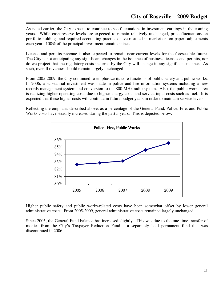As noted earlier, the City expects to continue to see fluctuations in investment earnings in the coming years. While cash reserve levels are expected to remain relatively unchanged, price fluctuations on portfolio holdings and required accounting practices have resulted in market or 'on-paper' adjustments each year. 100% of the principal investment remains intact.

License and permits revenue is also expected to remain near current levels for the foreseeable future. The City is not anticipating any significant changes in the issuance of business licenses and permits, nor do we project that the regulatory costs incurred by the City will change in any significant manner. As such, overall revenues should remain largely unchanged.

From 2005-2009, the City continued to emphasize its core functions of public safety and public works. In 2006, a substantial investment was made in police and fire information systems including a new records management system and conversion to the 800 MHz radio system. Also, the public works area is realizing higher operating costs due to higher energy costs and service input costs such as fuel. It is expected that these higher costs will continue in future budget years in order to maintain service levels.

Reflecting the emphasis described above, as a percentage of the General Fund, Police, Fire, and Public Works costs have steadily increased during the past 5 years. This is depicted below.



Higher public safety and public works-related costs have been somewhat offset by lower general administrative costs. From 2005-2009, general administrative costs remained largely unchanged.

Since 2005, the General Fund balance has increased slightly. This was due to the one-time transfer of monies from the City's Taxpayer Reduction Fund – a separately held permanent fund that was discontinued in 2006.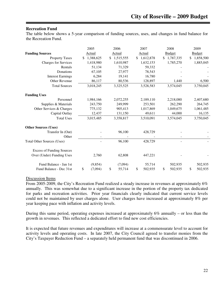#### **Recreation Fund**

The table below shows a 5-year comparison of funding sources, uses, and changes in fund balance for the Recreation Fund.

|                                   | 2005            |               | 2006      | 2007            | 2008          |     | 2009          |
|-----------------------------------|-----------------|---------------|-----------|-----------------|---------------|-----|---------------|
| <b>Funding Sources</b>            | Actual          |               | Actual    | Actual          | <b>Budget</b> |     | <b>Budget</b> |
| <b>Property Taxes</b>             | \$<br>1,388,625 | <sup>\$</sup> | 1,515,555 | \$<br>1,612,878 | \$1,787,335   | \$. | 1,858,500     |
| <b>Charges for Services</b>       | 1,418,980       |               | 1,610,987 | 1,632,153       | 1,785,270     |     | 1,885,045     |
| Rentals                           | 51,134          |               | 71,329    | 59,332          |               |     |               |
| Donations                         | 67,105          |               | 27,977    | 78,543          |               |     |               |
| <b>Interest Earnings</b>          | 6,284           |               | 19,141    | 16,780          |               |     |               |
| <b>Other Revenue</b>              | 86,117          |               | 80,536    | 128,897         | 1,440         |     | 6,500         |
| <b>Total Sources</b>              | 3,018,245       |               | 3,325,525 | 3,528,583       | 3,574,045     |     | 3,750,045     |
| <b>Funding Uses</b>               |                 |               |           |                 |               |     |               |
| Personnel                         | 1,984,166       |               | 2,072,255 | 2,189,110       | 2,218,080     |     | 2,407,680     |
| Supplies & Materials              | 243,750         |               | 249,999   | 253,501         | 262,290       |     | 264,745       |
| Other Services & Charges          | 775,132         |               | 905,413   | 1,017,869       | 1,049,675     |     | 1,061,485     |
| Capital Outlay                    | 12,437          |               | 131,150   | 49,611          | 44,000        |     | 16,135        |
| <b>Total Uses</b>                 | 3,015,485       |               | 3,358,817 | 3,510,091       | 3,574,045     |     | 3,750,045     |
| <b>Other Sources (Uses)</b>       |                 |               |           |                 |               |     |               |
| Transfer In (Out)                 |                 |               | 96,100    | 428,729         |               |     |               |
| Other                             |                 |               |           |                 |               |     |               |
| <b>Total Other Sources (Uses)</b> |                 |               | 96,100    | 428,729         |               |     |               |
| <b>Excess of Funding Sources</b>  |                 |               |           |                 |               |     |               |
| Over (Under) Funding Uses         | 2,760           |               | 62,808    | 447,221         |               |     |               |
| Fund Balance - Jan 1st            | (9, 854)        |               | (7,094)   | 55,714          | 502,935       |     | 502,935       |
| Fund Balance - Dec 31st           | \$<br>(7,094)   | \$            | 55,714    | \$<br>502,935   | \$<br>502,935 | S   | 502,935       |

#### Discussion Items

From 2005-2009, the City's Recreation Fund realized a steady increase in revenues at approximately 6% annually. This was somewhat due to a significant increase in the portion of the property tax dedicated for parks and recreation activities. Prior year financials clearly indicated that current service levels could not be maintained by user charges alone. User charges have increased at approximately 8% per year keeping pace with inflation and activity levels.

During this same period, operating expenses increased at approximately 6% annually – or less than the growth in revenues. This reflected a dedicated effort to find new cost efficiencies.

It is expected that future revenues and expenditures will increase at a commensurate level to account for activity levels and operating costs. In late 2007, the City Council agreed to transfer monies from the City's Taxpayer Reduction Fund – a separately held permanent fund that was discontinued in 2006.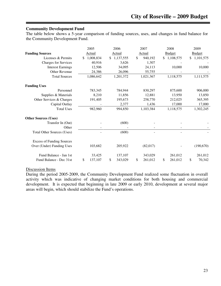#### **Community Development Fund**

The table below shows a 5-year comparison of funding sources, uses, and changes in fund balance for the Community Development Fund.

|                                   | 2005            |     | 2006          | 2007          | 2008          | 2009          |
|-----------------------------------|-----------------|-----|---------------|---------------|---------------|---------------|
| <b>Funding Sources</b>            | Actual          |     | <b>Actual</b> | Actual        | <b>Budget</b> | <b>Budget</b> |
| Licenses & Permits                | \$<br>1,008,834 | \$. | 1,137,555     | \$<br>940,192 | \$1,108,575   | \$1,101,575   |
| <b>Charges for Services</b>       | 40,916          |     | 3,626         | 1,307         |               |               |
| <b>Interest Earnings</b>          | 12,506          |     | 34,095        | 24,113        | 10,000        | 10,000        |
| Other Revenue                     | 24,386          |     | 26,096        | 55,755        |               |               |
| <b>Total Sources</b>              | 1,086,642       |     | 1,201,372     | 1,021,367     | 1,118,575     | 1,111,575     |
| <b>Funding Uses</b>               |                 |     |               |               |               |               |
| Personnel                         | 783,345         |     | 784,944       | 830,297       | 875,600       | 906,000       |
| Supplies & Materials              | 8,210           |     | 11,856        | 12,881        | 13,950        | 13,850        |
| Other Services & Charges          | 191,405         |     | 195,673       | 258,770       | 212,025       | 365,395       |
| Capital Outlay                    |                 |     | 2,377         | 1,436         | 17,000        | 17,000        |
| <b>Total Uses</b>                 | 982,960         |     | 994,850       | 1,103,384     | 1,118,575     | 1,302,245     |
| <b>Other Sources (Uses)</b>       |                 |     |               |               |               |               |
| Transfer In (Out)                 |                 |     | (600)         |               |               |               |
| Other                             |                 |     |               |               |               |               |
| <b>Total Other Sources (Uses)</b> |                 |     | (600)         |               |               |               |
| <b>Excess of Funding Sources</b>  |                 |     |               |               |               |               |
| Over (Under) Funding Uses         | 103,682         |     | 205,922       | (82,017)      |               | (190,670)     |
| Fund Balance - Jan 1st            | 33,425          |     | 137,107       | 343,029       | 261,012       | 261,012       |
| Fund Balance - Dec 31st           | \$<br>137,107   | \$  | 343,029       | \$<br>261,012 | \$<br>261,012 | \$<br>70,342  |

#### Discussion Items

During the period 2005-2009, the Community Development Fund realized some fluctuation in overall activity which was indicative of changing market conditions for both housing and commercial development. It is expected that beginning in late 2009 or early 2010, development at several major areas will begin, which should stabilize the Fund's operations.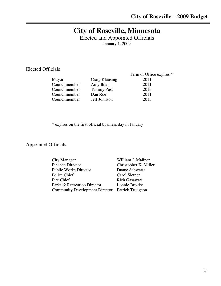# **City of Roseville, Minnesota**

Elected and Appointed Officials

January 1, 2009

### Elected Officials

|               |                   | Term of Office expires * |
|---------------|-------------------|--------------------------|
| Mayor         | Craig Klausing    | 2011                     |
| Councilmember | Amy Ihlan         | 2011                     |
| Councilmember | <b>Tammy Pust</b> | 2013                     |
| Councilmember | Dan Roe           | 2011                     |
| Councilmember | Jeff Johnson      | 2013                     |
|               |                   |                          |

\* expires on the first official business day in January

### Appointed Officials

| <b>City Manager</b>                             | William J. Malinen    |
|-------------------------------------------------|-----------------------|
| <b>Finance Director</b>                         | Christopher K. Miller |
| <b>Public Works Director</b>                    | Duane Schwartz        |
| Police Chief                                    | Carol Sletner         |
| Fire Chief                                      | Rich Gasaway          |
| Parks & Recreation Director                     | Lonnie Brokke         |
| Community Development Director Patrick Trudgeon |                       |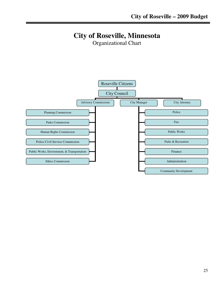# **City of Roseville, Minnesota**

Organizational Chart

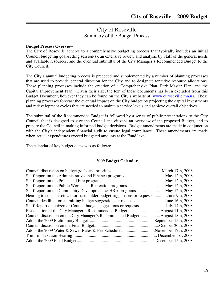### City of Roseville Summary of the Budget Process

#### **Budget Process Overview**

The City of Roseville adheres to a comprehensive budgeting process that typically includes an initial Council budgeting goal-setting session(s), an extensive review and analysis by Staff of the general needs and available resources, and the eventual submittal of the City Manager's Recommended Budget to the City Council.

The City's annual budgeting process is preceded and supplemented by a number of planning processes that are used to provide general direction for the City and to designate tentative resource allocations. These planning processes include the creation of a Comprehensive Plan, Park Master Plan, and the Capital Improvement Plan. Given their size, the text of these documents has been excluded from this Budget Document, however they can be found on the City's website at: www.ci.roseville.mn.us. These planning processes forecast the eventual impact on the City budget by projecting the capital investments and redevelopment cycles that are needed to maintain service levels and achieve overall objectives.

The submittal of the Recommended Budget is followed by a series of public presentations to the City Council that is designed to give the Council and citizens an overview of the proposed Budget, and to prepare the Council in making informed budget decisions. Budget amendments are made in conjunction with the City's independent financial audit to ensure legal compliance. These amendments are made when actual expenditures exceed budgeted amounts at the Fund level.

The calendar of key budget dates was as follows:

#### **2009 Budget Calendar**

| Hearing to consider citizen or stakeholder budget suggestions or requests June 9th, 2008 |  |
|------------------------------------------------------------------------------------------|--|
| Council deadline for submitting budget suggestions or requestsJune 16th, 2008            |  |
| Staff Report on citizen or Council budget suggestions or requests July 14th, 2008        |  |
|                                                                                          |  |
|                                                                                          |  |
|                                                                                          |  |
|                                                                                          |  |
| Adopt the 2009 Water & Sewer Rates & Fee Schedule November 17th, 2008                    |  |
|                                                                                          |  |
|                                                                                          |  |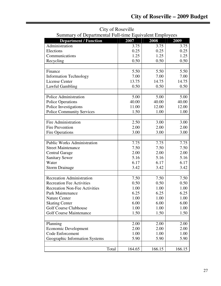| Summary of Departmental Full-time Equivalent Employees |        |        |        |
|--------------------------------------------------------|--------|--------|--------|
| <b>Department / Function</b>                           | 2007   | 2008   | 2009   |
| Administration                                         | 3.75   | 3.75   | 3.75   |
| Elections                                              | 0.25   | 0.25   | 0.25   |
| Communications                                         | 1.25   | 1.25   | 1.25   |
| Recycling                                              | 0.50   | 0.50   | 0.50   |
|                                                        |        |        |        |
| Finance                                                | 5.50   | 5.50   | 5.50   |
| <b>Information Technology</b>                          | 7.00   | 7.00   | 7.00   |
| <b>License Center</b>                                  | 13.75  | 14.75  | 14.75  |
| Lawful Gambling                                        | 0.50   | 0.50   | 0.50   |
|                                                        |        |        |        |
| Police Administration                                  | 5.00   | 5.00   | 5.00   |
| <b>Police Operations</b>                               | 40.00  | 40.00  | 40.00  |
| Police Investigations                                  | 11.00  | 12.00  | 12.00  |
| <b>Police Community Services</b>                       | 1.50   | 1.00   | 1.00   |
|                                                        |        |        |        |
| Fire Administration                                    | 2.50   | 3.00   | 3.00   |
| <b>Fire Prevention</b>                                 | 2.00   | 2.00   | 2.00   |
| <b>Fire Operations</b>                                 | 3.00   | 3.00   | 3.00   |
|                                                        |        |        |        |
| <b>Public Works Administration</b>                     | 7.75   | 7.75   | 7.75   |
| <b>Street Maintenance</b>                              | 7.50   | 7.50   | 7.50   |
| <b>Central Garage</b>                                  | 2.00   | 2.00   | 2.00   |
| <b>Sanitary Sewer</b>                                  | 5.16   | 5.16   | 5.16   |
| Water                                                  | 6.17   | 6.17   | 6.17   |
| <b>Storm Drainage</b>                                  | 3.42   | 3.42   | 3.42   |
|                                                        |        |        |        |
| <b>Recreation Administration</b>                       | 7.50   | 7.50   | 7.50   |
| <b>Recreation Fee Activities</b>                       | 0.50   | 0.50   | 0.50   |
| <b>Recreation Non-Fee Activities</b>                   | 1.00   | 1.00   | 1.00   |
| Park Maintenance                                       | 6.25   | 6.25   | 6.25   |
| <b>Nature Center</b>                                   | 1.00   | 1.00   | 1.00   |
| <b>Skating Center</b>                                  | 6.00   | 6.00   | 6.00   |
| <b>Golf Course Clubhouse</b>                           | 1.00   | 1.00   | 1.00   |
| <b>Golf Course Maintenance</b>                         | 1.50   | 1.50   | 1.50   |
|                                                        |        |        |        |
| Planning                                               | 2.00   | 2.00   | 2.00   |
| <b>Economic Development</b>                            | 2.00   | 2.00   | 2.00   |
| Code Enforcement                                       | 1.00   | 1.00   | 1.00   |
| Geographic Information Systems                         | 5.90   | 5.90   | 5.90   |
|                                                        |        |        |        |
| Total                                                  | 164.65 | 166.15 | 166.15 |
|                                                        |        |        |        |

City of Roseville Summary of Departmental Full-time Equivalent Employees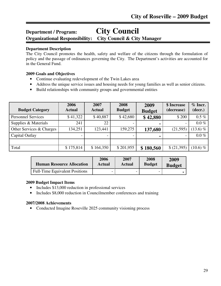### **Department / Program: City Council Organizational Responsibility: City Council & City Manager**

#### **Department Description**

The City Council promotes the health, safety and welfare of the citizens through the formulation of policy and the passage of ordinances governing the City. The Department's activities are accounted for in the General Fund.

#### **2009 Goals and Objectives**

- Continue evaluating redevelopment of the Twin Lakes area
- Address the unique service issues and housing needs for young families as well as senior citizens.
- Build relationships with community groups and governmental entities

| <b>Budget Category</b>    | 2006<br><b>Actual</b> | 2007<br><b>Actual</b> | 2008<br><b>Budget</b> | 2009<br><b>Budget</b> | \$ Increase<br>(decrease) | $%$ Incr.<br>(decr.) |
|---------------------------|-----------------------|-----------------------|-----------------------|-----------------------|---------------------------|----------------------|
| <b>Personnel Services</b> | \$41,322              | \$40,887              | \$42,680              | \$42,880              | \$ 200                    | $0.5 \%$             |
| Supplies & Materials      | 241                   | 22                    |                       |                       |                           | $0.0\%$              |
| Other Services & Charges  | 134,251               | 123,441               | 159,275               | 137,680               | (21,595)                  | $(13.6)$ %           |
| Capital Outlay            |                       |                       |                       |                       | $\overline{\phantom{a}}$  | $0.0\%$              |
|                           |                       |                       |                       |                       |                           |                      |
| Total                     | \$175,814             | \$164,350             | \$201,955             | \$180,560             | \$(21,395)                | $(10.6)$ %           |

| <b>Human Resource Allocation</b>      | 2006   | 2007   | 2008          | 2009          |
|---------------------------------------|--------|--------|---------------|---------------|
|                                       | Actual | Actual | <b>Budget</b> | <b>Budget</b> |
| <b>Full-Time Equivalent Positions</b> |        | -      |               |               |

#### **2009 Budget Impact Items**

- Includes \$13,000 reduction in professional services
- Includes \$8,000 reduction in Councilmember conferences and training

#### **2007/2008 Achievements**

• Conducted Imagine Roseville 2025 community visioning process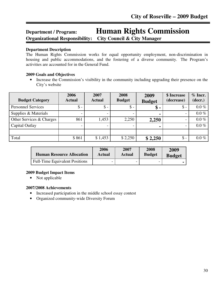# **Department / Program: Human Rights Commission Organizational Responsibility: City Council & City Manager**

#### **Department Description**

The Human Rights Commission works for equal opportunity employment, non-discrimination in housing and public accommodations, and the fostering of a diverse community. The Program's activities are accounted for in the General Fund.

#### **2009 Goals and Objectives**

• Increase the Commission's visibility in the community including upgrading their presence on the City's website

| <b>Budget Category</b>    | 2006<br><b>Actual</b> | 2007<br><b>Actual</b> | 2008<br><b>Budget</b> | 2009<br><b>Budget</b> | \$ Increase<br>(decrease) | $%$ Incr.<br>(decr.) |
|---------------------------|-----------------------|-----------------------|-----------------------|-----------------------|---------------------------|----------------------|
| <b>Personnel Services</b> | $\$ -                 | $\mathsf{\$}$ -       | $\mathbb{S}$ -        | $\$\,$ -              | $\mathsf{\$}$ -           | $0.0\%$              |
| Supplies & Materials      |                       |                       |                       | $\blacksquare$        |                           | $0.0\%$              |
| Other Services & Charges  | 861                   | 1,453                 | 2,250                 | 2,250                 | $\overline{\phantom{0}}$  | $0.0\%$              |
| Capital Outlay            |                       |                       |                       | $\blacksquare$        | $\overline{\phantom{0}}$  | $0.0\%$              |
|                           |                       |                       |                       |                       |                           |                      |
| Total                     | \$861                 | \$1,453               | \$2,250               | \$2,250               | $\$\$ -                   | $0.0\%$              |

| <b>Human Resource Allocation</b>      | 2006   | 2007                     | 2008          | 2009          |
|---------------------------------------|--------|--------------------------|---------------|---------------|
|                                       | Actual | Actual                   | <b>Budget</b> | <b>Budget</b> |
| <b>Full-Time Equivalent Positions</b> |        | $\overline{\phantom{0}}$ |               |               |

#### **2009 Budget Impact Items**

• Not applicable

#### **2007/2008 Achievements**

- Increased participation in the middle school essay contest
- Organized community-wide Diversity Forum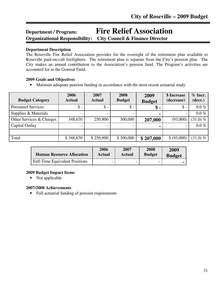# **Department / Program: Fire Relief Association Organizational Responsibility: City Council & Finance Director**

#### **Department Description**

The Roseville Fire Relief Association provides for the oversight of the retirement plan available to Roseville paid-on-call firefighters. The retirement plan is separate from the City's pension plan. The City makes an annual contribution to the Association's pension fund. The Program's activities are accounted for in the General Fund.

#### **2009 Goals and Objectives**

• Maintain adequate pension funding in accordance with the most recent actuarial study

| <b>Budget Category</b>    | 2006<br><b>Actual</b> | 2007<br><b>Actual</b> | 2008<br><b>Budget</b> | 2009<br><b>Budget</b> | \$ Increase<br>(decrease) | $%$ Incr.<br>(decr.) |
|---------------------------|-----------------------|-----------------------|-----------------------|-----------------------|---------------------------|----------------------|
| <b>Personnel Services</b> | $\mathsf{\$}$ -       | $\mathsf{\$}$ -       | $\$\,$                | $\boldsymbol{\$}$ -   | $\mathsf{\$}$ -           | $0.0\%$              |
| Supplies & Materials      |                       |                       |                       |                       |                           | $0.0\%$              |
| Other Services & Charges  | 348,670               | 250,900               | 300,000               | 207,000               | (93,000)                  | $(31.0)\%$           |
| Capital Outlay            |                       |                       |                       |                       |                           | $0.0\%$              |
|                           |                       |                       |                       |                       |                           |                      |
| Total                     | \$348,670             | \$250,900             | \$300,000             | \$207,000             | \$ (93,000)               | $(31.0) \%$          |

| <b>Human Resource Allocation</b>      | 2006   | 2007   | 2008          | 2009          |
|---------------------------------------|--------|--------|---------------|---------------|
|                                       | Actual | Actual | <b>Budget</b> | <b>Budget</b> |
| <b>Full-Time Equivalent Positions</b> |        |        |               |               |

#### **2009 Budget Impact Items**

• Not applicable

#### **2007/2008 Achievements**

• Full actuarial funding of pension requirements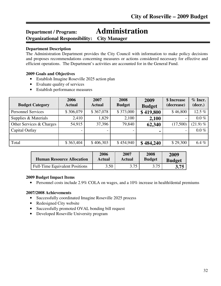### **Department / Program: Administration Organizational Responsibility: City Manager**

#### **Department Description**

The Administration Department provides the City Council with information to make policy decisions and proposes recommendations concerning measures or actions considered necessary for effective and efficient operations. The Department's activities are accounted for in the General Fund.

#### **2009 Goals and Objectives**

- Establish Imagine Roseville 2025 action plan
- Evaluate quality of services
- Establish performance measures

| <b>Budget Category</b>    | 2006<br><b>Actual</b> | 2007<br><b>Actual</b> | 2008<br><b>Budget</b> | 2009                       | \$ Increase<br>(decrease) | $%$ Incr.<br>(decr.) |
|---------------------------|-----------------------|-----------------------|-----------------------|----------------------------|---------------------------|----------------------|
| <b>Personnel Services</b> | \$306,079             | \$367,078             | \$373,000             | <b>Budget</b><br>\$419,800 | \$46,800                  | 12.5 $%$             |
| Supplies & Materials      | 2,410                 | 1,829                 | 2,100                 | 2,100                      |                           | $0.0\%$              |
| Other Services & Charges  | 54,915                | 37,396                | 79,840                | 62,340                     | (17,500)                  | $(21.9) \%$          |
| Capital Outlay            |                       |                       |                       | $\blacksquare$             | $\overline{\phantom{0}}$  | $0.0\%$              |
|                           |                       |                       |                       |                            |                           |                      |
| Total                     | \$363,404             | \$406,303             | \$454,940             | \$484,240                  | \$29,300                  | 6.4%                 |

| <b>Human Resource Allocation</b>      | 2006   | 2007   | 2008          | 2009          |
|---------------------------------------|--------|--------|---------------|---------------|
|                                       | Actual | Actual | <b>Budget</b> | <b>Budget</b> |
| <b>Full-Time Equivalent Positions</b> | 3.50   | 3.75   | 3.75          | 3.75          |

#### **2009 Budget Impact Items**

• Personnel costs include 2.9% COLA on wages, and a 10% increase in health/dental premiums

#### **2007/2008 Achievements**

- Successfully coordinated Imagine Roseville 2025 process
- Redesigned City website
- Successfully promoted OVAL bonding bill request
- Developed Roseville University program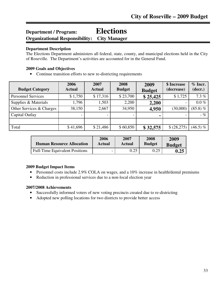# **Department / Program: Elections Organizational Responsibility: City Manager**

#### **Department Description**

The Elections Department administers all federal, state, county, and municipal elections held in the City of Roseville. The Department's activities are accounted for in the General Fund.

#### **2009 Goals and Objectives**

• Continue transition efforts to new re-districting requirements

| <b>Budget Category</b>    | 2006<br><b>Actual</b> | 2007<br><b>Actual</b>    | 2008<br><b>Budget</b> | 2009<br><b>Budget</b> | \$ Increase<br>(decrease) | $%$ Incr.<br>(decr.) |
|---------------------------|-----------------------|--------------------------|-----------------------|-----------------------|---------------------------|----------------------|
| <b>Personnel Services</b> | \$1,750               | \$17,316                 | \$23,700              | \$25,425              | \$1,725                   | 7.3%                 |
| Supplies & Materials      | 1,796                 | 1,503                    | 2,200                 | 2,200                 | $\overline{\phantom{0}}$  | $0.0\%$              |
| Other Services & Charges  | 38,150                | 2,667                    | 34,950                | 4,950                 | (30,000)                  | $(85.8) \%$          |
| Capital Outlay            |                       | $\overline{\phantom{0}}$ |                       | $\blacksquare$        | $\overline{\phantom{0}}$  | $-$ %                |
|                           |                       |                          |                       |                       |                           |                      |
| Total                     | \$41,696              | \$21,486                 | \$60,850              | \$32,575              | \$ (28,275)               | $(46.5) \%$          |

| <b>Human Resource Allocation</b>      | 2006                     | 2007   | 2008          | 2009          |
|---------------------------------------|--------------------------|--------|---------------|---------------|
|                                       | Actual                   | Actual | <b>Budget</b> | <b>Budget</b> |
| <b>Full-Time Equivalent Positions</b> | $\overline{\phantom{0}}$ | 0.25   | 0.25          | $\,0.25$      |

#### **2009 Budget Impact Items**

- Personnel costs include 2.9% COLA on wages, and a 10% increase in health/dental premiums
- Reduction in professional services due to a non-local election year

#### **2007/2008 Achievements**

- Successfully informed voters of new voting precincts created due to re-districting
- Adopted new polling locations for two districts to provide better access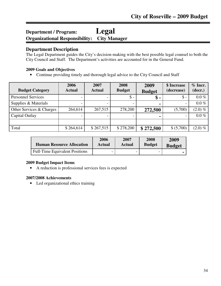### **Department / Program: Legal Organizational Responsibility: City Manager**

### **Department Description**

The Legal Department guides the City's decision-making with the best possible legal counsel to both the City Council and Staff. The Department's activities are accounted for in the General Fund.

#### **2009 Goals and Objectives**

• Continue providing timely and thorough legal advice to the City Council and Staff

| <b>Budget Category</b>    | 2006<br><b>Actual</b> | 2007<br><b>Actual</b> | 2008<br><b>Budget</b> | 2009<br><b>Budget</b> | \$ Increase<br>(decrease) | $%$ Incr.<br>(decr.) |
|---------------------------|-----------------------|-----------------------|-----------------------|-----------------------|---------------------------|----------------------|
| <b>Personnel Services</b> |                       |                       | $\$\,$                | $\$\,$                | $\mathsf{\$}$ -           | $0.0\%$              |
| Supplies & Materials      |                       |                       |                       | $\blacksquare$        | $\overline{\phantom{0}}$  | $0.0\%$              |
| Other Services & Charges  | 264,614               | 267,515               | 278,200               | 272,500               | (5,700)                   | $(2.0) \%$           |
| Capital Outlay            |                       |                       |                       |                       |                           | $0.0\%$              |
|                           |                       |                       |                       |                       |                           |                      |
| Total                     | \$264,614             | \$267,515             | \$278,200             | \$272,500             | \$ (5,700)                | $(2.0)\%$            |

| <b>Human Resource Allocation</b>      | 2006   | 2007          | 2008          | 2009          |
|---------------------------------------|--------|---------------|---------------|---------------|
|                                       | Actual | <b>Actual</b> | <b>Budget</b> | <b>Budget</b> |
| <b>Full-Time Equivalent Positions</b> |        |               |               |               |

#### **2009 Budget Impact Items**

• A reduction is professional services fees is expected

#### **2007/2008 Achievements**

• Led organizational ethics training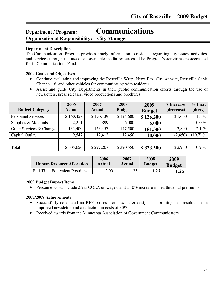# **Department / Program: Communications**

**Organizational Responsibility: City Manager**

# **Department Description**

ֺ֖֚֘֝֬

The Communications Program provides timely information to residents regarding city issues, activities, and services through the use of all available media resources. The Program's activities are accounted for in Communications Fund.

# **2009 Goals and Objectives**

- Continue evaluating and improving the Roseville Wrap, News Fax, City website, Roseville Cable Channel 16, and other vehicles for communicating with residents
- Assist and guide City Departments in their public communication efforts through the use of newsletters, press releases, video productions and brochures

| <b>Budget Category</b>    | 2006<br><b>Actual</b> | 2007<br><b>Actual</b> | 2008<br><b>Budget</b> | 2009<br><b>Budget</b> | \$ Increase<br>(decrease) | $%$ Incr.<br>(decr.) |
|---------------------------|-----------------------|-----------------------|-----------------------|-----------------------|---------------------------|----------------------|
| <b>Personnel Services</b> | \$160,458             | \$120,439             | \$124,600             | \$126,200             | \$1,600                   | $1.3\%$              |
| Supplies & Materials      | 2,211                 | 899                   | 6,000                 | 6,000                 | $\overline{\phantom{0}}$  | $0.0\%$              |
| Other Services & Charges  | 133,400               | 163,457               | 177,500               | 181,300               | 3,800                     | 2.1%                 |
| Capital Outlay            | 9,547                 | 12,412                | 12,450                | 10,000                | (2,450)                   | $(19.7)$ %           |
|                           |                       |                       |                       |                       |                           |                      |
| Total                     | \$305,656             | \$297,207             | \$320,550             | \$323,500             | \$2,950                   | $0.9\%$              |

| <b>Human Resource Allocation</b>      | 2006   | 2007   | 2008          | 2009          |
|---------------------------------------|--------|--------|---------------|---------------|
|                                       | Actual | Actual | <b>Budget</b> | <b>Budget</b> |
| <b>Full-Time Equivalent Positions</b> | 2.00   | .25    | 1.25          | 1.25          |

# **2009 Budget Impact Items**

• Personnel costs include 2.9% COLA on wages, and a 10% increase in health/dental premiums

- Successfully conducted an RFP process for newsletter design and printing that resulted in an improved newsletter and a reduction in costs of 30%
- Received awards from the Minnesota Association of Government Communicators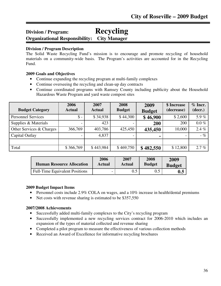# **Division / Program: Recycling Organizational Responsibility: City Manager**

#### ֺ֖֚֘֝֬ **Division / Program Description**

The Solid Waste Recycling Fund's mission is to encourage and promote recycling of household materials on a community-wide basis. The Program's activities are accounted for in the Recycling Fund.

# **2009 Goals and Objectives**

- Continue expanding the recycling program at multi-family complexes
- Continue overseeing the recycling and clean-up day contracts
- Continue coordinated programs with Ramsey County including publicity about the Household Hazardous Waste Program and yard waste compost sites

| <b>Budget Category</b>    | 2006<br><b>Actual</b> | 2007<br><b>Actual</b> | 2008<br><b>Budget</b> | 2009<br><b>Budget</b> | \$ Increase<br>(decrease) | $%$ Incr.<br>(decr.) |
|---------------------------|-----------------------|-----------------------|-----------------------|-----------------------|---------------------------|----------------------|
| <b>Personnel Services</b> | $\mathsf{\$}$ -       | \$34,938              | \$44,300              | \$46,900              | \$2,600                   | 5.9%                 |
| Supplies & Materials      |                       | 423                   |                       | <b>200</b>            | 200                       | $0.0\%$              |
| Other Services & Charges  | 366,769               | 403,786               | 425,450               | 435,450               | 10,000                    | 2.4%                 |
| Capital Outlay            |                       | 4,837                 |                       | ۰                     |                           | $-$ %                |
|                           |                       |                       |                       |                       |                           |                      |
| Total                     | \$366,769             | \$443,984             | \$469,750             | \$482,550             | \$12,800                  | 2.7%                 |

| <b>Human Resource Allocation</b>      | 2006                     | 2007    | 2008          | 2009          |
|---------------------------------------|--------------------------|---------|---------------|---------------|
|                                       | Actual                   | Actual  | <b>Budget</b> | <b>Budget</b> |
| <b>Full-Time Equivalent Positions</b> | $\overline{\phantom{0}}$ | $0.5\,$ |               | 0.5           |

# **2009 Budget Impact Items**

- Personnel costs include 2.9% COLA on wages, and a 10% increase in health/dental premiums
- Net costs with revenue sharing is estimated to be \$357,550

- Successfully added multi-family complexes to the City's recycling program
- Successfully implemented a new recycling services contract for 2006-2010 which includes an expansion of the types of material collected and revenue sharing
- Completed a pilot program to measure the effectiveness of various collection methods
- Received an Award of Excellence for informative recycling brochures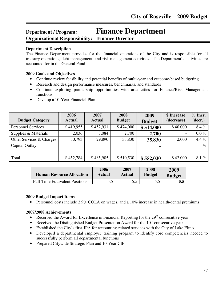# **Department / Program: Finance Department Organizational Responsibility: Finance Director**

### **Department Description**

Ī

The Finance Department provides for the financial operations of the City and is responsible for all treasury operations, debt management, and risk management activities. The Department's activities are accounted for in the General Fund

#### **2009 Goals and Objectives**

- Continue review feasibility and potential benefits of multi-year and outcome-based budgeting
- Research and design performance measures, benchmarks, and standards
- Continue exploring partnership opportunities with area cities for Finance/Risk Management functions
- Develop a 10-Year Financial Plan

| <b>Budget Category</b>    | 2006<br><b>Actual</b> | 2007<br><b>Actual</b>    | 2008<br><b>Budget</b> | 2009<br><b>Budget</b> | \$ Increase<br>(decrease) | $%$ Incr.<br>(decr.) |
|---------------------------|-----------------------|--------------------------|-----------------------|-----------------------|---------------------------|----------------------|
| <b>Personnel Services</b> | \$419,955             | \$452,931                | \$474,000             | \$514,000             | \$40,000                  | 8.4%                 |
| Supplies & Materials      | 2,036                 | 3,084                    | 2,700                 | 2,700                 |                           | $0.0\%$              |
| Other Services & Charges  | 30,793                | 29,890                   | 33,830                | 35,830                | 2,000                     | 4.4 $%$              |
| Capital Outlay            |                       | $\overline{\phantom{0}}$ |                       | $\blacksquare$        |                           | $-$ %                |
|                           |                       |                          |                       |                       |                           |                      |
| Total                     | \$452,784             | \$485,905                | \$510,530             | \$552,030             | \$42,000                  | 8.1%                 |

| <b>Human Resource Allocation</b>      | 2006   | 2007   | 2008          | 2009          |
|---------------------------------------|--------|--------|---------------|---------------|
|                                       | Actual | Actual | <b>Budget</b> | <b>Budget</b> |
| <b>Full-Time Equivalent Positions</b> | 55     | 55.    |               | 5.5           |

#### **2009 Budget Impact Items**

• Personnel costs include 2.9% COLA on wages, and a 10% increase in health/dental premiums

- Received the Award for Excellence in Financial Reporting for the  $29<sup>th</sup>$  consecutive year
- Received the Distinguished Budget Presentation Award for the  $10<sup>th</sup>$  consecutive year
- Established the City's first JPA for accounting-related services with the City of Lake Elmo
- Developed a departmental employee training program to identify core competencies needed to successfully perform all departmental functions
- Prepared Citywide Strategic Plan and 10-Year CIP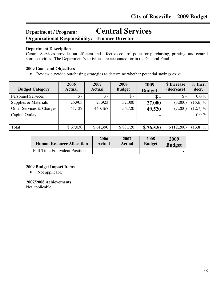# **Department / Program: Central Services Organizational Responsibility: Finance Director** Ī

#### **Department Description**

Central Services provides an efficient and effective control point for purchasing, printing, and central store activities. The Department's activities are accounted for in the General Fund.

#### **2009 Goals and Objectives**

• Review citywide purchasing strategies to determine whether potential savings exist

| <b>Budget Category</b>    | 2006<br><b>Actual</b> | 2007<br><b>Actual</b> | 2008<br><b>Budget</b> | 2009<br><b>Budget</b> | \$ Increase<br>(decrease) | $%$ Incr.<br>(decr.) |
|---------------------------|-----------------------|-----------------------|-----------------------|-----------------------|---------------------------|----------------------|
| <b>Personnel Services</b> | $\$ -                 | $\mathsf{\$}$ -       | $\$\,$                | $\$\,$                | $\$\$ -                   | $0.0\%$              |
| Supplies & Materials      | 25,903                | 25,923                | 32,000                | 27,000                | (5,000)                   | 15.6) $%$            |
| Other Services & Charges  | 41,127                | 440,467               | 56,720                | 49,520                | (7,200)                   | $(12.7)$ %           |
| Capital Outlay            |                       |                       |                       |                       | $\overline{\phantom{0}}$  | $0.0\%$              |
|                           |                       |                       |                       |                       |                           |                      |
| Total                     | \$67,030              | \$61,390              | \$88,720              | \$76,520              | \$(12,200)                | $(13.8)$ %           |

| <b>Human Resource Allocation</b>      | 2006                     | 2007   | 2008          | 2009          |
|---------------------------------------|--------------------------|--------|---------------|---------------|
|                                       | Actual                   | Actual | <b>Budget</b> | <b>Budget</b> |
| <b>Full-Time Equivalent Positions</b> | $\overline{\phantom{0}}$ | -      | -             |               |

#### **2009 Budget Impact Items**

• Not applicable

#### **2007/2008 Achievements**

Not applicable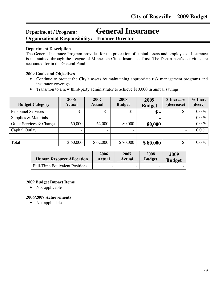# **Department / Program: General Insurance**

**Organizational Responsibility: Finance Director**

### **Department Description**

Ī

The General Insurance Program provides for the protection of capital assets and employees. Insurance is maintained through the League of Minnesota Cities Insurance Trust. The Department's activities are accounted for in the General Fund.

# **2009 Goals and Objectives**

- Continue to protect the City's assets by maintaining appropriate risk management programs and insurance coverage
- Transition to a new third-party administrator to achieve \$10,000 in annual savings

| <b>Budget Category</b>    | 2006<br><b>Actual</b> | 2007<br><b>Actual</b> | 2008<br><b>Budget</b> | 2009<br><b>Budget</b> | \$ Increase<br>(decrease) | $%$ Incr.<br>(decr.) |
|---------------------------|-----------------------|-----------------------|-----------------------|-----------------------|---------------------------|----------------------|
| <b>Personnel Services</b> | $\$ -                 | $\mathsf{\$}$ -       | $\$\,$                | \$ -                  | $\mathsf{\$}$ -           | $0.0\%$              |
| Supplies & Materials      |                       |                       |                       |                       |                           | $0.0\%$              |
| Other Services & Charges  | 60,000                | 62,000                | 80,000                | 80,000                | $\overline{\phantom{a}}$  | $0.0\%$              |
| Capital Outlay            |                       |                       |                       |                       |                           | $0.0\%$              |
|                           |                       |                       |                       |                       |                           |                      |
| Total                     | \$60,000              | \$62,000              | \$80,000              | \$80,000              | $\mathsf{\$}$ -           | $0.0\%$              |

| <b>Human Resource Allocation</b>      | 2006   | 2007   | 2008                     | 2009          |
|---------------------------------------|--------|--------|--------------------------|---------------|
|                                       | Actual | Actual | <b>Budget</b>            | <b>Budget</b> |
| <b>Full-Time Equivalent Positions</b> | -      |        | $\overline{\phantom{0}}$ |               |

# **2009 Budget Impact Items**

• Not applicable

# **2006/2007 Achievements**

• Not applicable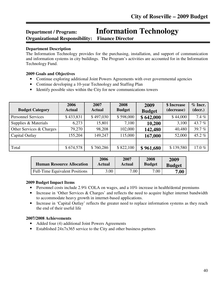# **Department / Program: Information Technology Organizational Responsibility: Finance Director**

#### **Department Description**

Ī

The Information Technology provides for the purchasing, installation, and support of communication and information systems in city buildings. The Program's activities are accounted for in the Information Technology Fund.

### **2009 Goals and Objectives**

- Continue exploring additional Joint Powers Agreements with over governmental agencies
- Continue developing a 10-year Technology and Staffing Plan
- Identify possible sites within the City for new communications towers

| <b>Budget Category</b>    | 2006<br><b>Actual</b> | 2007<br><b>Actual</b> | 2008<br><b>Budget</b> | 2009<br><b>Budget</b> | \$ Increase<br>(decrease) | $%$ Incr.<br>(decr.) |
|---------------------------|-----------------------|-----------------------|-----------------------|-----------------------|---------------------------|----------------------|
| <b>Personnel Services</b> | \$433,831             | \$497,030             | \$598,000             | \$642,000             | \$44,000                  | 7.4%                 |
| Supplies & Materials      | 6,273                 | 15,801                | 7,100                 | 10,200                | 3,100                     | 43.7%                |
| Other Services & Charges  | 79,270                | 98,208                | 102,000               | 142,480               | 40,480                    | 39.7%                |
| Capital Outlay            | 155,204               | 149,247               | 115,000               | 167,000               | 52,000                    | 45.2%                |
|                           |                       |                       |                       |                       |                           |                      |
| Total                     | \$674,578             | \$760,286             | \$822,100             | \$961,680             | \$139,580                 | 17.0%                |

| <b>Human Resource Allocation</b>      | 2006   | 2007   | 2008          | 2009          |
|---------------------------------------|--------|--------|---------------|---------------|
|                                       | Actual | Actual | <b>Budget</b> | <b>Budget</b> |
| <b>Full-Time Equivalent Positions</b> | 3.00   | 7.00   | 7.00          | 7.00          |

# **2009 Budget Impact Items**

- Personnel costs include 2.9% COLA on wages, and a 10% increase in health/dental premiums
- Increase in 'Other Services & Charges' and reflects the need to acquire higher internet bandwidth to accommodate heavy growth in internet-based applications.
- Increase in 'Capital Outlay' reflects the greater need to replace information systems as they reach the end of their useful life

- Added four (4) additional Joint Powers Agreements
- Established 24x7x365 service to the City and other business partners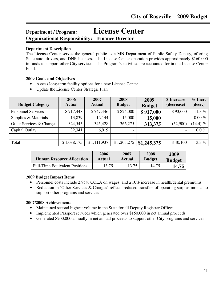# **Department / Program: License Center**

**Organizational Responsibility: Finance Director**

# **Department Description**

Ī

The License Center serves the general public as a MN Department of Public Safety Deputy, offering State auto, drivers, and DNR licenses. The License Center operation provides approximately \$160,000 in funds to support other City services. The Program's activities are accounted for in the License Center Fund.

# **2009 Goals and Objectives**

- Assess long-term facility options for a new License Center
- Update the License Center Strategic Plan

| <b>Budget Category</b>    | 2006<br><b>Actual</b> | 2007<br><b>Actual</b> | 2008<br><b>Budget</b> | 2009          | \$ Increase<br>(decrease) | $%$ Incr.<br>(decr.) |
|---------------------------|-----------------------|-----------------------|-----------------------|---------------|---------------------------|----------------------|
| <b>Personnel Services</b> | \$717,448             | \$747,446             | \$824,000             | <b>Budget</b> | \$93,000                  | 11.3 $%$             |
| Supplies & Materials      | 13,839                | 12,144                | 15,000                | \$917,000     |                           | $0.00 \%$            |
|                           |                       |                       |                       | 15,000        | $\qquad \qquad -$         |                      |
| Other Services & Charges  | 324,545               | 345,428               | 366,275               | 313,375       | (52,900)                  | $(14.4)$ %           |
| Capital Outlay            | 32,341                | 6,919                 |                       |               |                           | $0.0\%$              |
|                           |                       |                       |                       |               |                           |                      |
| Total                     | \$1,088,175           | \$1,111,937           | \$1,205,275           | \$1,245,375   | \$40,100                  | 3.3%                 |

| <b>Human Resource Allocation</b>      | 2006   | 2007   | 2008          | 2009          |
|---------------------------------------|--------|--------|---------------|---------------|
|                                       | Actual | Actual | <b>Budget</b> | <b>Budget</b> |
| <b>Full-Time Equivalent Positions</b> | 13.75  | 13.75  | 14.75         | 14.75         |

# **2009 Budget Impact Items**

- Personnel costs include 2.95% COLA on wages, and a 10% increase in health/dental premiums
- Reduction in 'Other Services & Charges' reflects reduced transfers of operating surplus monies to support other programs and services

- Maintained second highest volume in the State for all Deputy Registrar Offices
- Implemented Passport services which generated over \$150,000 in net annual proceeds
- Generated \$200,000 annually in net annual proceeds to support other City programs and services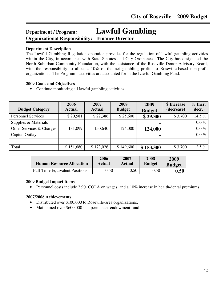# **Department / Program: Lawful Gambling Organizational Responsibility: Finance Director**

#### **Department Description**

Ī

The Lawful Gambling Regulation operation provides for the regulation of lawful gambling activities within the City, in accordance with State Statutes and City Ordinance. The City has designated the North Suburban Community Foundation, with the assistance of the Roseville Donor Advisory Board, with the responsibility to allocate 10% of the net gambling profits to Roseville-based non-profit organizations. The Program's activities are accounted for in the Lawful Gambling Fund.

#### **2009 Goals and Objectives**

• Continue monitoring all lawful gambling activities

| <b>Budget Category</b>    | 2006<br><b>Actual</b> | 2007<br><b>Actual</b> | 2008<br><b>Budget</b> | 2009<br><b>Budget</b> | \$ Increase<br>(decrease) | $%$ Incr.<br>(decr.) |
|---------------------------|-----------------------|-----------------------|-----------------------|-----------------------|---------------------------|----------------------|
| <b>Personnel Services</b> | \$20,581              | \$22,386              | \$25,600              | \$29,300              | \$3,700                   | 14.5 $%$             |
| Supplies & Materials      |                       |                       |                       | ۰                     |                           | $0.0\%$              |
| Other Services & Charges  | 131,099               | 150,640               | 124,000               | 124,000               |                           | $0.0\%$              |
| Capital Outlay            |                       |                       |                       |                       |                           | $0.0\%$              |
|                           |                       |                       |                       |                       |                           |                      |
| Total                     | \$151,680             | \$173,026             | \$149,600             | \$153,300             | \$3,700                   | $2.5 \%$             |

| <b>Human Resource Allocation</b>      | 2006   | 2007   | 2008          | 2009          |
|---------------------------------------|--------|--------|---------------|---------------|
|                                       | Actual | Actual | <b>Budget</b> | <b>Budget</b> |
| <b>Full-Time Equivalent Positions</b> | .50    | 0.50   | 0.50          | $\,0.50$      |

#### **2009 Budget Impact Items**

• Personnel costs include 2.9% COLA on wages, and a 10% increase in health/dental premiums

- Distributed over \$100,000 to Roseville-area organizations.
- Maintained over \$600,000 in a permanent endowment fund.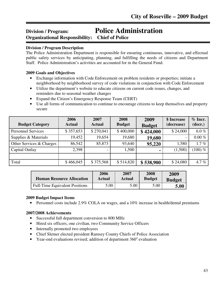# **Division / Program: Police Administration Organizational Responsibility: Chief of Police**

### **Division / Program Description**

The Police Administration Department is responsible for ensuring continuous, innovative, and effectual public safety services by anticipating, planning, and fulfilling the needs of citizens and Department Staff. Police Administration's activities are accounted for in the General Fund.

#### **2009 Goals and Objectives**

- Exchange information with Code Enforcement on problem residents or properties; initiate a neighborhood by neighborhood survey of code violations in conjunction with Code Enforcement
- Utilize the department's website to educate citizens on current code issues, changes, and reminders due to seasonal weather changes
- Expand the Citizen's Emergency Response Team (CERT)
- Use all forms of communication to continue to encourage citizens to keep themselves and property secure

| <b>Budget Category</b>    | 2006<br><b>Actual</b> | 2007<br><b>Actual</b> | 2008<br><b>Budget</b> | 2009<br><b>Budget</b> | \$ Increase<br>(decrease) | $%$ Incr.<br>(decr.) |
|---------------------------|-----------------------|-----------------------|-----------------------|-----------------------|---------------------------|----------------------|
| <b>Personnel Services</b> | \$357,653             | \$270,041             | \$400,000             | \$424,000             | \$24,000                  | 6.0 $%$              |
| Supplies & Materials      | 19,452                | 19,654                | 19,680                | 19,680                | $\overline{\phantom{0}}$  | $0.00\%$             |
| Other Services & Charges  | 86,542                | 85,873                | 93,640                | 95,220                | 1,580                     | $1.7\%$              |
| Capital Outlay            | 2,398                 |                       | 1,500                 | ۰                     | (1,500)                   | $(100) \%$           |
|                           |                       |                       |                       |                       |                           |                      |
| Total                     | \$466,045             | \$375,568             | \$514,820             | \$538,900             | \$24,080                  | 4.7 $%$              |

| <b>Human Resource Allocation</b>      | 2006   | 2007   | 2008          | 2009          |
|---------------------------------------|--------|--------|---------------|---------------|
|                                       | Actual | Actual | <b>Budget</b> | <b>Budget</b> |
| <b>Full-Time Equivalent Positions</b> | 5.00   | 5.00   | 5.00          | 5.00          |

# **2009 Budget Impact Items**

• Personnel costs include 2.9% COLA on wages, and a 10% increase in health/dental premiums

- Successful full department conversion to 800 MHz
- Hired six officers, one civilian, two Community Service Officers
- Internally promoted two employees
- Chief Sletner elected president Ramsey County Chiefs of Police Association
- Year-end evaluations revised; addition of department  $360^\circ$  evaluation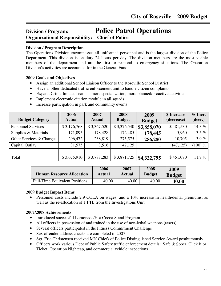# **Division / Program: Police Patrol Operations Organizational Responsibility: Chief of Police** ֬֕֜֬

### **Division / Program Description**

The Operations Division encompasses all uniformed personnel and is the largest division of the Police Department. This division is on duty 24 hours per day. The division members are the most visible members of the department and are the first to respond to emergency situations. The Operation Division's activities are accounted for in the General Fund.

#### **2009 Goals and Objectives**

- Assign an additional School Liaison Officer to the Roseville School District
- Have another dedicated traffic enforcement unit to handle citizen complaints
- Expand Crime Impact Teams—more specialization, more planned/proactive activities
- Implement electronic citation module in all squads
- Increase participation in park and community events

| <b>Budget Category</b>    | 2006<br><b>Actual</b> | 2007<br><b>Actual</b> | 2008<br><b>Budget</b> | 2009<br><b>Budget</b> | \$ Increase<br>(decrease) | $%$ Incr.<br>(decr.) |
|---------------------------|-----------------------|-----------------------|-----------------------|-----------------------|---------------------------|----------------------|
| <b>Personnel Services</b> | \$3,176,768           | \$3,367,520           | \$3,376,540           | \$3,858,070           | \$481,530                 | 14.3%                |
| Supplies & Materials      | 171,095               | 178,428               | 172,485               | 178,445               | 5,960                     | $3.5 \%$             |
| Other Services & Charges  | 296,472               | 238,819               | 275,575               | 286,280               | 10,705                    | 3.9%                 |
| Capital Outlay            | 31,575                | 3,516                 | 47,125                | ٠                     | (47, 125)                 | $(100) \%$           |
|                           |                       |                       |                       |                       |                           |                      |
| Total                     | \$3,675,910           | \$3,788,283           | \$3,871,725           | \$4,322,795           | \$451,070                 | 11.7 $%$             |

| <b>Human Resource Allocation</b>      | 2006   | 2007          | 2008          | 2009          |
|---------------------------------------|--------|---------------|---------------|---------------|
|                                       | Actual | <b>Actual</b> | <b>Budget</b> | <b>Budget</b> |
| <b>Full-Time Equivalent Positions</b> | 40.00  | 40.00         | 40.00         | 40.00         |

# **2009 Budget Impact Items**

• Personnel costs include 2.9 COLA on wages, and a 10% increase in health/dental premiums, as well as the re-allocation of 1 FTE from the Investigations Unit.

- Introduced successful Lemonade/Hot Cocoa Stand Program
- All officers in possession of and trained in the use of non-lethal weapons (tasers)
- Several officers participated in the Fitness Commitment Challenge
- Sex offender address checks are completed in 2007
- Sgt. Eric Christensen received MN Chiefs of Police Distinguished Service Award posthumously
- Officers work various Dept of Public Safety traffic enforcement details: Safe & Sober, Click It or Ticket, Operation Nightcap, and commercial vehicle inspections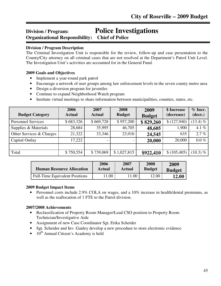# **Division / Program: Police Investigations Organizational Responsibility: Chief of Police**

#### ֬֕֜֬ **Division / Program Description**

The Criminal Investigation Unit is responsible for the review, follow-up and case presentation to the County/City attorney on all criminal cases that are not resolved at the Department's Patrol Unit Level. The Investigation Unit's activities are accounted for in the General Fund.

#### **2009 Goals and Objectives**

- Implement a year-round park patrol
- Encourage a network of user groups among law enforcement levels in the seven county metro area
- Design a diversion program for juveniles
- Continue to expand Neighborhood Watch program
- Institute virtual meetings to share information between municipalities, counties, states, etc.

| <b>Budget Category</b>    | 2006<br><b>Actual</b> | 2007<br><b>Actual</b>    | 2008<br><b>Budget</b> | 2009<br><b>Budget</b> | \$ Increase<br>(decrease) | $%$ Incr.<br>(decr.) |
|---------------------------|-----------------------|--------------------------|-----------------------|-----------------------|---------------------------|----------------------|
| <b>Personnel Services</b> | \$683,326             | \$669,728                | \$957,200             | \$829,260             | (127,940)                 | $(13.4) \%$          |
| Supplies & Materials      | 28,684                | 35,995                   | 46,705                | 48,605                | 1,900                     | 4.1 $%$              |
| Other Services & Charges  | 21,322                | 33,346                   | 23,910                | 24,545                | 635                       | 2.7%                 |
| Capital Outlay            | 17,222                | $\overline{\phantom{a}}$ |                       | 20,000                | 20,000                    | $0.0\%$              |
|                           |                       |                          |                       |                       |                           |                      |
| Total                     | \$750,554             | \$739,069                | \$1,027,815           | \$922,410             | \$(105,405)               | $(10.3) \%$          |

| <b>Human Resource Allocation</b>      | 2006   | 2007   | 2008          | 2009          |
|---------------------------------------|--------|--------|---------------|---------------|
|                                       | Actual | Actual | <b>Budget</b> | <b>Budget</b> |
| <b>Full-Time Equivalent Positions</b> | .00    | .00    | 12.00         | <b>12.00</b>  |

#### **2009 Budget Impact Items**

• Personnel costs include 2.9% COLA on wages, and a 10% increase in health/dental premiums, as well as the reallocation of 1 FTE to the Patrol division.

- Reclassification of Property Room Manager/Lead CSO position to Property Room Technician/Investigative Aide
- Assignment of new Case Coordinator Sgt. Erika Scheider
- Sgt. Scheider and Inv. Ganley develop a new procedure to store electronic evidence
- $\bullet$  10<sup>th</sup> Annual Citizen's Academy is held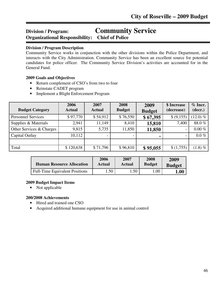# **Division / Program: Community Service Organizational Responsibility: Chief of Police**

#### ֺ֘֒ **Division / Program Description**

Community Service works in conjunction with the other divisions within the Police Department, and interacts with the City Administration. Community Service has been an excellent source for potential candidates for police officer. The Community Service Division's activities are accounted for in the General Fund.

#### **2009 Goals and Objectives**

- Return complement of CSO's from two to four
- Reinstate CADET program
- Implement a Blight Enforcement Program

| <b>Budget Category</b>    | 2006<br><b>Actual</b> | 2007<br><b>Actual</b> | 2008<br><b>Budget</b> | 2009<br><b>Budget</b> | \$ Increase<br>(decrease) | $%$ Incr.<br>(decr.) |
|---------------------------|-----------------------|-----------------------|-----------------------|-----------------------|---------------------------|----------------------|
| <b>Personnel Services</b> | \$97,770              | \$54,912              | \$76,550              | \$67,395              | \$ (9,155)                | $(12.0) \%$          |
| Supplies & Materials      | 2,941                 | 11,149                | 8,410                 | 15,810                | 7,400                     | 88.0%                |
| Other Services & Charges  | 9,815                 | 5,735                 | 11,850                | 11,850                | $\blacksquare$            | $0.00\%$             |
| Capital Outlay            | 10,112                |                       |                       | $\blacksquare$        | $\overline{\phantom{a}}$  | $0.0\%$              |
|                           |                       |                       |                       |                       |                           |                      |
| Total                     | \$120,638             | \$71,796              | \$96,810              | \$95,055              | \$(1,755)                 | $(1.8) \%$           |

| <b>Human Resource Allocation</b>      | 2006   | 2007   | 2008          | 2009          |
|---------------------------------------|--------|--------|---------------|---------------|
|                                       | Actual | Actual | <b>Budget</b> | <b>Budget</b> |
| <b>Full-Time Equivalent Positions</b> | .50    | . .50  | 1.00          | 1.00          |

#### **2009 Budget Impact Items**

• Not applicable

- Hired and trained one CSO
- Acquired additional humane equipment for use in animal control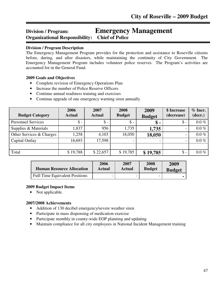# **Division / Program: Emergency Management Organizational Responsibility: Chief of Police** ֺ֘֒

### **Division / Program Description**

The Emergency Management Program provides for the protection and assistance to Roseville citizens before, during, and after disasters, while maintaining the continuity of City Government. The Emergency Management Program includes volunteer police reserves. The Program's activities are accounted for in the General Fund.

#### **2009 Goals and Objectives**

- Complete revision of Emergency Operations Plan
- Increase the number of Police Reserve Officers
- Continue annual readiness training and exercises
- Continue upgrade of one emergency warning siren annually

| <b>Budget Category</b>    | 2006<br><b>Actual</b> | 2007<br><b>Actual</b> | 2008<br><b>Budget</b> | 2009<br><b>Budget</b> | \$ Increase<br>(decrease) | $%$ Incr.<br>(decr.) |
|---------------------------|-----------------------|-----------------------|-----------------------|-----------------------|---------------------------|----------------------|
| <b>Personnel Services</b> | $\mathsf{\$}$ -       | $\mathsf{\$}$ -       | $\mathsf{\$}$ -       | $\boldsymbol{\$}$ -   | $\mathcal{S}$ -           | $0.0\%$              |
| Supplies & Materials      | 1,837                 | 956                   | 1,735                 | 1,735                 |                           | $0.0\%$              |
| Other Services & Charges  | 1,258                 | 4,103                 | 18,050                | 18,050                |                           | $0.0\%$              |
| Capital Outlay            | 16,693                | 17,598                |                       |                       |                           | $0.0\%$              |
|                           |                       |                       |                       |                       |                           |                      |
| Total                     | \$19,788              | \$22,657              | \$19,785              | \$19,785              | $\mathcal{S}$ -           | $0.0\%$              |

| <b>Human Resource Allocation</b>      | 2006   | 2007   | 2008          | 2009          |
|---------------------------------------|--------|--------|---------------|---------------|
|                                       | Actual | Actual | <b>Budget</b> | <b>Budget</b> |
| <b>Full-Time Equivalent Positions</b> | -      |        |               |               |

#### **2009 Budget Impact Items**

• Not applicable.

- Addition of 130 decibel emergency/severe weather siren
- Participate in mass dispensing of medication exercise
- Participate monthly in county-wide EOP planning and updating
- Maintain compliance for all city employees in National Incident Management training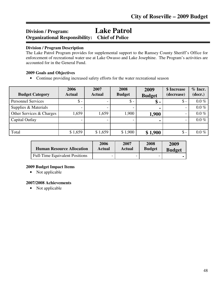# **Division / Program: Lake Patrol Organizational Responsibility: Chief of Police**

#### ֺ֘֒ **Division / Program Description**

The Lake Patrol Program provides for supplemental support to the Ramsey County Sheriff's Office for enforcement of recreational water use at Lake Owasso and Lake Josephine. The Program's activities are accounted for in the General Fund.

#### **2009 Goals and Objectives**

• Continue providing increased safety efforts for the water recreational season

| <b>Budget Category</b>    | 2006<br><b>Actual</b> | 2007<br><b>Actual</b> | 2008<br><b>Budget</b> | 2009<br><b>Budget</b> | \$ Increase<br>(decrease) | $%$ Incr.<br>(decr.) |
|---------------------------|-----------------------|-----------------------|-----------------------|-----------------------|---------------------------|----------------------|
| <b>Personnel Services</b> | $\$ -                 |                       | $\mathsf{\$}$ -       | \$ -                  | $\$\$ -                   | $0.0\%$              |
| Supplies & Materials      |                       |                       |                       | ٠                     |                           | $0.0\%$              |
| Other Services & Charges  | 1,659                 | 1,659                 | 1,900                 | 1,900                 |                           | $0.0\%$              |
| Capital Outlay            |                       |                       |                       | $\blacksquare$        |                           | $0.0\%$              |
|                           |                       |                       |                       |                       |                           |                      |
| Total                     | \$1,659               | \$1,659               | \$1,900               | \$1,900               | $\mathsf{\$}$ -           | $0.0\%$              |

| <b>Human Resource Allocation</b> | 2006   | 2007   | 2008          | 2009          |
|----------------------------------|--------|--------|---------------|---------------|
|                                  | Actual | Actual | <b>Budget</b> | <b>Budget</b> |
| Full-Time Equivalent Positions   | -      |        |               |               |

# **2009 Budget Impact Items**

• Not applicable

# **2007/2008 Achievements**

• Not applicable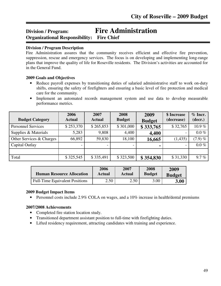# **Division / Program: Fire Administration Organizational Responsibility: Fire Chief** ֺ֘֒

### **Division / Program Description**

Fire Administration assures that the community receives efficient and effective fire prevention, suppression, rescue and emergency services. The focus is on developing and implementing long-range plans that improve the quality of life for Roseville residents. The Division's activities are accounted for in the General Fund.

#### **2009 Goals and Objectives**

- Reduce payroll expenses by transitioning duties of salaried administrative staff to work on-duty shifts, ensuring the safety of firefighters and ensuring a basic level of fire protection and medical care for the community.
- Implement an automated records management system and use data to develop measurable performance metrics.

| <b>Budget Category</b>    | 2006<br><b>Actual</b> | 2007<br><b>Actual</b> | 2008<br><b>Budget</b> | 2009<br><b>Budget</b> | \$ Increase<br>(decrease) | $%$ Incr.<br>(decr.) |
|---------------------------|-----------------------|-----------------------|-----------------------|-----------------------|---------------------------|----------------------|
| <b>Personnel Services</b> | \$253,370             | \$265,853             | \$301,000             | \$333,765             | \$32,765                  | 10.9%                |
| Supplies & Materials      | 5,283                 | 9,808                 | 4,400                 | 4,400                 | $\overline{\phantom{0}}$  | $0.0\%$              |
| Other Services & Charges  | 66,892                | 59,830                | 18,100                | 16,665                | (1, 435)                  | $(7.9) \%$           |
| Capital Outlay            |                       |                       |                       |                       | -                         | $0.0\%$              |
|                           |                       |                       |                       |                       |                           |                      |
| Total                     | \$325,545             | \$335,491             | \$323,500             | \$354,830             | \$31,330                  | 9.7%                 |

| <b>Human Resource Allocation</b>      | 2006   | 2007   | 2008          | 2009          |
|---------------------------------------|--------|--------|---------------|---------------|
|                                       | Actual | Actual | <b>Budget</b> | <b>Budget</b> |
| <b>Full-Time Equivalent Positions</b> | 2.50   | 2.50   | 3.00          | 3.00          |

# **2009 Budget Impact Items**

• Personnel costs include 2.9% COLA on wages, and a 10% increase in health/dental premiums

- Completed fire station location study.
- Transitioned department assistant position to full-time with firefighting duties.
- Lifted residency requirement, attracting candidates with training and experience.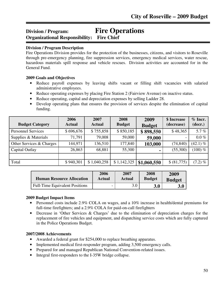# **Division / Program: Fire Operations Organizational Responsibility: Fire Chief** ֺ֘֒

### **Division / Program Description**

Fire Operations Division provides for the protection of the businesses, citizens, and visitors to Roseville through pre-emergency planning, fire suppression services, emergency medical services, water rescue, hazardous materials spill response and vehicle rescues. Division activities are accounted for in the General Fund.

#### **2009 Goals and Objectives**

- Reduce payroll expenses by leaving shifts vacant or filling shift vacancies with salaried administrative employees.
- Reduce operating expenses by placing Fire Station 2 (Fairview Avenue) on inactive status.
- Reduce operating, capital and depreciation expenses by selling Ladder 28.
- Develop operating plans that ensures the provision of services despite the elimination of capital funding.

| <b>Budget Category</b>    | 2006<br><b>Actual</b> | 2007<br><b>Actual</b> | 2008<br><b>Budget</b> | 2009<br><b>Budget</b> | \$ Increase<br>(decrease) | $%$ Incr.<br>(decr.) |
|---------------------------|-----------------------|-----------------------|-----------------------|-----------------------|---------------------------|----------------------|
| <b>Personnel Services</b> | \$696,676             | \$755,858             | \$850,185             | \$898,550             | \$48,365                  | 5.7%                 |
| Supplies & Materials      | 71,791                | 79,008                | 59,000                | 59,000                | $\overline{\phantom{a}}$  | $0.0\%$              |
| Other Services & Charges  | 144,971               | 136,510               | 177,840               | 103,000               | (74, 840)                 | $(42.1) \%$          |
| Capital Outlay            | 26,863                | 68,881                | 55,300                | ٠                     | (55,300)                  | $(100)$ %            |
|                           |                       |                       |                       |                       |                           |                      |
| Total                     | \$940,301             | \$1,040,258           | \$1,142,325           | \$1,060,550           | \$ (81,775)               | $(7.2) \%$           |

| <b>Human Resource Allocation</b> | 2006   | 2007          | 2008          | 2009          |
|----------------------------------|--------|---------------|---------------|---------------|
|                                  | Actual | <b>Actual</b> | <b>Budget</b> | <b>Budget</b> |
| Full-Time Equivalent Positions   |        | 3.0           | 3.0           | 3.0           |

#### **2009 Budget Impact Items**

- Personnel costs include 2.9% COLA on wages, and a 10% increase in health/dental premiums for full-time firefighters; and a 2.9% COLA for paid-on-call firefighters
- Decrease in 'Other Services & Charges' due to the elimination of depreciation charges for the replacement of fire vehicles and equipment, and dispatching service costs which are fully captured in the Police Operations Budget.

- Awarded a federal grant for \$254,000 to replace breathing apparatus.
- Implemented medical first-responder program, adding 3,500 emergency calls.
- Prepared for and managed Republican National Convention-related issues.
- Integral first-responders to the I-35W bridge collapse.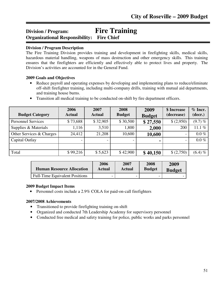# **Division / Program: Fire Training Organizational Responsibility: Fire Chief**

#### ֺ֘֒ **Division / Program Description**

The Fire Training Division provides training and development in firefighting skills, medical skills, hazardous material handling, weapons of mass destruction and other emergency skills. This training ensures that the firefighters are efficiently and effectively able to protect lives and property. The Division's activities are accounted for in the General Fund.

#### **2009 Goals and Objectives**

• Reduce payroll and operating expenses by developing and implementing plans to reduce/eliminate off-shift firefighter training, including multi-company drills, training with mutual aid departments, and training house burns.

| <b>Budget Category</b>    | 2006<br><b>Actual</b> | 2007<br><b>Actual</b> | 2008<br><b>Budget</b> | 2009<br><b>Budget</b> | \$ Increase<br>(decrease) | $%$ Incr.<br>(decr.) |
|---------------------------|-----------------------|-----------------------|-----------------------|-----------------------|---------------------------|----------------------|
| <b>Personnel Services</b> | \$73,688              | \$32,905              | \$30,500              | \$27,550              | \$(2,950)                 | $(9.7)$ %            |
| Supplies & Materials      | 1,116                 | 3,510                 | 1,800                 | 2,000                 | 200                       | 11.1 $%$             |
| Other Services & Charges  | 24,412                | 21,208                | 10,600                | 10,600                |                           | $0.0\%$              |
| Capital Outlay            |                       |                       |                       | ٠                     | $\overline{\phantom{0}}$  | $0.0\%$              |
|                           |                       |                       |                       |                       |                           |                      |
| Total                     | \$99,216              | \$5,623               | \$42,900              | \$40,150              | (2,750)                   | $(6.4) \%$           |

| <b>Human Resource Allocation</b>      | 2006   | 2007                     | 2008                     | 2009          |
|---------------------------------------|--------|--------------------------|--------------------------|---------------|
|                                       | Actual | Actual                   | <b>Budget</b>            | <b>Budget</b> |
| <b>Full-Time Equivalent Positions</b> |        | $\overline{\phantom{0}}$ | $\overline{\phantom{0}}$ |               |

#### **2009 Budget Impact Items**

• Personnel costs include a 2.9% COLA for paid-on-call firefighters

- Transitioned to provide firefighting training on-shift
- Organized and conducted 7th Leadership Academy for supervisory personnel
- Conducted free medical and safety training for police, public works and parks personnel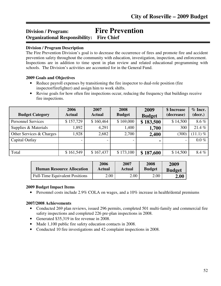# **Division / Program: Fire Prevention Organizational Responsibility: Fire Chief** ֺ֘֒

# **Division / Program Description**

The Fire Prevention Division's goal is to decrease the occurrence of fires and promote fire and accident prevention safety throughout the community with education, investigation, inspection, and enforcement. Inspections are in addition to time spent in plan review and related educational programming with schools. The Division's activities are accounted for in the General Fund.

#### **2009 Goals and Objectives**

- Reduce payroll expenses by transitioning the fire inspector to dual-role position (fire inspector/firefighter) and assign him to work shifts.
- Revise goals for how often fire inspections occur, reducing the frequency that buildings receive fire inspections.

| <b>Budget Category</b>    | 2006<br><b>Actual</b> | 2007<br><b>Actual</b> | 2008<br><b>Budget</b> | 2009<br><b>Budget</b> | \$ Increase<br>(decrease)    | $%$ Incr.<br>(decr.) |
|---------------------------|-----------------------|-----------------------|-----------------------|-----------------------|------------------------------|----------------------|
| <b>Personnel Services</b> | \$157,729             | \$160,464             | \$169,000             | \$183,500             | \$14,500                     | 8.6%                 |
| Supplies & Materials      | ,892                  | 4,291                 | 1,400                 | 1,700                 | 300                          | 21.4%                |
| Other Services & Charges  | ,928                  | 2,682                 | 2,700                 | 2,400                 | (300)                        | $(11.1)$ %           |
| Capital Outlay            |                       |                       |                       | $\blacksquare$        | $\qquad \qquad \blacksquare$ | $0.0\%$              |
|                           |                       |                       |                       |                       |                              |                      |
| Total                     | \$161,549             | \$167,437             | \$173,100             | \$187,600             | \$14,500                     | 8.4%                 |

| <b>Human Resource Allocation</b>      | 2006   | 2007   | 2008          | 2009          |
|---------------------------------------|--------|--------|---------------|---------------|
|                                       | Actual | Actual | <b>Budget</b> | <b>Budget</b> |
| <b>Full-Time Equivalent Positions</b> | 2.00   | 2.00   | 2.00          | 2.00          |

#### **2009 Budget Impact Items**

• Personnel costs include 2.9% COLA on wages, and a 10% increase in health/dental premiums

- Conducted 269 plan reviews, issued 296 permits, completed 501 multi-family and commercial fire safety inspections and completed 226 pre-plan inspections in 2008.
- Generated \$35,319 in fee revenue in 2008.
- Made 1,100 public fire safety education contacts in 2008.
- Conducted 10 fire investigations and 42 complaint inspections in 2008.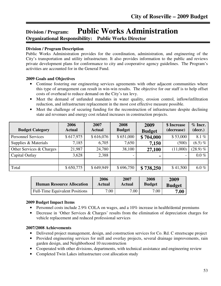# **Division / Program: Public Works Administration Organizational Responsibility: Public Works Director**

#### ֺ֖֚֝֬ **Division / Program Description**

Public Works Administration provides for the coordination, administration, and engineering of the City's transportation and utility infrastructure. It also provides information to the public and reviews private development plans for conformance to city and cooperative agency guidelines. The Program's activities are accounted for in the General Fund.

# **2009 Goals and Objectives**

- Continue fostering our engineering services agreements with other adjacent communities where this type of arrangement can result in win-win results. The objective for our staff is to help offset costs of overhead to reduce demand on the City's tax levy.
- Meet the demand of unfunded mandates in water quality, erosion control, inflow/infiltration reduction, and infrastructure replacement in the most cost effective measure possible.
- Meet the challenge of securing funding for the reconstruction of infrastructure despite declining state aid revenues and energy cost related increases in construction projects.

| <b>Budget Category</b>    | 2006<br><b>Actual</b> | 2007<br><b>Actual</b> | 2008<br><b>Budget</b> | 2009<br><b>Budget</b> | \$ Increase<br>(decrease) | % Incr.<br>(decr.) |
|---------------------------|-----------------------|-----------------------|-----------------------|-----------------------|---------------------------|--------------------|
| <b>Personnel Services</b> | \$617,975             | \$616,076             | \$651,000             | \$704,000             | \$53,000                  | 8.1%               |
| Supplies & Materials      | 7,185                 | 6,705                 | 7,650                 | 7,150                 | (500)                     | $(6.5) \%$         |
| Other Services & Charges  | 21,987                | 24,780                | 38,100                | 27,100                | (11,000)                  | $(28.9)$ %         |
| Capital Outlay            | 3,628                 | 2,388                 |                       | $\blacksquare$        | $\overline{\phantom{a}}$  | $0.0\%$            |
|                           |                       |                       |                       |                       |                           |                    |
| Total                     | \$650,775             | \$649,949             | \$696,750             | \$738,250             | \$41,500                  | $6.0\%$            |

| <b>Human Resource Allocation</b>      | 2006   | 2007   | 2008          | 2009          |
|---------------------------------------|--------|--------|---------------|---------------|
|                                       | Actual | Actual | <b>Budget</b> | <b>Budget</b> |
| <b>Full-Time Equivalent Positions</b> | 7.00   | 7.00   | 7.00          | 7.00          |

#### **2009 Budget Impact Items**

- Personnel costs include 2.9% COLA on wages, and a 10% increase in health/dental premiums
- Decrease in 'Other Services & Charges' results from the elimination of depreciation charges for vehicle replacement and reduced professional services

- Delivered project management, design, and construction services for Co. Rd. C streetscape project
- Provided engineering services for mill and overlay projects, several drainage improvements, rain garden design, and Neighborhood 10 reconstruction
- Cooperated with other divisions, departments, with technical assistance and engineering review
- Completed Twin Lakes infrastructure cost allocation study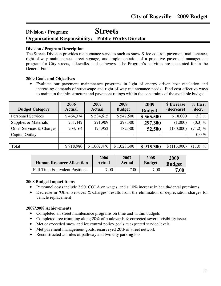# **Division / Program: Streets Organizational Responsibility: Public Works Director**

#### ֺ֖֚֝֬ **Division / Program Description**

The Streets Division provides maintenance services such as snow & ice control, pavement maintenance, right-of-way maintenance, street signage, and implementation of a proactive pavement management program for City streets, sidewalks, and pathways. The Program's activities are accounted for in the General Fund.

# **2009 Goals and Objectives**

• Evaluate our pavement maintenance programs in light of energy driven cost escalation and increasing demands of streetscape and right-of-way maintenance needs. Find cost effective ways to maintain the infrastructure and pavement ratings within the constraints of the available budget

| <b>Budget Category</b>    | 2006<br><b>Actual</b> | 2007<br><b>Actual</b> | 2008<br><b>Budget</b> | 2009<br><b>Budget</b> | \$ Increase<br>(decrease) | $%$ Incr.<br>(decr.) |
|---------------------------|-----------------------|-----------------------|-----------------------|-----------------------|---------------------------|----------------------|
| <b>Personnel Services</b> | \$464,374             | \$534,615             | \$547,500             | \$565,500             | \$18,000                  | 3.3%                 |
| Supplies & Materials      | 251,442               | 291,909               | 298,300               | 297,300               | (1,000)                   | $(0.3) \%$           |
| Other Services & Charges  | 203,164               | 175,952               | 182,500               | 52,500                | (130,000)                 | $(71.2) \%$          |
| Capital Outlay            |                       |                       |                       |                       | $\qquad \qquad =$         | $0.0\%$              |
|                           |                       |                       |                       |                       |                           |                      |
| Total                     | \$918,980             | \$1,002,476           | \$1,028,300           | \$915,300             | \$(113,000)               | $(11.0) \%$          |

| <b>Human Resource Allocation</b>      | 2006   | 2007   | 2008          | 2009          |
|---------------------------------------|--------|--------|---------------|---------------|
|                                       | Actual | Actual | <b>Budget</b> | <b>Budget</b> |
| <b>Full-Time Equivalent Positions</b> | 7.00   | 7.00   | 7.00          | 7.00          |

# **2008 Budget Impact Items**

- Personnel costs include 2.9% COLA on wages, and a 10% increase in health/dental premiums
- Decrease in 'Other Services & Charges' results from the elimination of depreciation charges for vehicle replacement

- Completed all street maintenance programs on time and within budgets
- Completed tree trimming along 20% of boulevards & corrected several visibility issues
- Met or exceeded snow and ice control policy goals at expected service levels
- Met pavement management goals, resurveyed 20% of street network
- Reconstructed .5 miles of pathway and two city parking lots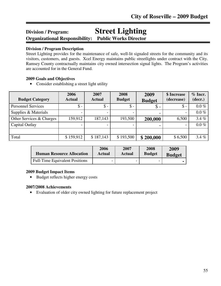# **Division / Program: Street Lighting Organizational Responsibility: Public Works Director**

#### **Division / Program Description**

ֺ֖֚֝֬

Street Lighting provides for the maintenance of safe, well-lit signaled streets for the community and its visitors, customers, and guests. Xcel Energy maintains public streetlights under contract with the City. Ramsey County contractually maintains city owned intersection signal lights. The Program's activities are accounted for in the General Fund.

#### **2009 Goals and Objectives**

• Consider establishing a street light utility

| <b>Budget Category</b>    | 2006<br><b>Actual</b> | 2007<br><b>Actual</b> | 2008<br><b>Budget</b> | 2009<br><b>Budget</b> | \$ Increase<br>(decrease) | $%$ Incr.<br>(decr.) |
|---------------------------|-----------------------|-----------------------|-----------------------|-----------------------|---------------------------|----------------------|
| <b>Personnel Services</b> | $\$ -                 | $\mathcal{S}$ -       | $\mathsf{\$}$ -       | $\mathcal{S}$ -       | $\mathcal{S}$ -           | $0.0\%$              |
| Supplies & Materials      |                       |                       |                       |                       | $\overline{\phantom{0}}$  | $0.0\%$              |
| Other Services & Charges  | 159,912               | 187,143               | 193,500               | 200,000               | 6,500                     | 3.4%                 |
| Capital Outlay            |                       |                       |                       |                       |                           | $0.0\%$              |
|                           |                       |                       |                       |                       |                           |                      |
| Total                     | \$159,912             | \$187,143             | \$193,500             | \$200,000             | \$6,500                   | 3.4%                 |

| <b>Human Resource Allocation</b>      | 2006   | 2007                     | 2008          | 2009          |
|---------------------------------------|--------|--------------------------|---------------|---------------|
|                                       | Actual | Actual                   | <b>Budget</b> | <b>Budget</b> |
| <b>Full-Time Equivalent Positions</b> |        | $\overline{\phantom{0}}$ |               |               |

# **2009 Budget Impact Items**

• Budget reflects higher energy costs

#### **2007/2008 Achievements**

• Evaluation of older city owned lighting for future replacement project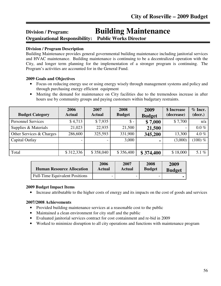# **Division / Program: Building Maintenance**

**Organizational Responsibility: Public Works Director**

# **Division / Program Description**

ֺ֖֚֝֬

Building Maintenance provides general governmental building maintenance including janitorial services and HVAC maintenance. Building maintenance is continuing to be a decentralized operation with the City, and longer term planning for the implementation of a stronger program is continuing. The Program's activities are accounted for in the General Fund.

# **2009 Goals and Objectives**

- Focus on reducing energy use or using energy wisely through management systems and policy and through purchasing energy efficient equipment
- Meeting the demand for maintenance on City facilities due to the tremendous increase in after hours use by community groups and paying customers within budgetary restraints.

| <b>Budget Category</b>    | 2006<br><b>Actual</b> | 2007<br><b>Actual</b> | 2008<br><b>Budget</b> | 2009<br><b>Budget</b> | \$ Increase<br>(decrease) | $%$ Incr.<br>(decr.) |
|---------------------------|-----------------------|-----------------------|-----------------------|-----------------------|---------------------------|----------------------|
| <b>Personnel Services</b> | \$4,713               | \$7,935               | $\mathbb{S}$ -        | \$7,000               | \$7,700                   | n/a                  |
| Supplies & Materials      | 21,023                | 22,935                | 21,500                | 21,500                | -                         | $0.0\%$              |
| Other Services & Charges  | 286,600               | 325,593               | 331,900               | 345,200               | 13,300                    | 4.0%                 |
| Capital Outlay            |                       |                       | 3,000                 | $\blacksquare$        | (3,000)                   | $(100) \%$           |
|                           |                       |                       |                       |                       |                           |                      |
| Total                     | \$312,336             | \$358,040             | \$356,400             | \$374,400             | \$18,000                  | 5.1 $%$              |

| <b>Human Resource Allocation</b>      | 2006   | 2007          | 2008          | 2009          |
|---------------------------------------|--------|---------------|---------------|---------------|
|                                       | Actual | <b>Actual</b> | <b>Budget</b> | <b>Budget</b> |
| <b>Full-Time Equivalent Positions</b> | -      |               | -             |               |

# **2009 Budget Impact Items**

• Increase attributable to the higher costs of energy and its impacts on the cost of goods and services

- Provided building maintenance services at a reasonable cost to the public
- Maintained a clean environment for city staff and the public
- Evaluated janitorial services contract for cost containment and re-bid in 2009
- Worked to minimize disruption to all city operations and functions with maintenance program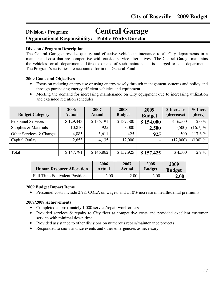# **Division / Program: Central Garage**

**Organizational Responsibility: Public Works Director** 

# **Division / Program Description**

Ī

The Central Garage provides quality and effective vehicle maintenance to all City departments in a manner and cost that are competitive with outside service alternatives. The Central Garage maintains the vehicles for all departments. Direct expense of such maintenance is charged to each department. The Program's activities are accounted for in the General Fund.

# **2009 Goals and Objectives**

- Focus on reducing energy use or using energy wisely through management systems and policy and through purchasing energy efficient vehicles and equipment
- Meeting the demand for increasing maintenance on City equipment due to increasing utilization and extended retention schedules

| <b>Budget Category</b>    | 2006<br><b>Actual</b> | 2007<br><b>Actual</b> | 2008<br><b>Budget</b> | 2009<br><b>Budget</b> | \$ Increase<br>(decrease) | $%$ Incr.<br>(decr.) |
|---------------------------|-----------------------|-----------------------|-----------------------|-----------------------|---------------------------|----------------------|
| <b>Personnel Services</b> | \$129,443             | \$136,191             | \$137,500             | \$154,000             | \$16,500                  | 12.0%                |
| Supplies & Materials      | 10,810                | 925                   | 3,000                 | 2,500                 | (500)                     | $(16.7)$ %           |
| Other Services & Charges  | 4,885                 | 5,611                 | 425                   | 925                   | 500                       | 117.6%               |
| Capital Outlay            | 2,653                 | 4,135                 | 12,000                | ۰                     | (12,000)                  | $(100) \%$           |
|                           |                       |                       |                       |                       |                           |                      |
| Total                     | \$147,791             | \$146,862             | \$152,925             | \$157,425             | \$4,500                   | $2.9\%$              |

| <b>Human Resource Allocation</b>      | 2006   | 2007   | 2008          | 2009          |
|---------------------------------------|--------|--------|---------------|---------------|
|                                       | Actual | Actual | <b>Budget</b> | <b>Budget</b> |
| <b>Full-Time Equivalent Positions</b> | 2.00   | 2.00   | 2.00          | 2.00          |

# **2009 Budget Impact Items**

• Personnel costs include 2.9% COLA on wages, and a 10% increase in health/dental premiums

- Completed approximately 1,000 service/repair work orders
- Provided services & repairs to City fleet at competitive costs and provided excellent customer service with minimal down time
- Provided assistance to other divisions on numerous repair/maintenance projects
- Responded to snow and ice events and other emergencies as necessary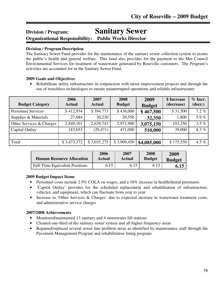# **Division / Program: Sanitary Sewer Organizational Responsibility: Public Works Director**

# **Division / Program Description**

The Sanitary Sewer Fund provides for the maintenance of the sanitary sewer collection system to assure the public's health and general welfare. This fund also provides for the payment to the Met Council Environmental Services for treatment of wastewater generated by Roseville customers. The Program's activities are accounted for in the Sanitary Sewer Fund.

#### **2009 Goals and Objectives**

• Rehabilitate utility infrastructure in conjunction with street improvement projects and through the use of trenchless technologies to ensure uninterrupted operations and reliable infrastructure

| <b>Budget Category</b>    | 2006<br><b>Actual</b> | 2007<br><b>Actual</b> | 2008<br><b>Budget</b> | 2009<br><b>Budget</b> | \$ Increase<br>(decrease) | $%$ Incr.<br>(decr.) |
|---------------------------|-----------------------|-----------------------|-----------------------|-----------------------|---------------------------|----------------------|
| <b>Personnel Services</b> | \$412,934             | \$394,773             | \$436,000             | \$467,500             | \$31,500                  | $7.2 \%$             |
| Supplies & Materials      | 27,684                | 30,230                | 30,550                | 32,350                | 1,800                     | 5.9%                 |
| Other Services & Charges  | 2,849,101             | 2,639,743             | 2,971,900             | 3,075,150             | 103,250                   | $3.5\%$              |
| Capital Outlay            | 183,653               | (29, 471)             | 471,000               | 510,000               | 39,000                    | 8.3%                 |
|                           |                       |                       |                       |                       |                           |                      |
| Total                     | \$3,473,372           | \$3,035,275           | \$3,909,450           | \$4,085,000           | \$175,550                 | 4.5 $%$              |

| <b>Human Resource Allocation</b>      | 2006   | 2007   | 2008          | 2009          |
|---------------------------------------|--------|--------|---------------|---------------|
|                                       | Actual | Actual | <b>Budget</b> | <b>Budget</b> |
| <b>Full-Time Equivalent Positions</b> | 6.15   | 6.15   | 6.15          | 6.15          |

# **2009 Budget Impact Items**

- Personnel costs include 2.9% COLA on wages, and a 10% increase in health/dental premiums
- 'Capital Outlay' provides for the scheduled replacement and rehabilitation of infrastructure, vehicles, and equipment, which can fluctuate from year to year
- Increase in 'Other Services & Charges' due to expected increase in wastewater treatment costs, and administrative service charges

- Monitored/maintained 13 sanitary and 4 stormwater lift stations
- Cleaned one-third of the sanitary sewer system and all higher frequency areas
- Repaired/replaced several sewer line problem areas as identified by maintenance staff through the Pavement Management Program and rehabilitation lining program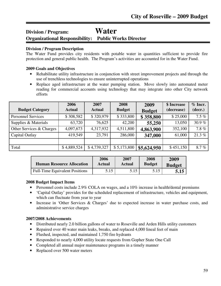# **Division / Program: Water Organizational Responsibility: Public Works Director**

#### Ī **Division / Program Description**

The Water Fund provides city residents with potable water in quantities sufficient to provide fire protection and general public health. The Program's activities are accounted for in the Water Fund.

#### **2009 Goals and Objectives**

- Rehabilitate utility infrastructure in conjunction with street improvement projects and through the use of trenchless technologies to ensure uninterrupted operations
- Replace aged infrastructure at the water pumping station. Move slowly into automated meter reading for commercial accounts using technology that may integrate into other City network efforts

| <b>Budget Category</b>    | 2006<br><b>Actual</b> | 2007<br><b>Actual</b> | 2008<br><b>Budget</b> | 2009<br><b>Budget</b> | \$ Increase<br>(decrease) | $%$ Incr.<br>(decr.) |
|---------------------------|-----------------------|-----------------------|-----------------------|-----------------------|---------------------------|----------------------|
| <b>Personnel Services</b> | \$308,582             | \$320,979             | \$333,800             | \$358,800             | \$25,000                  | $7.5\%$              |
| Supplies & Materials      | 63,720                | 76,625                | 42,200                | 55,250                | 13,050                    | 30.9 $%$             |
| Other Services & Charges  | 4,097,673             | 4,317,932             | 4,511,800             | 4,863,900             | 352,100                   | $7.8 \%$             |
| Capital Outlay            | 419,549               | 23,791                | 286,000               | 347,000               | 61,000                    | 21.3%                |
|                           |                       |                       |                       |                       |                           |                      |
| Total                     | \$4,889,524           | \$4,739,327           | \$5,173,800           | \$5,624,950           | \$451,150                 | 8.7%                 |

| <b>Human Resource Allocation</b>      | 2006   | 2007   | 2008          | 2009          |
|---------------------------------------|--------|--------|---------------|---------------|
|                                       | Actual | Actual | <b>Budget</b> | <b>Budget</b> |
| <b>Full-Time Equivalent Positions</b> | 5.15   | 5.15   | 5.15          | 5.15          |

#### **2008 Budget Impact Items**

- Personnel costs include 2.9% COLA on wages, and a 10% increase in health/dental premiums
- 'Capital Outlay' provides for the scheduled replacement of infrastructure, vehicles and equipment. which can fluctuate from year to year
- Increase in 'Other Services & Charges' due to expected increase in water purchase costs, and administrative service charges

- Distributed nearly 2.0 billion gallons of water to Roseville and Arden Hills utility customers
- Repaired over 40 water main leaks, breaks, and replaced 4,000 lineal feet of main
- Flushed, inspected, and maintained 1,750 fire hydrants
- Responded to nearly 4,000 utility locate requests from Gopher State One Call
- Completed all annual major maintenance programs in a timely manner
- Replaced over 500 water meters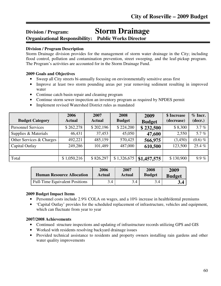# **Division / Program: Storm Drainage**

**Organizational Responsibility: Public Works Director**

# **Division / Program Description**

ֺ֖֚֝֬

Storm Drainage division provides for the management of storm water drainage in the City; including flood control, pollution and contamination prevention, street sweeping, and the leaf-pickup program. The Program's activities are accounted for in the Storm Drainage Fund.

# **2009 Goals and Objectives**

- Sweep all City streets bi-annually focusing on environmentally sensitive areas first
- Improve at least two storm pounding areas per year removing sediment resulting in improved water
- Continue catch basin repair and cleaning program
- Continue storm sewer inspection an inventory program as required by NPDES permit
- Implement revised Watershed District rules as mandated

| <b>Budget Category</b>    | 2006<br><b>Actual</b> | 2007<br><b>Actual</b> | 2008<br><b>Budget</b> | 2009<br><b>Budget</b> | \$ Increase<br>(decrease) | $%$ Incr.<br>(decr.) |
|---------------------------|-----------------------|-----------------------|-----------------------|-----------------------|---------------------------|----------------------|
| <b>Personnel Services</b> | \$262,278             | \$202,196             | \$224,200             | \$232,500             | \$8,300                   | 3.7%                 |
| Supplies & Materials      | 46,431                | 37,453                | 45,050                | 47,600                | 2,550                     | 5.7 $%$              |
| Other Services & Charges  | 492,221               | 485,159               | 570,425               | 566,975               | (3,450)                   | $(0.6)$ %            |
| Capital Outlay            | 249,286               | 101,489               | 487,000               | 610,500               | 123,500                   | 25.4%                |
|                           |                       |                       |                       |                       |                           |                      |
| Total                     | \$1,050,216           | \$826,297             | \$1,326,675           | \$1,457,575           | \$130,900                 | $9.9\%$              |

| <b>Human Resource Allocation</b>      | 2006   | 2007   | 2008          | 2009          |
|---------------------------------------|--------|--------|---------------|---------------|
|                                       | Actual | Actual | <b>Budget</b> | <b>Budget</b> |
| <b>Full-Time Equivalent Positions</b> | 3.4    | 3.4    | 3.4           | 3.4           |

# **2009 Budget Impact Items**

- Personnel costs include 2.9% COLA on wages, and a 10% increase in health/dental premiums
- 'Capital Outlay' provides for the scheduled replacement of infrastructure, vehicles and equipment, which can fluctuate from year to year

- Continued structure inspections and updating of infrastructure records utilizing GPS and GIS
- Worked with residents resolving backyard drainage issues
- Provided technical assistance to residents and property owners installing rain gardens and other water quality improvements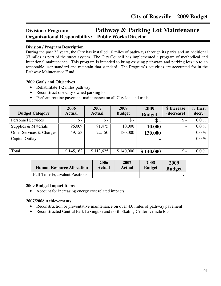# **Division / Program: Pathway & Parking Lot Maintenance Organizational Responsibility: Public Works Director** Ī

### **Division / Program Description**

During the past 22 years, the City has installed 10 miles of pathways through its parks and an additional 37 miles as part of the street system. The City Council has implemented a program of methodical and intentional maintenance. This program is intended to bring existing pathways and parking lots up to an acceptable user standard and maintain that standard. The Program's activities are accounted for in the Pathway Maintenance Fund.

#### **2009 Goals and Objectives**

- Rehabilitate 1-2 miles pathway
- Reconstruct one City-owned parking lot
- Perform routine pavement maintenance on all City lots and trails

| <b>Budget Category</b>    | 2006<br><b>Actual</b> | 2007<br><b>Actual</b> | 2008<br><b>Budget</b> | 2009<br><b>Budget</b> | \$ Increase<br>(decrease) | $%$ Incr.<br>(decr.) |
|---------------------------|-----------------------|-----------------------|-----------------------|-----------------------|---------------------------|----------------------|
| <b>Personnel Services</b> | $\$ -                 | $\mathsf{\$}$ -       | $\mathsf{\$}$ -       | $\$\,$ -              | $\$\$ -                   | $0.0\%$              |
| Supplies & Materials      | 96,009                | 91,475                | 10,000                | 10,000                | $\overline{\phantom{0}}$  | $0.0\%$              |
| Other Services & Charges  | 49,153                | 22,150                | 130,000               | 130,000               | $\overline{\phantom{0}}$  | $0.0\%$              |
| Capital Outlay            |                       |                       |                       | ٠                     | $\overline{\phantom{0}}$  | $0.0\%$              |
|                           |                       |                       |                       |                       |                           |                      |
| Total                     | \$145,162             | \$113,625             | \$140,000             | \$140,000             | $\$\$ -                   | $0.0\%$              |

| <b>Human Resource Allocation</b>      | 2006   | 2007   | 2008          | 2009          |
|---------------------------------------|--------|--------|---------------|---------------|
|                                       | Actual | Actual | <b>Budget</b> | <b>Budget</b> |
| <b>Full-Time Equivalent Positions</b> |        |        |               |               |

#### **2009 Budget Impact Items**

• Account for increasing energy cost related impacts.

- Reconstruction or preventative maintenance on over 4.0 miles of pathway pavement
- Reconstructed Central Park Lexington and north Skating Center vehicle lots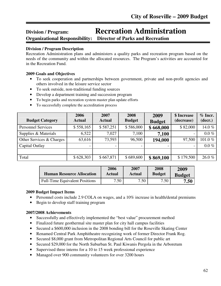# **Division / Program: Recreation Administration**

**Organizational Responsibility: Director of Parks and Recreation** 

#### Ī **Division / Program Description**

Recreation Administration plans and administers a quality parks and recreation program based on the needs of the community and within the allocated resources. The Program's activities are accounted for in the Recreation Fund.

# **2009 Goals and Objectives**

- To seek cooperation and partnerships between government, private and non-profit agencies and others involved in the leisure service sector
- To seek outside, non-traditional funding sources
- Develop a department training and succession program
- To begin parks and recreation system master plan update efforts
- To successfully complete the accreditation process

| <b>Budget Category</b>    | 2006<br><b>Actual</b> | 2007<br><b>Actual</b> | 2008<br><b>Budget</b> | 2009<br><b>Budget</b> | \$ Increase<br>(decrease) | $%$ Incr.<br>(decr.) |
|---------------------------|-----------------------|-----------------------|-----------------------|-----------------------|---------------------------|----------------------|
| <b>Personnel Services</b> | \$558,165             | \$587,251             | \$586,000             | \$668,000             | \$82,000                  | 14.0%                |
| Supplies & Materials      | 6,522                 | 7,027                 | 7,100                 | 7,100                 | $\overline{\phantom{a}}$  | $0.0\%$              |
| Other Services & Charges  | 63,616                | 73,593                | 96,500                | 194,000               | 97,500                    | 101.0%               |
| Capital Outlay            |                       |                       |                       |                       |                           | $0.0\%$              |
|                           |                       |                       |                       |                       |                           |                      |
| Total                     | \$628,303             | \$667,871             | \$689,600             | \$869,100             | \$179,500                 | 26.0%                |

| <b>Human Resource Allocation</b>      | 2006          | 2007   | 2008   | 2009          |
|---------------------------------------|---------------|--------|--------|---------------|
|                                       | <b>Actual</b> | Actual | Budget | <b>Budget</b> |
| <b>Full-Time Equivalent Positions</b> | 7.50          | 7.50   | 7.50   | 7.50          |

# **2009 Budget Impact Items**

- Personnel costs include 2.9 COLA on wages, and a 10% increase in health/dental premiums
- Begin to develop staff training program

- Successfully and effectively implemented the "best value" procurement method
- Finalized future geothermal site master plan for city hall campus facilities
- Secured a \$600,000 inclusion in the 2008 bonding bill for the Roseville Skating Center
- Renamed Central Park Amphitheatre recognizing work of former Director Frank Rog.
- Secured \$8,000 grant from Metropolitan Regional Arts Council for public art
- Secured \$29,000 for the North Suburban St. Paul Kiwanis Pergola in the Arboretum
- Supervised three interns for a 10 to 15 week professional experience
- Managed over 900 community volunteers for over 3200 hours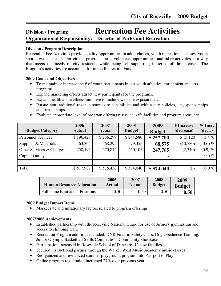# **Division / Program: Recreation Fee Activities Organizational Responsibility: Director of Parks and Recreation**

#### Ī **Division / Program Description**

Recreation Fee Activities provide quality opportunities in adult classes, youth recreational classes, youth sports, gymnastics, senior citizen programs, arts, volunteer opportunities, and other activities in a way that meets the needs of city residents while being self-supporting in terms of direct costs. The Program's activities are accounted for in the Recreation Fund.

#### **2009 Goals and Objectives**

- To maintain or increase the # of youth participants in our youth athletics, enrichment and arts programs.
- Expand marketing efforts attract new participants for the programs.
- Expand health and wellness initiative to include web site exposure, etc.
- Pursue non-traditional revenue sources to capabilities and within city policies, i.e., sponsorships and partnerships.
- Evaluate appropriate level of program offerings; service, safe facilities and program areas, etc

| <b>Budget Category</b>    | 2006<br><b>Actual</b> | 2007<br><b>Actual</b> | 2008<br><b>Budget</b> | 2009<br><b>Budget</b> | \$ Increase<br>(decrease) | $%$ Incr.<br>(decr.) |
|---------------------------|-----------------------|-----------------------|-----------------------|-----------------------|---------------------------|----------------------|
| <b>Personnel Services</b> | \$196,428             | \$236,299             | \$244,580             | \$257,700             | \$13,120                  | 5.4%                 |
| Supplies & Materials      | 63,364                | 68,295                | 79,355                | 68,575                | (10,780)                  | $(13.6)$ %           |
| Other Services & Charges  | 258,195               | 270,842               | 250,105               | 247,765               | (2,340)                   | $(0.9)$ %            |
| Capital Outlay            |                       |                       |                       |                       |                           | $0.0\%$              |
|                           |                       |                       |                       |                       |                           |                      |
| Total                     | \$517,987             | \$575,436             | \$574,040             | \$574,040             | $\mathsf{\$}$ -           | $0.0 \%$             |

| <b>Human Resource Allocation</b>      | 2006   | 2007          | 2008          | 2009          |
|---------------------------------------|--------|---------------|---------------|---------------|
|                                       | Actual | <b>Actual</b> | <b>Budget</b> | <b>Budget</b> |
| <b>Full-Time Equivalent Positions</b> | 0.50   | 0.50          | 0.50          | 0.50          |

#### **2009 Budget Impact Items**

• Market rate and inflationary factors related to program offerings

- Established partnership with the Roseville National Guard for use of Armory gymnasium and access to climbing wall.
- Recreation Program additions included; DNR Firearm Safety Class, Dog Obedience Training, Junior Olympic Basketball Skills Competition, Community Showcase
- Participation increased in Roseville School of Dance by 42 new families
- Secured instructional partner through the Walker West Music Academy music classes
- Reorganized and revitalized summer playground program into Passport to Play
- Online program registration increased 27% over previous year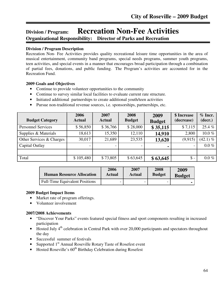# **Division / Program: Recreation Non-Fee Activities Organizational Responsibility: Director of Parks and Recreation**

# **Division / Program Description**

Ī

Recreation Non- Fee Activities provides quality recreational leisure time opportunities in the area of musical entertainment, community band programs, special needs programs, summer youth programs, teen activities, and special events in a manner that encourages broad participation through a combination of partial fees, donations, and public funding. The Program's activities are accounted for in the Recreation Fund.

#### **2009 Goals and Objectives**

- Continue to provide volunteer opportunities to the community
- Continue to survey similar local facilities to evaluate current rate structure.
- Initiated additional partnerships to create additional youth/teen activities
- Pursue non-traditional revenue sources, i.e. sponsorships, partnerships, etc.

| <b>Budget Category</b>    | 2006<br><b>Actual</b>    | 2007<br><b>Actual</b>    | 2008<br><b>Budget</b> | 2009<br><b>Budget</b> | \$ Increase<br>(decrease) | $%$ Incr.<br>(decr.) |
|---------------------------|--------------------------|--------------------------|-----------------------|-----------------------|---------------------------|----------------------|
| <b>Personnel Services</b> | \$56,850                 | \$36,766                 | \$28,000              | \$35,115              | \$7,115                   | 25.4 %               |
| Supplies & Materials      | 18,613                   | 15,350                   | 12,110                | 14,910                | 2,800                     | 10.0%                |
| Other Services & Charges  | 30,017                   | 21,689                   | 23,535                | 13,620                | (9, 915)                  | $(42.1) \%$          |
| Capital Outlay            | $\overline{\phantom{0}}$ | $\overline{\phantom{0}}$ |                       |                       | $\overline{\phantom{a}}$  | $0.0\%$              |
|                           |                          |                          |                       |                       |                           |                      |
| Total                     | \$105,480                | \$73,805                 | \$63,645              | \$63,645              | $\mathsf{\$}$ -           | $0.0\%$              |

| <b>Human Resource Allocation</b>      | 2006   | 2007          | 2008          | 2009          |
|---------------------------------------|--------|---------------|---------------|---------------|
|                                       | Actual | <b>Actual</b> | <b>Budget</b> | <b>Budget</b> |
| <b>Full-Time Equivalent Positions</b> |        |               | -             |               |

# **2009 Budget Impact Items**

- Market rate of program offerings.
- Volunteer involvement

- "Discover Your Parks" events featured special fitness and sport components resulting in increased participation
- Hosted July  $4<sup>th</sup>$  celebration in Central Park with over 20,000 participants and spectators throughout the day
- Successful summer of festivals
- Supported 1<sup>st</sup> Annual Roseville Rotary Taste of Rosefest event
- Hosted Roseville's  $60<sup>th</sup>$  Birthday Celebration during Rosefest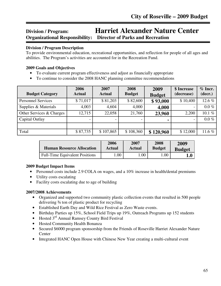# **Division / Program: Harriet Alexander Nature Center Organizational Responsibility: Director of Parks and Recreation**

#### Ī **Division / Program Description**

To provide environmental education, recreational opportunities, and reflection for people of all ages and abilities. The Program's activities are accounted for in the Recreation Fund.

#### **2009 Goals and Objectives**

- To evaluate current program effectiveness and adjust as financially appropriate
- To continue to consider the 2008 HANC planning committee recommendations

| <b>Budget Category</b>    | 2006<br><b>Actual</b> | 2007<br><b>Actual</b> | 2008<br><b>Budget</b> | 2009<br><b>Budget</b> | \$ Increase<br>(decrease) | $%$ Incr.<br>(decr.) |
|---------------------------|-----------------------|-----------------------|-----------------------|-----------------------|---------------------------|----------------------|
| <b>Personnel Services</b> | \$71,017              | \$81,203              | \$82,600              | \$93,000              | \$10,400                  | 12.6%                |
| Supplies & Materials      | 4,003                 | 4,604                 | 4,000                 | 4,000                 | $\overline{\phantom{0}}$  | $0.0\%$              |
| Other Services & Charges  | 12,715                | 22,058                | 21,760                | 23,960                | 2,200                     | 10.1 $%$             |
| Capital Outlay            |                       |                       |                       |                       | $\overline{\phantom{0}}$  | $0.0\%$              |
|                           |                       |                       |                       |                       |                           |                      |
| Total                     | \$87,735              | \$107,865             | \$108,360             | \$120,960             | \$12,000                  | 11.6 $%$             |

| <b>Human Resource Allocation</b>      | 2006   | 2007   | 2008          | 2009          |
|---------------------------------------|--------|--------|---------------|---------------|
|                                       | Actual | Actual | <b>Budget</b> | <b>Budget</b> |
| <b>Full-Time Equivalent Positions</b> | .00    | .00    | 00.1          |               |

#### **2009 Budget Impact Items**

- Personnel costs include 2.9 COLA on wages, and a 10% increase in health/dental premiums
- Utility costs escalating
- Facility costs escalating due to age of building

- Organized and supported two community plastic collection events that resulted in 500 people delivering ¾ ton of plastic product for recycling
- Established Earth Day and Wild Rice Festival as Zero Waste events.
- Birthday Parties up 15%, School Field Trips up 19%, Outreach Programs up 152 students
- Hosted  $3<sup>rd</sup>$  Annual Ramsey County Bird Festival
- Hosted Community Health Bonanza
- Secured \$6000 program sponsorship from the Friends of Roseville Harriet Alexander Nature Center
- Integrated HANC Open House with Chinese New Year creating a multi-cultural event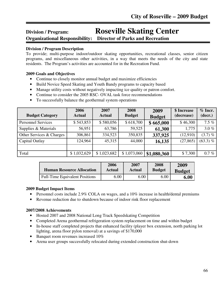# **Division / Program: Roseville Skating Center**

**Organizational Responsibility: Director of Parks and Recreation**

#### Ī **Division / Program Description**

To provide; multi-purpose indoor/outdoor skating opportunities, recreational classes, senior citizen programs, and miscellaneous other activities, in a way that meets the needs of the city and state residents. The Program's activities are accounted for in the Recreation Fund.

# **2009 Goals and Objectives**

- Continue to closely monitor annual budget and maximize efficiencies
- Build Novice Speed Skating and Youth Bandy programs to capacity based
- Manage utility costs without negatively impacting ice quality or patron comfort.
- Continue to consider the 2005 RSC- OVAL task force recommendations
- To successfully balance the geothermal system operations

| <b>Budget Category</b>    | 2006<br><b>Actual</b> | 2007<br><b>Actual</b> | 2008<br><b>Budget</b> | 2009<br><b>Budget</b> | \$ Increase<br>(decrease) | $%$ Incr.<br>(decr.) |
|---------------------------|-----------------------|-----------------------|-----------------------|-----------------------|---------------------------|----------------------|
| <b>Personnel Services</b> | \$543,853             | \$580,056             | \$618,700             | \$665,000             | \$46,300                  | $7.5\%$              |
| Supplies & Materials      | 56,951                | 63,786                | 59,525                | 61,300                | 1,775                     | $3.0\%$              |
| Other Services & Charges  | 306,861               | 334,523               | 350,835               | 337,925               | (12,910)                  | $(3.7)$ %            |
| Capital Outlay            | 124,964               | 45,315                | 44,000                | 16,135                | (27, 865)                 | $(63.3) \%$          |
|                           |                       |                       |                       |                       |                           |                      |
| Total                     | \$1,032,629           | \$1,023,682           | \$1,073,060           | \$1,080,360           | \$7,300                   | $0.7 \%$             |

| <b>Human Resource Allocation</b>      | 2006   | 2007   | 2008          | 2009          |
|---------------------------------------|--------|--------|---------------|---------------|
|                                       | Actual | Actual | <b>Budget</b> | <b>Budget</b> |
| <b>Full-Time Equivalent Positions</b> | 5.00   | 6.00   | 6.00          | 6.00          |

# **2009 Budget Impact Items**

- Personnel costs include 2.9% COLA on wages, and a 10% increase in health/dental premiums
- Revenue reduction due to shutdown because of indoor rink floor replacement

- Hosted 2007 and 2008 National Long Track Speeds kating Competition
- Completed Arena geothermal refrigeration system replacement on time and within budget
- In-house staff completed projects that enhanced facility (player box extension, north parking lot lighting, arena floor pylon removal) at a savings of \$170,000
- Banquet room revenues increased 10%
- Arena user groups successfully relocated during extended construction shut-down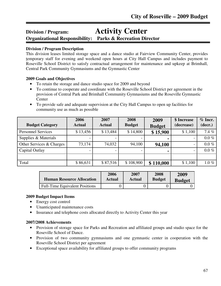# **Division / Program: Activity Center**

**Organizational Responsibility: Parks & Recreation Director**

# **Division / Program Description**

Ī

This division leases limited storage space and a dance studio at Fairview Community Center, provides temporary staff for evening and weekend open hours at City Hall Campus and includes payment to Roseville School District to satisfy contractual arrangement for maintenance and upkeep at Brimhall, Central Park Community Gymnasiums and the Gymnastic Center

# **2009 Goals and Objectives**

- To retain the storage and dance studio space for 2009 and beyond
- To continue to cooperate and coordinate with the Roseville School District per agreement in the provision of Central Park and Brimhall Community Gymnasiums and the Roseville Gymnastic **Center**
- To provide safe and adequate supervision at the City Hall Campus to open up facilities for community use as much as possible

| <b>Budget Category</b>    | 2006<br><b>Actual</b> | 2007<br><b>Actual</b> | 2008<br><b>Budget</b> | 2009<br><b>Budget</b> | \$ Increase<br>(decrease) | $%$ Incr.<br>(decr.) |
|---------------------------|-----------------------|-----------------------|-----------------------|-----------------------|---------------------------|----------------------|
| <b>Personnel Services</b> | \$13,456              | \$13,484              | \$14,800              | \$15,900              | \$1,100                   | 7.4%                 |
| Supplies & Materials      |                       |                       |                       | $\blacksquare$        |                           | $0.0\%$              |
| Other Services & Charges  | 73,174                | 74,032                | 94,100                | 94,100                |                           | $0.0\%$              |
| Capital Outlay            |                       |                       |                       |                       |                           | $0.0\%$              |
|                           |                       |                       |                       |                       |                           |                      |
| Total                     | \$86,631              | \$87,516              | \$108,900             | \$110,000             | \$1,100                   | $1.0\%$              |

| <b>Human Resource Allocation</b>      | 2006   | 2007          | 2008          | 2009          |
|---------------------------------------|--------|---------------|---------------|---------------|
|                                       | Actual | <b>Actual</b> | <b>Budget</b> | <b>Budget</b> |
| <b>Full-Time Equivalent Positions</b> |        |               |               |               |

# **2009 Budget Impact Items**

- Energy cost control
- Unanticipated maintenance costs
- Insurance and telephone costs allocated directly to Activity Center this year

- Provision of storage space for Parks and Recreation and affiliated groups and studio space for the Roseville School of Dance.
- Provision of two community gymnasiums and one gymnastic center in cooperation with the Roseville School District per agreement
- Exceptional space availability for affiliated groups to offer community programs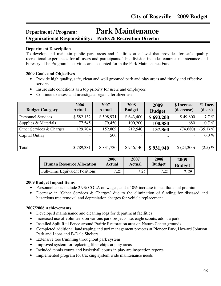# **Department / Program: Park Maintenance Organizational Responsibility: Parks & Recreation Director**

#### **Department Description**

Ī

To develop and maintain public park areas and facilities at a level that provides for safe, quality recreational experiences for all users and participants. This division includes contract maintenance and Forestry. The Program's activities are accounted for in the Park Maintenance Fund.

#### **2009 Goals and Objectives**

- Provide high quality, safe, clean and well groomed park and play areas and timely and effective service
- Insure safe conditions as a top priority for users and employees
- Continue to assess and investigate organic fertilizer use

| <b>Budget Category</b>    | 2006<br><b>Actual</b> | 2007<br><b>Actual</b> | 2008<br><b>Budget</b> | 2009<br><b>Budget</b> | \$ Increase<br>(decrease) | $%$ Incr.<br>(decr.) |
|---------------------------|-----------------------|-----------------------|-----------------------|-----------------------|---------------------------|----------------------|
| <b>Personnel Services</b> | \$582,132             | \$598,971             | \$643,400             | \$693,200             | \$49,800                  | 7.7%                 |
| Supplies & Materials      | 77,545                | 79,450                | 100,200               | 100,880               | 680                       | $0.7 \%$             |
| Other Services & Charges  | 129,704               | 152,809               | 212,540               | 137,860               | (74, 680)                 | $(35.1) \%$          |
| Capital Outlay            |                       | 500                   |                       | $\blacksquare$        | $\overline{\phantom{a}}$  | $0.0\%$              |
|                           |                       |                       |                       |                       |                           |                      |
| Total                     | \$789,381             | \$831,730             | \$956,140             | \$931,940             | \$(24,200)                | $(2.5) \%$           |

| <b>Human Resource Allocation</b>      | 2006        | 2007   | 2008          | 2009          |
|---------------------------------------|-------------|--------|---------------|---------------|
|                                       | Actual      | Actual | <b>Budget</b> | <b>Budget</b> |
| <b>Full-Time Equivalent Positions</b> | 7.25<br>ن ک | 7.25   | 7.25          | 7.25          |

# **2009 Budget Impact Items**

- Personnel costs include 2.9% COLA on wages, and a 10% increase in health/dental premiums
- Decrease in 'Other Services & Charges' due to the elimination of funding for diseased and hazardous tree removal and depreciation charges for vehicle replacement

- Developed maintenance and cleaning logs for department facilities
- Increased use of volunteers on various park projects. i.e. eagle scouts, adopt a park
- Installed Split Rail Fence around Prairie Restoration area on Nature Center grounds
- Completed additional landscaping and turf management projects at Pioneer Park, Howard Johnson Park and Lions and B-Dale Shelters
- Extensive tree trimming throughout park system
- Improved system for replacing fiber chips at play areas
- Included tennis courts and basketball courts in play are inspection reports
- Implemented program for tracking system wide maintenance needs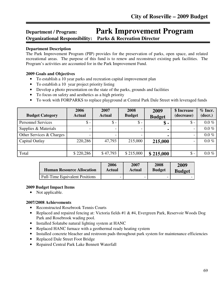# **Department / Program: Park Improvement Program Organizational Responsibility: Parks & Recreation Director**

### **Department Description**

Ī

The Park Improvement Program (PIP) provides for the preservation of parks, open space, and related recreational areas. The purpose of this fund is to renew and reconstruct existing park facilities. The Program's activities are accounted for in the Park Improvement Fund.

#### **2009 Goals and Objectives**

- To establish a 10 year parks and recreation capital improvement plan
- To establish a 10 year project priority listing
- Develop a photo presentation on the state of the parks, grounds and facilities
- To focus on safety and aesthetics as a high priority
- To work with FORPARKS to replace playground at Central Park Dale Street with leveraged funds

| <b>Budget Category</b>    | 2006<br><b>Actual</b> | 2007<br><b>Actual</b> | 2008<br><b>Budget</b> | 2009<br><b>Budget</b> | \$ Increase<br>(decrease) | $%$ Incr.<br>(decr.) |
|---------------------------|-----------------------|-----------------------|-----------------------|-----------------------|---------------------------|----------------------|
| <b>Personnel Services</b> | $\mathsf{\$}$ -       | $\mathsf{\$}$ -       | $\mathsf{\$}$ -       | \$-                   | $\mathsf{\$}$ -           | $0.0\%$              |
| Supplies & Materials      |                       |                       |                       |                       |                           | $0.0\%$              |
| Other Services & Charges  |                       |                       |                       |                       |                           | $0.0\%$              |
| Capital Outlay            | 220,286               | 47,793                | 215,000               | 215,000               | $\overline{\phantom{0}}$  | $0.0\%$              |
|                           |                       |                       |                       |                       |                           |                      |
| Total                     | \$220,286             | \$47,793              | \$215,000             | \$215,000             | $\$ -                     | $0.0\%$              |

| <b>Human Resource Allocation</b>      | 2006                     | 2007   | 2008          | 2009          |
|---------------------------------------|--------------------------|--------|---------------|---------------|
|                                       | Actual                   | Actual | <b>Budget</b> | <b>Budget</b> |
| <b>Full-Time Equivalent Positions</b> | $\overline{\phantom{0}}$ | -      | -             |               |

#### **2009 Budget Impact Items**

• Not applicable.

- Reconstructed Rosebrook Tennis Courts
- Replaced and repaired fencing at: Victoria fields #1 & #4, Evergreen Park, Reservoir Woods Dog Park and Rosebrook wading pool.
- Installed Solatube natural lighting system at HANC
- Replaced HANC furnace with a geothermal ready heating system
- Installed concrete bleacher and restroom pads throughout park system for maintenance efficiencies
- Replaced Dale Street Foot Bridge
- Repaired Central Park Lake Bennett Waterfall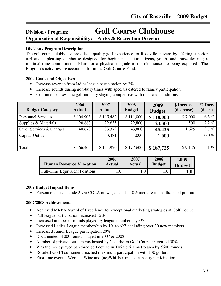# **Division / Program: Golf Course Clubhouse**

**Organizational Responsibility: Parks & Recreation Director**

# **Division / Program Description**

Ī

The golf course clubhouse provides a quality golf experience for Roseville citizens by offering superior turf and a pleasing clubhouse designed for beginners, senior citizens, youth, and those desiring a minimal time commitment. Plans for a physical upgrade to the clubhouse are being explored. The Program's activities are accounted for in the Golf Course Fund.

# **2009 Goals and Objectives**

- Increase revenue from ladies league participation by 3%
- Increase rounds during non-busy times with specials catered to family participation.
- Continue to assess the golf industry staying competitive with rates and conditions

| <b>Budget Category</b>    | 2006<br><b>Actual</b> | 2007<br><b>Actual</b> | 2008<br><b>Budget</b> | 2009<br><b>Budget</b> | \$ Increase<br>(decrease) | $%$ Incr.<br>(decr.) |
|---------------------------|-----------------------|-----------------------|-----------------------|-----------------------|---------------------------|----------------------|
| <b>Personnel Services</b> | \$104,905             | \$115,482             | \$111,000             | \$118,000             | \$7,000                   | 6.3 $%$              |
| Supplies & Materials      | 20,887                | 22,635                | 22,800                | 23,300                | 500                       | $2.2\%$              |
| Other Services & Charges  | 40,673                | 33,372                | 43,800                | 45,425                | 1,625                     | 3.7%                 |
| Capital Outlay            |                       | 3,481                 | 1,000                 | 1,000                 | $\overline{\phantom{0}}$  | $0.0\%$              |
|                           |                       |                       |                       |                       |                           |                      |
| Total                     | \$166,465             | \$174,970             | \$177,600             | \$187,725             | \$9,125                   | 5.1 $%$              |

| <b>Human Resource Allocation</b>      | 2006      | 2007   | 2008          | 2009          |
|---------------------------------------|-----------|--------|---------------|---------------|
|                                       | Actual    | Actual | <b>Budget</b> | <b>Budget</b> |
| <b>Full-Time Equivalent Positions</b> | $\cdot 0$ |        |               |               |

# **2009 Budget Impact Items**

• Personnel costs include 2.9% COLA on wages, and a 10% increase in health/dental premiums

- Achieved MRPA Award of Excellence for exceptional marketing strategies at Golf Course
- Fall league participation increased 15%
- Increased number of rounds played by league members by 3%
- Increased Ladies League membership by 1% to 627, including over 30 new members
- Increased Junior League participation 20%
- Documented 31000 rounds played in 2007 & 2008
- Number of private tournaments hosted by Cedarholm Golf Course increased 50%
- Was the most played par-three golf course in Twin cities metro area by 5600 rounds
- Rosefest Golf Tournament reached maximum participation with 130 golfers
- First time event Women, Wine and (no)Whiffs attracted capacity participation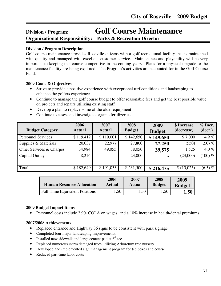# **Division / Program: Golf Course Maintenance**

**Organizational Responsibility: Parks & Recreation Director**

# **Division / Program Description**

Ī

Golf course maintenance provides Roseville citizens with a golf recreational facility that is maintained with quality and managed with excellent customer service. Maintenance and playability will be very important to keeping this course competitive in the coming years. Plans for a physical upgrade to the maintenance facility are being explored. The Program's activities are accounted for in the Golf Course Fund.

# **2009 Goals & Objectives**

- Strive to provide a positive experience with exceptional turf conditions and landscaping to enhance the golfers experience
- Continue to manage the golf course budget to offer reasonable fees and get the best possible value on projects and repairs utilizing existing staff
- Develop a plan to replace some of the older equipment
- Continue to assess and investigate organic fertilizer use

| <b>Budget Category</b>    | 2006<br><b>Actual</b> | 2007<br><b>Actual</b> | 2008<br><b>Budget</b> | 2009<br><b>Budget</b> | \$ Increase<br>(decrease) | $%$ Incr.<br>(decr.) |
|---------------------------|-----------------------|-----------------------|-----------------------|-----------------------|---------------------------|----------------------|
| <b>Personnel Services</b> | \$119,412             | \$119,001             | \$142,650             | \$149,650             | \$7,000                   | 4.9 $%$              |
| Supplies & Materials      | 20,037                | 22,977                | 27,800                | 27,250                | (550)                     | $(2.0) \%$           |
| Other Services & Charges  | 34,984                | 49,055                | 38,050                | 39,575                | 1,525                     | 4.0 $%$              |
| Capital Outlay            | 8,216                 | $\overline{a}$        | 23,000                |                       | (23,000)                  | $(100) \%$           |
|                           |                       |                       |                       |                       |                           |                      |
| Total                     | \$182,649             | \$191,033             | \$231,500             | \$216,475             | \$(15,025)                | $(6.5) \%$           |

| <b>Human Resource Allocation</b>      | 2006   | 2007          | 2008          | 2009          |
|---------------------------------------|--------|---------------|---------------|---------------|
|                                       | Actual | <b>Actual</b> | <b>Budget</b> | <b>Budget</b> |
| <b>Full-Time Equivalent Positions</b> | . .50  | $.50^{-}$     | 1.50          | 1.50          |

# **2009 Budget Impact Items**

• Personnel costs include 2.9% COLA on wages, and a 10% increase in health/dental premiums

# **2007/2008 Achievements**

- Replaced entrance and Highway 36 signs to be consistent with park signage
- Completed four major landscaping improvements;
- Installed new sidewalk and large cement pad at  $6<sup>th</sup>$  tee
- Replaced numerous storm damaged trees utilizing Arboretum tree nursery
- Developed and implemented sign management program for tee boxes and course
- Reduced part-time labor costs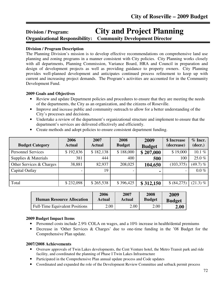# **Division / Program: City and Project Planning Organizational Responsibility: Community Development Director**

### **Division / Program Description**

The Planning Division's mission is to develop effective recommendations on comprehensive land use planning and zoning programs in a manner consistent with City policies. City Planning works closely with all departments, Planning Commission, Variance Board, HRA and Council in preparation and design of development projects as well as providing guidance to property owners. City Planning provides well-planned development and anticipates continued process refinement to keep up with current and increasing project demands. The Program's activities are accounted for in the Community Development Fund.

#### **2009 Goals and Objectives**

- Review and update Department policies and procedures to ensure that they are meeting the needs of the departments, the City as an organization, and the citizens of Roseville.
- Improve and increase public and community outreach to allow for a better understanding of the City's processes and decisions.
- Undertake a review of the department's organizational structure and implement to ensure that the department's services are delivered effectively and efficiently.

| Create methods and adopt poneres to ensure consistent department runding. |                       |                       |                       |                       |                           |  |  |
|---------------------------------------------------------------------------|-----------------------|-----------------------|-----------------------|-----------------------|---------------------------|--|--|
| <b>Budget Category</b>                                                    | 2006<br><b>Actual</b> | 2007<br><b>Actual</b> | 2008<br><b>Budget</b> | 2009<br><b>Budget</b> | \$ Increase<br>(decrease) |  |  |
| <b>Personnel Services</b>                                                 | \$192,836             | \$182,138             | \$188,000             | \$207.000             | \$19,000                  |  |  |

• Create methods and adopt policies to ensure consistent department funding.

| 1.919311191.991.1899     | $\vee$ $\vee$ $\vee$ $\vee$ $\vee$ | $\sim$ 102.100 | $\vee$ 100,000           | $V = V \cdot V \cdot V$ | $\sim$ 10000             | 1911 IV     |
|--------------------------|------------------------------------|----------------|--------------------------|-------------------------|--------------------------|-------------|
| Supplies & Materials     | 381                                | 444            | 400                      | 500                     | 100                      | $25.0 \%$   |
| Other Services & Charges | 38,881                             | 82,937         | 208,025                  | 104,650                 | (103, 375)               | $(49.7)$ %  |
| Capital Outlay           |                                    | 19             | $\overline{\phantom{0}}$ | $\blacksquare$          | $\overline{\phantom{0}}$ | $0.0\ \%$   |
|                          |                                    |                |                          |                         |                          |             |
| Total                    | \$232,098                          | \$265,538      | \$396,425                | \$312,150               | \$ (84,275)              | $(21.3) \%$ |
|                          |                                    |                |                          |                         |                          |             |

| <b>Human Resource Allocation</b>      | 2006   | 2007          | 2008          | 2009          |
|---------------------------------------|--------|---------------|---------------|---------------|
|                                       | Actual | <b>Actual</b> | <b>Budget</b> | <b>Budget</b> |
| <b>Full-Time Equivalent Positions</b> | 2.00   | 2.00          | 2.00          | 2.00          |

#### **2009 Budget Impact Items**

- Personnel costs include 2.9% COLA on wages, and a 10% increase in health/dental premiums
- Decrease in 'Other Services & Charges' due to one-time funding in the '08 Budget for the Comprehensive Plan update.

#### **2007/2008 Achievements**

- Oversaw approvals of Twin Lakes developments, the Cent Venture hotel, the Metro Transit park and ride facility, and coordinated the planning of Phase I Twin Lakes Infrastructure
- Participated in the Comprehensive Plan annual update process and Code updates
- Coordinated and expanded the role of the Development Review Committee and setback permit process

**% Incr. (decr.)**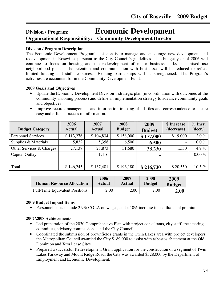# **Division / Program: Economic Development**

**Organizational Responsibility: Community Development Director** 

# **Division / Program Description**

ֺ֖֚֘֝֬

The Economic Development Program's mission is to manage and encourage new development and redevelopment in Roseville, pursuant to the City Council's guidelines. The budget year of 2006 will continue to focus on housing and the redevelopment of major business parks and mixed use neighborhood plans. The retention and communication with businesses will be reduced to reflect limited funding and staff resources. Existing partnerships will be strengthened. The Program's activities are accounted for in the Community Development Fund.

# **2009 Goals and Objectives**

- Update the Economic Development Division's strategic plan (in coordination with outcomes of the community visioning process) and define an implementation strategy to advance community goals and objectives
- Improve records management and information tracking of all files and correspondence to ensure easy and efficient access to information.

| <b>Budget Category</b>    | 2006<br><b>Actual</b> | 2007<br><b>Actual</b> | 2008<br><b>Budget</b> | 2009<br><b>Budget</b> | \$ Increase<br>(decrease) | $%$ Incr.<br>(decr.) |
|---------------------------|-----------------------|-----------------------|-----------------------|-----------------------|---------------------------|----------------------|
| <b>Personnel Services</b> | \$113,276             | \$104,834             | \$158,000             | \$177,000             | \$19,000                  | 12.0%                |
| Supplies & Materials      | 5,832                 | 5,358                 | 6,500                 | 6,500                 |                           | $0.0\%$              |
| Other Services & Charges  | 27,137                | 25,873                | 31,680                | 33,230                | 1,550                     | 4.9 $%$              |
| Capital Outlay            |                       | 1,416                 |                       | ٠                     | $\overline{\phantom{0}}$  | $0.00\%$             |
|                           |                       |                       |                       |                       |                           |                      |
| Total                     | \$146,245             | \$137,481             | \$196,180             | \$216,730             | \$20,550                  | 10.5 $%$             |

| <b>Human Resource Allocation</b>      | 2006   | 2007          | 2008          | 2009          |
|---------------------------------------|--------|---------------|---------------|---------------|
|                                       | Actual | <b>Actual</b> | <b>Budget</b> | <b>Budget</b> |
| <b>Full-Time Equivalent Positions</b> | 2.00   | 2.00          | 2.00          | $\bf 2.00$    |

# **2009 Budget Impact Items**

• Personnel costs include 2.9% COLA on wages, and a 10% increase in health/dental premiums

# **2007/2008 Achievements**

- Led preparation of the 2030 Comprehensive Plan with project consultants, city staff, the steering committee, advisory commissions, and the City Council.
- Coordinated the submission of brownfields grants in the Twin Lakes area with project developers; the Metropolitan Council awarded the City \$189,000 to assist with asbestos abatement at the Old Dominion and Xtra Lease Sites.
- Prepared a successful Redevelopment Grant application for the construction of a segment of Twin Lakes Parkway and Mount Ridge Road; the City was awarded \$528,000 by the Department of Employment and Economic Development.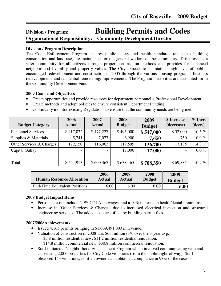# **Division / Program: Building Permits and Codes Organizational Responsibility: Community Development Director**

#### ֺ֖֚֘֝֬ **Division / Program Description**

The Code Enforcement Program ensures public safety and health standards related to building construction and land use, are maintained for the general welfare of the community. This provides a safer community for all citizens through proper construction methods and provides for enhanced neighborhood livability and property values. The City expects to maintain a high level of publicencouraged redevelopment and construction in 2005 through the various housing programs, business redevelopment, and residential remodeling/improvements. The Program's activities are accounted for in the Community Development Fund.

### **2009 Goals and Objectives**

- Create opportunities and provide resources for department personnel's Professional Development.
- Create methods and adopt policies to ensure consistent Department Funding.
- Continually monitor existing Regulations to ensure that the community needs are being met.

| <b>Budget Category</b>    | 2006<br><b>Actual</b> | 2007<br><b>Actual</b> | 2008<br><b>Budget</b> | 2009<br><b>Budget</b> | \$ Increase<br>(decrease) | $%$ Incr.<br>(decr.) |
|---------------------------|-----------------------|-----------------------|-----------------------|-----------------------|---------------------------|----------------------|
| <b>Personnel Services</b> | \$417,022             | \$477,227             | \$495,000             | \$547,000             | \$52,000                  | 10.5 %               |
| Supplies & Materials      | 5,741                 | 7,077                 | 6,900                 | 7,650                 | 750                       | $10.9\%$             |
| Other Services & Charges  | 122,150               | 116,063               | 119,595               | 136,700               | 17,135                    | 14.3%                |
| Capital Outlay            | -                     |                       | 17,000                | 17,000                | $\overline{\phantom{a}}$  | $0.0\%$              |
|                           |                       |                       |                       |                       |                           |                      |
| Total                     | \$544,913             | \$600,367             | \$638,465             | \$708,350             | \$69,885                  | 10.9 $%$             |

| <b>Human Resource Allocation</b>      | 2006   | 2007   | 2008          | 2009          |
|---------------------------------------|--------|--------|---------------|---------------|
|                                       | Actual | Actual | <b>Budget</b> | <b>Budget</b> |
| <b>Full-Time Equivalent Positions</b> | 6.00   | 6.00   | 6.00          | 6.00          |

#### **2009 Budget Impact Items**

- Personnel costs include 2.9% COLA on wages, and a 10% increase in health/dental premiums
- Increase in 'Other Services & Charges' due to increased electrical inspection and structural engineering services. The added costs are offset by building permit fees.

#### **2007/2008Achievements**

- Issued 4,165 permits bringing in \$1,069,491,000 in revenue.
- Valuation of construction in 2008 was \$63 million (5% over the 5-year avg.): \$5.8 million residential new, \$11.2 million residential renovation. \$14.8 million commercial new, \$30.8 million commercial renovation.
- Staff initiated a Neighborhood Enhancement Program which involved communicating with and canvassing 2,000 properties for City Code violations (from the public right-of-way). Staff observed 143 violations, notified owners, and obtained compliance in 98% of the cases.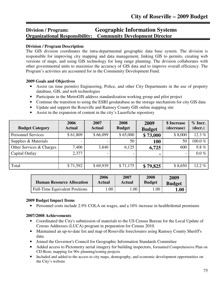# **Division / Program: Geographic Information Systems Organizational Responsibility: Community Development Director**

#### **Division / Program Description**

٦

The GIS division coordinates the intra-departmental geographic data base system. The division is responsible for improving city mapping and data management, linking GIS to permits, creating web versions of maps, and using GIS technology for long range planning. The division collaborates with other governmental units to maximize the accuracy of GIS data and to improve overall efficiency. The Program's activities are accounted for in the Community Development Fund.

#### **2009 Goals and Objectives**

- Assist (as time permits) Engineering, Police, and other City Departments in the use of property database, GIS, and web technologies
- Participate in the MetroGIS address standardization working group and pilot project
- Continue the transition to using the ESRI geodatabase as the storage mechanism for city GIS data
- Update and support the Roseville and Ramsey County GIS online mapping site
- Assist in the expansion of content in the city's Laserfiche repository

| <b>Budget Category</b>    | 2006<br><b>Actual</b> | 2007<br><b>Actual</b> | 2008<br><b>Budget</b> | 2009<br><b>Budget</b> | \$ Increase<br>(decrease) | $%$ Incr.<br>(decr.) |
|---------------------------|-----------------------|-----------------------|-----------------------|-----------------------|---------------------------|----------------------|
| <b>Personnel Services</b> | \$61,809              | \$66,099              | \$65,000              | \$73,000              | \$8,000                   | 12.3 $%$             |
| Supplies & Materials      |                       |                       | 50                    | <b>100</b>            | 50                        | 100.0%               |
| Other Services & Charges  | 7,406                 | 3,840                 | 6,125                 | 6,725                 | 600                       | $9.8 \%$             |
| Capital Outlay            | 2,377                 |                       |                       | ٠                     |                           | $0.0\%$              |
|                           |                       |                       |                       |                       |                           |                      |
| Total                     | \$71,592              | \$69,939              | \$71,175              | \$79,825              | \$8,650                   | 12.2%                |

| <b>Human Resource Allocation</b>      | 2006   | 2007   | 2008          | 2009          |
|---------------------------------------|--------|--------|---------------|---------------|
|                                       | Actual | Actual | <b>Budget</b> | <b>Budget</b> |
| <b>Full-Time Equivalent Positions</b> | .00.   | .00    | .00           | 1.00          |

#### **2009 Budget Impact Items**

• Personnel costs include 2.9% COLA on wages, and a 10% increase in health/dental premiums

#### **2007/2008 Achievements**

- Coordinated the City's submission of materials to the US Census Bureau for the Local Update of Census Addresses (LUCA) program in preparation for Census 2010.
- Maintained an up-to-date list and map of Roseville foreclosures using Ramsey County Sheriff's data.
- Joined the Governor's Council for Geographic Information Standards Committee
- Added access to Pictometry aerial imagery for building inspectors, formatted Comprehensive Plan on CD-Rom; mapping for 90+ planning/zoning projects
- Included and added to the access to city maps, demography, and economic development opportunities on the City's website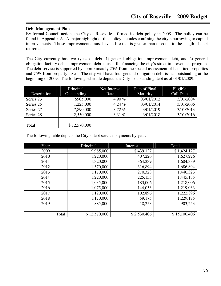#### **Debt Management Plan**

By formal Council action, the City of Roseville affirmed its debt policy in 2008. The policy can be found in Appendix A. A major highlight of this policy includes confining the city's borrowing to capital improvements. Those improvements must have a life that is greater than or equal to the length of debt retirement.

The City currently has two types of debt; 1) general obligation improvement debt, and 2) general obligation facility debt. Improvement debt is used for financing the city's street improvement program. The debt service is supported by approximately 25% from the special assessment of benefited properties and 75% from property taxes. The city will have four general obligation debt issues outstanding at the beginning of 2009. The following schedule depicts the City's outstanding debt as of 01/01/2009.

|             | Principal    | Net Interest | Date of Final | Eligible         |
|-------------|--------------|--------------|---------------|------------------|
| Description | Outstanding  | Rate         | Maturity      | <b>Call Date</b> |
| Series 23   | \$905,000    | 4.90 $%$     | 03/01/2012    | 3/01/2004        |
| Series 25   | 1,225,000    | 4.24 $%$     | 03/01/2014    | 3/01/2006        |
| Series 27   | 7,890,000    | 3.72%        | 3/01/2019     | 3/01/2013        |
| Series 28   | 2,550,000    | 3.31 $%$     | 3/01/2018     | 3/01/2016        |
|             |              |              |               |                  |
| Total       | \$12,570,000 |              |               |                  |

The following table depicts the City's debt service payments by year.

| Year  | Principal    | Interest    | Total        |
|-------|--------------|-------------|--------------|
| 2009  | \$985,000    | \$439,127   | \$1,424,127  |
| 2010  | 1,220,000    | 407,226     | 1,627,226    |
| 2011  | 1,320,000    | 364,339     | 1,684,339    |
| 2012  | 1,370,000    | 316,894     | 1,686,894    |
| 2013  | 1,170,000    | 270,323     | 1,440,323    |
| 2014  | 1,220,000    | 225,135     | 1,445,135    |
| 2015  | 1,035,000    | 183,006     | 1,218,006    |
| 2016  | 1,075,000    | 144,033     | 1,219,033    |
| 2017  | 1,120,000    | 102,896     | 1,222,896    |
| 2018  | 1,170,000    | 59,175      | 1,229,175    |
| 2019  | 885,000      | 18,253      | 903,253      |
|       |              |             |              |
| Total | \$12,570,000 | \$2,530,406 | \$15,100,406 |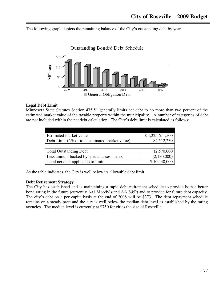The following graph depicts the remaining balance of the City's outstanding debt by year.



### **Legal Debt Limit**

Minnesota State Statutes Section 475.51 generally limits net debt to no more than two percent of the estimated market value of the taxable property within the municipality. A number of categories of debt are not included within the net debt calculation. The City's debt limit is calculated as follows:

| Estimated market value                          | \$4,225,611,500 |
|-------------------------------------------------|-----------------|
| Debt Limit (2% of total estimated market value) | 84,512,230      |
|                                                 |                 |
| <b>Total Outstanding Debt</b>                   | 12,570,000      |
| Less amount backed by special assessments       | (2,130,000)     |
| Total net debt applicable to limit              | \$10,440,000    |

As the table indicates, the City is well below its allowable debt limit.

#### **Debt Retirement Strategy**

The City has established and is maintaining a rapid debt retirement schedule to provide both a better bond rating in the future (currently Aa1 Moody's and AA S&P) and to provide for future debt capacity. The city's debt on a per capita basis at the end of 2008 will be \$373. The debt repayment schedule remains on a steady pace and the city is well below the median debt level as established by the rating agencies. The median level is currently at \$750 for cities the size of Roseville.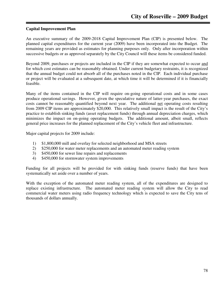#### **Capital Improvement Plan**

An executive summary of the 2009-2018 Capital Improvement Plan (CIP) is presented below. The planned capital expenditures for the current year (2009) have been incorporated into the Budget. The remaining years are provided as estimates for planning purposes only. Only after incorporation within successive budgets or as approved separately by the City Council will these items be considered funded.

Beyond 2009, purchases or projects are included in the CIP if they are somewhat expected to occur and for which cost estimates can be reasonably obtained. Under current budgetary restraints, it is recognized that the annual budget could not absorb all of the purchases noted in the CIP. Each individual purchase or project will be evaluated at a subsequent date, at which time it will be determined if it is financially feasible.

Many of the items contained in the CIP will require on-going operational costs and in some cases produce operational savings. However, given the speculative nature of latter-year purchases, the exact costs cannot be reasonably quantified beyond next year. The additional net operating costs resulting from 2009 CIP items are approximately \$20,000. This relatively small impact is the result of the City's practice to establish sinking funds (asset replacement funds) through annual depreciation charges, which minimizes the impact on on-going operating budgets. The additional amount, albeit small, reflects general price increases for the planned replacement of the City's vehicle fleet and infrastructure.

Major capital projects for 2009 include:

- 1) \$1,800,000 mill and overlay for selected neighborhood and MSA streets
- 2) \$250,000 for water meter replacements and an automated meter reading system
- 3) \$450,000 for sewer line repairs and replacements
- 4) \$450,000 for stormwater system improvements

Funding for all projects will be provided for with sinking funds (reserve funds) that have been systematically set aside over a number of years.

With the exception of the automated meter reading system, all of the expenditures are designed to replace existing infrastructure. The automated meter reading system will allow the City to read commercial water meters using radio frequency technology which is expected to save the City tens of thousands of dollars annually.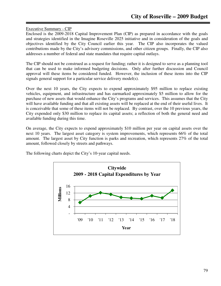Executive Summary - CIP

Enclosed is the 2009-2018 Capital Improvement Plan (CIP) as prepared in accordance with the goals and strategies identified in the Imagine Roseville 2025 initiative and in consideration of the goals and objectives identified by the City Council earlier this year. The CIP also incorporates the valued contributions made by the City's advisory commissions, and other citizen groups. Finally, the CIP also addresses a number of federal and state mandates that require capital outlays.

The CIP should not be construed as a request for funding; rather it is designed to serve as a planning tool that can be used to make informed budgeting decisions. Only after further discussion and Council approval will these items be considered funded. However, the inclusion of these items into the CIP signals general support for a particular service delivery model(s).

Over the next 10 years, the City expects to expend approximately \$95 million to replace existing vehicles, equipment, and infrastructure and has earmarked approximately \$5 million to allow for the purchase of new assets that would enhance the City's programs and services. This assumes that the City will have available funding and that all existing assets will be replaced at the end of their useful lives. It is conceivable that some of these items will not be replaced. By contrast, over the 10 previous years, the City expended only \$30 million to replace its capital assets; a reflection of both the general need and available funding during this time.

On average, the City expects to expend approximately \$10 million per year on capital assets over the next 10 years. The largest asset category is system improvements, which represents 66% of the total amount. The largest asset by City function is parks and recreation, which represents 27% of the total amount, followed closely by streets and pathways.

The following charts depict the City's 10-year capital needs.

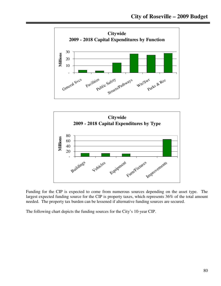



Funding for the CIP is expected to come from numerous sources depending on the asset type. The largest expected funding source for the CIP is property taxes, which represents 36% of the total amount needed. The property tax burden can be lessened if alternative funding sources are secured.

The following chart depicts the funding sources for the City's 10-year CIP.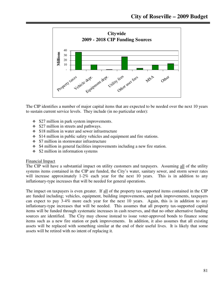

The CIP identifies a number of major capital items that are expected to be needed over the next 10 years to sustain current service levels. They include (in no particular order):

- \$27 million in park system improvements.
- $\div$  \$27 million in streets and pathways.
- \$18 million in water and sewer infrastructure
- $\div$  \$14 million in public safety vehicles and equipment and fire stations.
- \$7 million in stormwater infrastructure
- $\div$  \$4 million in general facilities improvements including a new fire station.
- \$2 million in information systems

#### Financial Impact

The CIP will have a substantial impact on utility customers and taxpayers. Assuming all of the utility systems items contained in the CIP are funded, the City's water, sanitary sewer, and storm sewer rates will increase approximately 1-2% each year for the next 10 years. This is in addition to any inflationary-type increases that will be needed for general operations.

The impact on taxpayers is even greater. If all of the property tax-supported items contained in the CIP are funded including; vehicles, equipment, building improvements, and park improvements, taxpayers can expect to pay 3-4% more each year for the next 10 years. Again, this is in addition to any inflationary-type increases that will be needed. This assumes that all property tax-supported capital items will be funded through systematic increases in cash reserves, and that no other alternative funding sources are identified. The City may choose instead to issue voter-approved bonds to finance some items such as a new fire station or park improvements. In addition, it also assumes that all existing assets will be replaced with something similar at the end of their useful lives. It is likely that some assets will be retired with no intent of replacing it.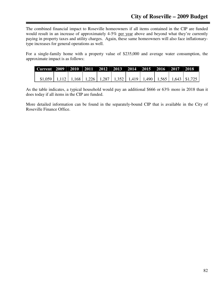The combined financial impact to Roseville homeowners if all items contained in the CIP are funded would result in an increase of approximately 4-5% per year above and beyond what they're currently paying in property taxes and utility charges. Again, these same homeowners will also face inflationarytype increases for general operations as well.

For a single-family home with a property value of \$235,000 and average water consumption, the approximate impact is as follows:

| Current 2009   2010   2011   2012   2013   2014   2015   2016   2017   2018                |  |  |  |  |  |
|--------------------------------------------------------------------------------------------|--|--|--|--|--|
|                                                                                            |  |  |  |  |  |
| $$1,059$   1,112   1,168   1,226   1,287   1,352   1,419   1,490   1,565   1,643   \$1,725 |  |  |  |  |  |

As the table indicates, a typical household would pay an additional \$666 or 63% more in 2018 than it does today if all items in the CIP are funded.

More detailed information can be found in the separately-bound CIP that is available in the City of Roseville Finance Office.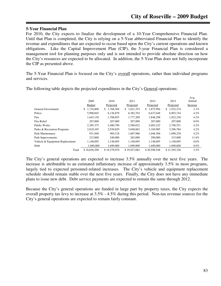#### **5-Year Financial Plan**

For 2010, the City expects to finalize the development of a 10-Year Comprehensive Financial Plan. Until that Plan is completed, the City is relying on a 5-Year abbreviated Financial Plan to identify the revenue and expenditures that are expected to occur based upon the City's current operations and known obligations. Like the Capital Improvement Plan (CIP), the 5-year Financial Plan is considered a management tool for planning purposes only and is not intended to provide absolute direction on how the City's resources are expected to be allocated. In addition, the 5-Year Plan does not fully incorporate the CIP as presented above.

The 5-Year Financial Plan is focused on the City's overall operations, rather than individual programs and services.

|                                 | 2009            | 2010            | 2011           | 2012            | 2013            | Avg.<br>Annual |
|---------------------------------|-----------------|-----------------|----------------|-----------------|-----------------|----------------|
|                                 | Budget          | Projected       | Projected      | Projected       | Projected       | Increase       |
| General Government              | 1,716,800<br>S. | 1,768,304<br>S. | 1,821,353<br>S | 1.875.994<br>\$ | 1,932,274<br>\$ | 3.1%           |
| Police                          | 5,900,845       | 6,136,879       | 6,382,354      | 6,637,648       | 6.903.154       | $4.2\%$        |
| Fire                            | 1,643,130       | 1,708,855       | 1.777.209      | 1.848.298       | 1,922,230       | $4.2\%$        |
| Fire Relief                     | 207,000         | 207,000         | 207,000        | 207,000         | 207,000         | $0.0\%$        |
| <b>Public Works</b>             | 2.385.375       | 2.480.790       | 2,580,022      | 2,683,222       | 2,790,551       | $4.2\%$        |
| Parks & Recreation Programs     | 2,818,105       | 2,930,829       | 3,048,062      | 3,169,985       | 3,296,784       | $4.2\%$        |
| Park Maintenance                | 931.940         | 969.218         | 1.007.986      | 1.048.306       | 1,090,238       | $4.2\%$        |
| Park Improvements               | 215,000         | 240,000         | 265,000        | 290,000         | 315,000         | 11.6%          |
| Vehicle & Equipment Replacement | 1.148.095       | 1.148.095       | 1.148.095      | 1.148.095       | 1.148.095       | $0.0\%$        |
| Debt                            | 1.690.000       | 1,690,000       | 1.690.000      | 1.690.000       | 1.690.000       | $0.0\%$        |
| Total                           | \$18,656,290    | \$19,279,970    | \$19.927.082   | \$20,598,548    | \$21.295.326    | 3.5%           |

The following table depicts the projected expenditures in the City's General operations:

The City's general operations are expected to increase 3.5% annually over the next five years. The increase is attributable to an estimated inflationary increase of approximately 3.5% in most programs, largely tied to expected personnel-related increases. The City's vehicle and equipment replacement schedule should remain stable over the next five years. Finally, the City does not have any immediate plans to issue new debt. Debt service payments are expected to remain the same through 2012.

Because the City's general operations are funded in large part by property taxes, the City expects the overall property tax levy to increase at 3.5% - 4.5% during this period. Non-tax revenue sources for the City's general operations are expected to remain fairly constant.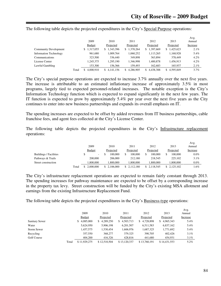|                               |       | 2009          | 2010            | 2011      | 2012             | 2013            | Avg.<br>Annual |
|-------------------------------|-------|---------------|-----------------|-----------|------------------|-----------------|----------------|
|                               |       | <b>Budget</b> | Projected       | Projected | Projected        | Projected       | Increase       |
| <b>Community Development</b>  |       | 317,055<br>S  | 1,343,396<br>\$ | 1,370,264 | 1,397,669<br>S.  | 1.425.623<br>S. | 2.1%           |
| <b>Information Technology</b> |       | 961,680       | 1,009,764       | 1,060,252 | 1,113,265        | 1,168,928       | 5.4%           |
| Communications                |       | 323,500       | 336,440         | 349,898   | 363,894          | 378,449         | $4.2\%$        |
| License Center                |       | 1,245,375     | 1.295.190       | 1,346,998 | 1,400,878        | 1,456,913       | $4.2\%$        |
| Lawful Gambling               |       | 153,300       | 156,366         | 159,493   | 162.683          | 165.937         | 2.1%           |
|                               | Total | 4,000,910     | 4.141.156<br>S. | 4.286.905 | 4.438.388<br>\$. | 4.595.849<br>S. | $3.7\%$        |

The following table depicts the projected expenditures in the City's Special Purpose operations:

The City's special purpose operations are expected to increase 3.7% annually over the next five years. The increase is attributable to an estimated inflationary increase of approximately 3.5% in most programs, largely tied to expected personnel-related increases. The notable exception is the City's Information Technology function which is expected to expand significantly in the next few years. The IT function is expected to grow by approximately 5.4% per year over the next five years as the City continues to enter into new business partnerships and expands its overall emphasis on IT.

The spending increases are expected to be offset by added revenues from IT business partnerships, cable franchise fees, and agent fees collected at the City's License Center.

The following table depicts the projected expenditures in the City's Infrastructure replacement operations:

|                               |       | 2009          | 2010      | 2011      | 2012      | 2013      | Avg.<br>Annual |
|-------------------------------|-------|---------------|-----------|-----------|-----------|-----------|----------------|
|                               |       | <b>Budget</b> | Projected | Projected | Projected | Projected | Increase       |
| <b>Buildings / Facilities</b> |       | ۰.            | 100,000   | 100,000   | 100.000   | 100,000   | $0.0\%$        |
| Pathways & Trails             |       | 200,000       | 206,000   | 212,180   | 218,545   | 225,102   | 3.1%           |
| Street construction           |       | 1.800.000     | 1.800.000 | .800.000  | .800.000  | 1.800.000 | $0.0\%$        |
|                               | Total | 2,000,000     | 2.106.000 | 2.112.180 | 2.118.545 | 2.125.102 | 1.6%           |

The City's infrastructure replacement operations are expected to remain fairly constant through 2013. The spending increases for pathway maintenance are expected to be offset by a corresponding increase in the property tax levy. Street construction will be funded by the City's existing MSA allotment and earnings from the existing Infrastructure Replacement Fund.

The following table depicts the projected expenditures in the City's Business-type operations:

|                       |       |               |              |                 |                  |                | Avg.     |
|-----------------------|-------|---------------|--------------|-----------------|------------------|----------------|----------|
|                       |       | 2009          | 2010         | 2011            | 2012             | 2013           | Annual   |
|                       |       | <b>Budget</b> | Projected    | Projected       | Projected        | Projected      | Increase |
| <b>Sanitary Sewer</b> |       | \$4,085,000   | \$4,289,250  | 4,503,713<br>S. | 4,728,898<br>\$. | 4,965,343<br>S | 5.4%     |
| Water                 |       | 5,624,950     | 5,906,198    | 6,201,507       | 6,511,583        | 6,837,162      | 5.4%     |
| <b>Storm Sewer</b>    |       | 1,457,575     | 1.530.454    | 1.606.976       | 1,687,325        | 1,771,692      | 5.4%     |
| Recycling             |       | 357,550       | 368,277      | 379.325         | 390,705          | 402,426        | $3.1\%$  |
| Golf Course           |       | 404,200       | 416.326      | 428,816         | 441,680          | 454.931        | $3.1\%$  |
|                       | Total | \$11.929.275  | \$12,510,504 | \$13,120,337    | \$13,760,191     | \$14,431,553   | 5.2%     |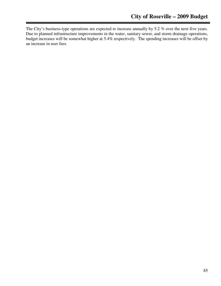The City's business-type operations are expected to increase annually by 5.2 % over the next five years. Due to planned infrastructure improvements in the water, sanitary sewer, and storm drainage operations, budget increases will be somewhat higher at 5.4% respectively. The spending increases will be offset by an increase in user fees.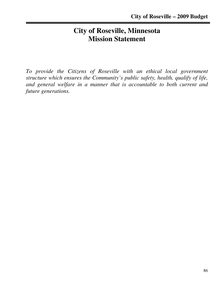# **City of Roseville, Minnesota Mission Statement**

*To provide the Citizens of Roseville with an ethical local government structure which ensures the Community's public safety, health, qualify of life, and general welfare in a manner that is accountable to both current and future generations.*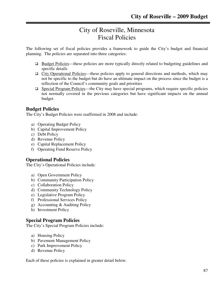# City of Roseville, Minnesota Fiscal Policies

The following set of fiscal policies provides a framework to guide the City's budget and financial planning. The policies are separated into three categories:

- $\Box$  Budget Policies—these policies are more typically directly related to budgeting guidelines and specific details
- $\Box$  City Operational Policies—these policies apply to general directions and methods, which may not be specific to the budget but do have an ultimate impact on the process since the budget is a reflection of the Council's community goals and priorities
- $\Box$  Special Program Policies—the City may have special programs, which require specific policies not normally covered in the previous categories but have significant impacts on the annual budget.

# **Budget Policies**

The City's Budget Policies were reaffirmed in 2008 and include:

- a) Operating Budget Policy
- b) Capital Improvement Policy
- c) Debt Policy
- d) Revenue Policy
- e) Capital Replacement Policy
- f) Operating Fund Reserve Policy

# **Operational Policies**

The City's Operational Policies include:

- a) Open Government Policy
- b) Community Participation Policy
- c) Collaboration Policy
- d) Community Technology Policy
- e) Legislative Program Policy
- f) Professional Services Policy
- g) Accounting & Auditing Policy
- h) Investment Policy

# **Special Program Policies**

The City's Special Program Policies include:

- a) Housing Policy
- b) Pavement Management Policy
- c) Park Improvement Policy
- d) Revenue Policy

Each of these policies is explained in greater detail below.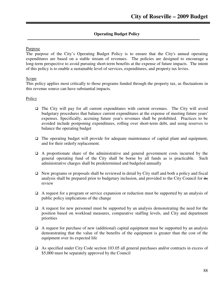# **Operating Budget Policy**

#### Purpose

The purpose of the City's Operating Budget Policy is to ensure that the City's annual operating expenditures are based on a stable stream of revenues. The policies are designed to encourage a long-term perspective to avoid pursuing short-term benefits at the expense of future impacts. The intent of this policy is to enable a sustainable level of services, expenditures, and property tax levies.

#### Scope

This policy applies most critically to those programs funded through the property tax, as fluctuations in this revenue source can have substantial impacts.

### **Policy**

- $\Box$  The City will pay for all current expenditures with current revenues. The City will avoid budgetary procedures that balance current expenditures at the expense of meeting future years' expenses. Specifically, accruing future year's revenues shall be prohibited. Practices to be avoided include postponing expenditures, rolling over short-term debt, and using reserves to balance the operating budget
- $\Box$  The operating budget will provide for adequate maintenance of capital plant and equipment, and for their orderly replacement.
- $\Box$  A proportionate share of the administrative and general government costs incurred by the general operating fund of the City shall be borne by all funds as is practicable. Such administrative charges shall be predetermined and budgeted annually
- $\Box$  New programs or proposals shall be reviewed in detail by City staff and both a policy and fiscal analysis shall be prepared prior to budgetary inclusion, and provided to the City Council for its review
- $\Box$  A request for a program or service expansion or reduction must be supported by an analysis of public policy implications of the change
- $\Box$  A request for new personnel must be supported by an analysis demonstrating the need for the position based on workload measures, comparative staffing levels, and City and department priorities
- $\Box$  A request for purchase of new (additional) capital equipment must be supported by an analysis demonstrating that the value of the benefits of the equipment is greater than the cost of the equipment over its expected life
- As specified under City Code section 103.05 all general purchases and/or contracts in excess of \$5,000 must be separately approved by the Council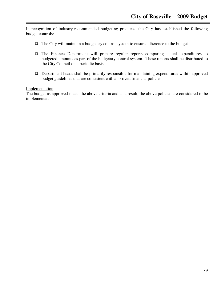In recognition of industry-recommended budgeting practices, the City has established the following budget controls:

- The City will maintain a budgetary control system to ensure adherence to the budget
- The Finance Department will prepare regular reports comparing actual expenditures to budgeted amounts as part of the budgetary control system. These reports shall be distributed to the City Council on a periodic basis.
- Department heads shall be primarily responsible for maintaining expenditures within approved budget guidelines that are consistent with approved financial policies

# Implementation

The budget as approved meets the above criteria and as a result, the above policies are considered to be implemented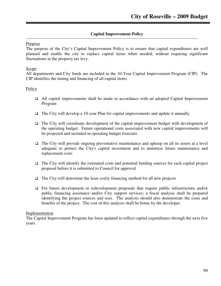# **Capital Improvement Policy**

#### Purpose

The purpose of the City's Capital Improvement Policy is to ensure that capital expenditures are well planned and enable the city to replace capital items when needed, without requiring significant fluctuations in the property tax levy.

### Scope<sub>1</sub>

All departments and City funds are included in the 10-Year Capital Improvement Program (CIP). The CIP identifies the timing and financing of all capital items.

### Policy

- All capital improvements shall be made in accordance with an adopted Capital Improvement Program
- $\Box$  The City will develop a 10-year Plan for capital improvements and update it annually
- $\Box$  The City will coordinate development of the capital improvement budget with development of the operating budget. Future operational costs associated with new capital improvements will be projected and included in operating budget forecasts
- $\Box$  The City will provide ongoing preventative maintenance and upkeep on all its assets at a level adequate to protect the City's capital investment and to minimize future maintenance and replacement costs
- $\Box$  The City will identify the estimated costs and potential funding sources for each capital project proposal before it is submitted to Council for approval
- $\Box$  The City will determine the least costly financing method for all new projects
- For future development or redevelopment proposals that require public infrastructure and/or public financing assistance and/or City support services; a fiscal analysis shall be prepared identifying the project sources and uses. The analysis should also demonstrate the costs and benefits of the project. The cost of this analysis shall be borne by the developer.

#### Implementation

The Capital Improvement Program has been updated to reflect capital expenditures through the next five years.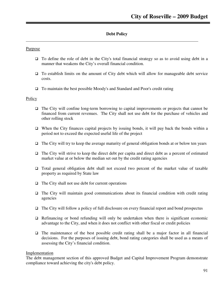# **Debt Policy**

#### Purpose

- To define the role of debt in the City's total financial strategy so as to avoid using debt in a manner that weakens the City's overall financial condition.
- $\Box$  To establish limits on the amount of City debt which will allow for manageable debt service costs.
- To maintain the best possible Moody's and Standard and Poor's credit rating

#### **Policy**

- $\Box$  The City will confine long-term borrowing to capital improvements or projects that cannot be financed from current revenues. The City shall not use debt for the purchase of vehicles and other rolling stock
- $\Box$  When the City finances capital projects by issuing bonds, it will pay back the bonds within a period not to exceed the expected useful life of the project
- $\Box$  The City will try to keep the average maturity of general obligation bonds at or below ten years
- $\Box$  The City will strive to keep the direct debt per capita and direct debt as a percent of estimated market value at or below the median set out by the credit rating agencies
- Total general obligation debt shall not exceed two percent of the market value of taxable property as required by State law
- $\Box$  The City shall not use debt for current operations
- $\Box$  The City will maintain good communications about its financial condition with credit rating agencies
- $\Box$  The City will follow a policy of full disclosure on every financial report and bond prospectus
- $\Box$  Refinancing or bond refunding will only be undertaken when there is significant economic advantage to the City, and when it does not conflict with other fiscal or credit policies
- $\Box$  The maintenance of the best possible credit rating shall be a major factor in all financial decisions. For the purposes of issuing debt, bond rating categories shall be used as a means of assessing the City's financial condition.

#### Implementation

The debt management section of this approved Budget and Capital Improvement Program demonstrate compliance toward achieving the city's debt policy.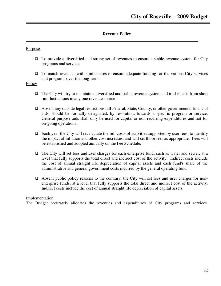# **Revenue Policy**

#### Purpose

- □ To provide a diversified and strong set of revenues to ensure a stable revenue system for City programs and services
- $\Box$  To match revenues with similar uses to ensure adequate funding for the various City services and programs over the long-term

#### Policy

- $\Box$  The City will try to maintain a diversified and stable revenue system and to shelter it from short run fluctuations in any one revenue source
- Absent any outside legal restrictions, all Federal, State, County, or other governmental financial aids, should be formally designated, by resolution, towards a specific program or service. General purpose aids shall only be used for capital or non-recurring expenditures and not for on-going operations.
- $\Box$  Each year the City will recalculate the full costs of activities supported by user fees, to identify the impact of inflation and other cost increases, and will set those fees as appropriate. Fees will be established and adopted annually on the Fee Schedule.
- □ The City will set fees and user charges for each enterprise fund, such as water and sewer, at a level that fully supports the total direct and indirect cost of the activity. Indirect costs include the cost of annual straight life depreciation of capital assets and each fund's share of the administrative and general government costs incurred by the general operating fund
- $\Box$  Absent public policy reasons to the contrary, the City will set fees and user charges for nonenterprise funds, at a level that fully supports the total direct and indirect cost of the activity. Indirect costs include the cost of annual straight life depreciation of capital assets

#### Implementation

The Budget accurately allocates the revenues and expenditures of City programs and services.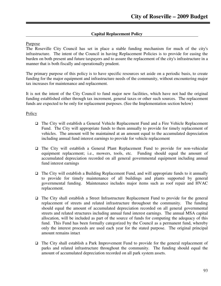#### **Capital Replacement Policy**

#### Purpose

The Roseville City Council has set in place a stable funding mechanism for much of the city's infrastructure. The intent of the Council in having Replacement Policies is to provide for easing the burden on both present and future taxpayers and to assure the replacement of the city's infrastructure in a manner that is both fiscally and operationally prudent.

The primary purpose of this policy is to have specific resources set aside on a periodic basis, to create funding for the major equipment and infrastructure needs of the community, without encountering major tax increases for maintenance and replacement.

It is not the intent of the City Council to fund major new facilities, which have not had the original funding established either through tax increment, general taxes or other such sources. The replacement funds are expected to be only for replacement purposes. (See the Implementation section below)

#### Policy

- The City will establish a General Vehicle Replacement Fund and a Fire Vehicle Replacement Fund. The City will appropriate funds to them annually to provide for timely replacement of vehicles. The amount will be maintained at an amount equal to the accumulated depreciation including annual fund interest earnings to provide for vehicle replacement
- The City will establish a General Plant Replacement Fund to provide for non-vehicular equipment replacement; i.e., mowers, tools, etc. Funding should equal the amount of accumulated depreciation recorded on all general governmental equipment including annual fund interest earnings
- $\Box$  The City will establish a Building Replacement Fund, and will appropriate funds to it annually to provide for timely maintenance of all buildings and plants supported by general governmental funding. Maintenance includes major items such as roof repair and HVAC replacement.
- The City shall establish a Street Infrastructure Replacement Fund to provide for the general replacement of streets and related infrastructure throughout the community. The funding should equal the amount of accumulated depreciation recorded on all general governmental streets and related structures including annual fund interest earnings. The annual MSA capital allocation, will be included as part of the source of funds for computing the adequacy of this fund. This Fund has been formally categorized by the Council as a permanent fund, whereby only the interest proceeds are used each year for the stated purpose. The original principal amount remains intact
- The City shall establish a Park Improvement Fund to provide for the general replacement of parks and related infrastructure throughout the community. The funding should equal the amount of accumulated depreciation recorded on all park system assets.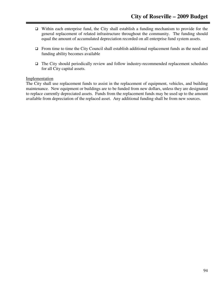- $\Box$  Within each enterprise fund, the City shall establish a funding mechanism to provide for the general replacement of related infrastructure throughout the community. The funding should equal the amount of accumulated depreciation recorded on all enterprise fund system assets.
- □ From time to time the City Council shall establish additional replacement funds as the need and funding ability becomes available
- $\Box$  The City should periodically review and follow industry-recommended replacement schedules for all City capital assets.

#### Implementation

The City shall use replacement funds to assist in the replacement of equipment, vehicles, and building maintenance. New equipment or buildings are to be funded from new dollars, unless they are designated to replace currently depreciated assets. Funds from the replacement funds may be used up to the amount available from depreciation of the replaced asset. Any additional funding shall be from new sources.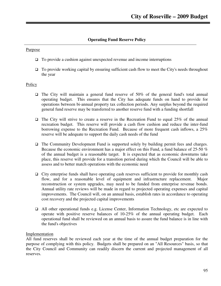# **Operating Fund Reserve Policy**

#### Purpose

- $\Box$  To provide a cushion against unexpected revenue and income interruptions
- $\Box$  To provide working capital by ensuring sufficient cash flow to meet the City's needs throughout the year

#### **Policy**

- $\Box$  The City will maintain a general fund reserve of 50% of the general fund's total annual operating budget. This ensures that the City has adequate funds on hand to provide for operations between bi-annual property tax collection periods. Any surplus beyond the required general fund reserve may be transferred to another reserve fund with a funding shortfall
- $\Box$  The City will strive to create a reserve in the Recreation Fund to equal 25% of the annual recreation budget. This reserve will provide a cash flow cushion and reduce the inter-fund borrowing expense to the Recreation Fund. Because of more frequent cash inflows, a 25% reserve will be adequate to support the daily cash needs of the fund
- $\Box$  The Community Development Fund is supported solely by building permit fees and charges. Because the economic environment has a major effect on this Fund, a fund balance of 25-50 % of the annual budget is a reasonable target. It is expected that as economic downturns take place, this reserve will provide for a transition period during which the Council will be able to assess and to better match operations with the economic need
- City enterprise funds shall have operating cash reserves sufficient to provide for monthly cash flow, and for a reasonable level of equipment and infrastructure replacement. Major reconstruction or system upgrades, may need to be funded from enterprise revenue bonds. Annual utility rate reviews will be made in regard to projected operating expenses and capital improvements. The Council will, on an annual basis, establish rates in accordance to operating cost recovery and the projected capital improvements
- All other operational funds e.g. License Center, Information Technology, etc are expected to operate with positive reserve balances of 10-25% of the annual operating budget. Each operational fund shall be reviewed on an annual basis to assure the fund balance is in line with the fund's objectives

#### Implementation

All fund reserves shall be reviewed each year at the time of the annual budget preparation for the purpose of complying with this policy. Budgets shall be prepared on an "All Resources" basis, so that the City Council and Community can readily discern the current and projected management of all reserves.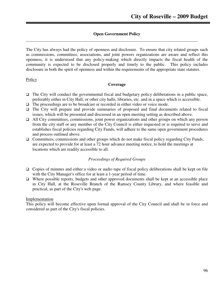# **Open Government Policy**

The City has always had the policy of openness and disclosure. To ensure that city related groups such as commissions, committees, associations, and joint powers organizations are aware and reflect this openness, it is understood that any policy-making which directly impacts the fiscal health of the community is expected to be disclosed properly and timely to the public. This policy includes disclosure in both the spirit of openness and within the requirements of the appropriate state statutes.

#### Policy

#### **Coverage**

- $\Box$  The City will conduct the governmental fiscal and budgetary policy deliberations in a public space, preferably either in City Hall, or other city halls, libraries, etc. and in a space which is accessible.
- $\Box$  The proceedings are to be broadcast or recorded in either video or voice mode.
- $\Box$  The City will prepare and provide summaries of proposed and final documents related to fiscal issues, which will be presented and discussed in an open meeting setting as described above.
- $\Box$  All City committees, commissions, joint power organizations and other groups on which any person from the city staff or any member of the City Council is either requested or is required to serve and establishes fiscal policies regarding City Funds, will adhere to the same open government procedures and process outlined above.
- $\Box$  Committees, commissions and other groups which do not make fiscal policy regarding City Funds, are expected to provide for at least a 72 hour advance meeting notice, to hold the meetings at locations which are readily accessible to all.

#### *Proceedings of Required Groups*

- $\Box$  Copies of minutes and either a video or audio tape of fiscal policy deliberations shall be kept on file with the City Manager's office for at least a 1-year period of time.
- $\Box$  Where possible reports, budgets and other approved documents shall be kept at an accessible place in City Hall, at the Roseville Branch of the Ramsey County Library, and where feasible and practical, as part of the City's web page.

#### Implementation

This policy will become effective upon formal approval of the City Council and shall be in force and considered as part of the City's fiscal policies.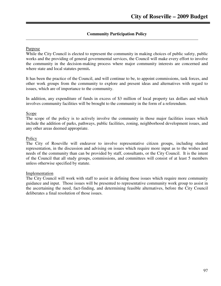## **Community Participation Policy**

#### Purpose

While the City Council is elected to represent the community in making choices of public safety, public works and the providing of general governmental services, the Council will make every effort to involve the community in the decision-making process where major community interests are concerned and where state and local statutes permit**.** 

It has been the practice of the Council, and will continue to be, to appoint commissions, task forces, and other work groups from the community to explore and present ideas and alternatives with regard to issues, which are of importance to the community.

In addition, any expenditure of funds in excess of \$3 million of local property tax dollars and which involves community facilities will be brought to the community in the form of a referendum.

#### Scope

The scope of the policy is to actively involve the community in those major facilities issues which include the addition of parks, pathways, public facilities, zoning, neighborhood development issues, and any other areas deemed appropriate.

#### **Policy**

The City of Roseville will endeavor to involve representative citizen groups, including student representation, in the discussion and advising on issues which require more input as to the wishes and needs of the community than can be provided by staff, consultants, or the City Council. It is the intent of the Council that all study groups, commissions, and committees will consist of at least 5 members unless otherwise specified by statute.

#### Implementation

The City Council will work with staff to assist in defining those issues which require more community guidance and input. Those issues will be presented to representative community work group to assist in the ascertaining the need, fact-finding, and determining feasible alternatives, before the City Council deliberates a final resolution of those issues.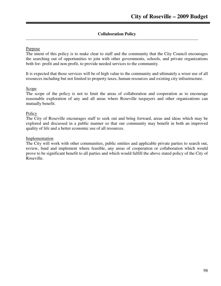# **Collaboration Policy**

#### Purpose

The intent of this policy is to make clear to staff and the community that the City Council encourages the searching out of opportunities to join with other governments, schools, and private organizations both for- profit and non-profit, to provide needed services to the community.

It is expected that those services will be of high value to the community and ultimately a wiser use of all resources including but not limited to property taxes, human resources and existing city infrastructure.

#### Scope

The scope of the policy is not to limit the areas of collaboration and cooperation as to encourage reasonable exploration of any and all areas where Roseville taxpayers and other organizations can mutually benefit.

#### **Policy**

The City of Roseville encourages staff to seek out and bring forward, areas and ideas which may be explored and discussed in a public manner so that our community may benefit in both an improved quality of life and a better economic use of all resources.

#### Implementation

The City will work with other communities, public entities and applicable private parties to search out, review, fund and implement where feasible, any areas of cooperation or collaboration which would prove to be significant benefit to all parties and which would fulfill the above stated policy of the City of Roseville.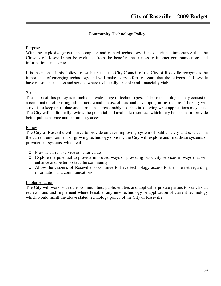## **Community Technology Policy**

#### Purpose

With the explosive growth in computer and related technology, it is of critical importance that the Citizens of Roseville not be excluded from the benefits that access to internet communications and information can accrue.

It is the intent of this Policy, to establish that the City Council of the City of Roseville recognizes the importance of emerging technology and will make every effort to assure that the citizens of Roseville have reasonable access and service where technically feasible and financially viable.

#### Scope

The scope of this policy is to include a wide range of technologies. Those technologies may consist of a combination of existing infrastructure and the use of new and developing infrastructure. The City will strive is to keep up-to-date and current as is reasonably possible in knowing what applications may exist. The City will additionally review the potential and available resources which may be needed to provide better public service and community access.

#### **Policy**

The City of Roseville will strive to provide an ever-improving system of public safety and service. In the current environment of growing technology options, the City will explore and find those systems or providers of systems, which will:

- $\Box$  Provide current service at better value
- $\Box$  Explore the potential to provide improved ways of providing basic city services in ways that will enhance and better protect the community
- $\Box$  Allow the citizens of Roseville to continue to have technology access to the internet regarding information and communications

#### Implementation

The City will work with other communities, public entities and applicable private parties to search out, review, fund and implement where feasible, any new technology or application of current technology which would fulfill the above stated technology policy of the City of Roseville.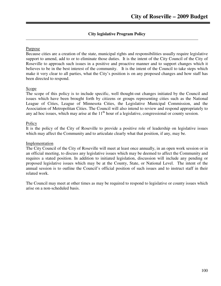# **City legislative Program Policy**

#### Purpose

Because cities are a creation of the state, municipal rights and responsibilities usually require legislative support to amend, add to or to eliminate those duties. It is the intent of the City Council of the City of Roseville to approach such issues in a positive and proactive manner and to support changes which it believes to be in the best interest of the community. It is the intent of the Council to take steps which make it very clear to all parties, what the City's position is on any proposed changes and how staff has been directed to respond.

### Scope

The scope of this policy is to include specific, well thought-out changes initiated by the Council and issues which have been brought forth by citizens or groups representing cities such as the National League of Cities, League of Minnesota Cities, the Legislative Municipal Commission, and the Association of Metropolitan Cities. The Council will also intend to review and respond appropriately to any ad hoc issues, which may arise at the  $11<sup>th</sup>$  hour of a legislative, congressional or county session.

#### Policy

It is the policy of the City of Roseville to provide a positive role of leadership on legislative issues which may affect the Community and to articulate clearly what that position, if any, may be.

#### Implementation

The City Council of the City of Roseville will meet at least once annually, in an open work session or in an official meeting, to discuss any legislative issues which may be deemed to affect the Community and requires a stated position. In addition to initiated legislation, discussion will include any pending or proposed legislative issues which may be at the County, State, or National Level. The intent of the annual session is to outline the Council's official position of such issues and to instruct staff in their related work.

The Council may meet at other times as may be required to respond to legislative or county issues which arise on a non-scheduled basis.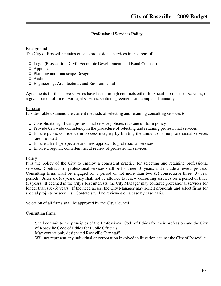# **Professional Services Policy**

Background

The City of Roseville retains outside professional services in the areas of:

- Legal (Prosecution, Civil, Economic Development, and Bond Counsel)
- □ Appraisal
- □ Planning and Landscape Design
- □ Audit
- Engineering, Architectural, and Environmental

Agreements for the above services have been through contracts either for specific projects or services, or a given period of time. For legal services, written agreements are completed annually.

#### Purpose

It is desirable to amend the current methods of selecting and retaining consulting services to:

- $\Box$  Consolidate significant professional service policies into one uniform policy
- $\Box$  Provide Citywide consistency in the procedure of selecting and retaining professional services
- $\Box$  Ensure public confidence in process integrity by limiting the amount of time professional services are provided
- $\Box$  Ensure a fresh perspective and new approach to professional services
- $\Box$  Ensure a regular, consistent fiscal review of professional services

#### **Policy**

It is the policy of the City to employ a consistent practice for selecting and retaining professional services. Contracts for professional services shall be for three (3) years, and include a review process. Consulting firms shall be engaged for a period of not more than two (2) consecutive three (3) year periods. After six (6) years, they shall not be allowed to renew consulting services for a period of three (3) years. If deemed in the City's best interests, the City Manager may continue professional services for longer than six (6) years. If the need arises, the City Manager may solicit proposals and select firms for special projects or services. Contracts will be reviewed on a case by case basis.

Selection of all firms shall be approved by the City Council.

Consulting firms:

- $\Box$  Shall commit to the principles of the Professional Code of Ethics for their profession and the City of Roseville Code of Ethics for Public Officials
- $\Box$  May contact only designated Roseville City staff
- $\Box$  Will not represent any individual or corporation involved in litigation against the City of Roseville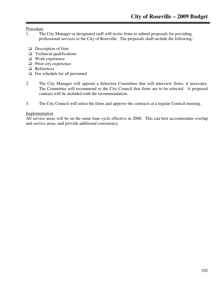Procedure

- 1. The City Manager or designated staff will invite firms to submit proposals for providing professional services to the City of Roseville. The proposals shall include the following:
- $\Box$  Description of firm
- $\Box$  Technical qualifications
- Work experience
- $\Box$  Prior city experience
- □ References
- □ Fee schedule for all personnel
- 2. The City Manager will appoint a Selection Committee that will interview firms, if necessary. The Committee will recommend to the City Council that firms are to be selected. A proposed contract will be included with the recommendation.
- 3. The City Council will select the firms and approve the contracts at a regular Council meeting.

#### Implementation

All service areas will be on the same time cycle effective in 2000. This can best accommodate overlap and service areas, and provide additional consistency.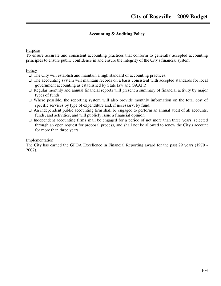# **Accounting & Auditing Policy**

### Purpose

To ensure accurate and consistent accounting practices that conform to generally accepted accounting principles to ensure public confidence in and ensure the integrity of the City's financial system.

# Policy

- The City will establish and maintain a high standard of accounting practices.
- The accounting system will maintain records on a basis consistent with accepted standards for local government accounting as established by State law and GAAFR.
- $\Box$  Regular monthly and annual financial reports will present a summary of financial activity by major types of funds.
- Where possible, the reporting system will also provide monthly information on the total cost of specific services by type of expenditure and, if necessary, by fund.
- $\Box$  An independent public accounting firm shall be engaged to perform an annual audit of all accounts, funds, and activities, and will publicly issue a financial opinion.
- $\Box$  Independent accounting firms shall be engaged for a period of not more than three years, selected through an open request for proposal process, and shall not be allowed to renew the City's account for more than three years.

#### Implementation

The City has earned the GFOA Excellence in Financial Reporting award for the past 29 years (1979 - 2007).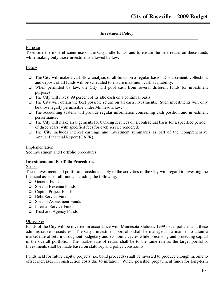#### **Investment Policy**

#### Purpose

To ensure the most efficient use of the City's idle funds, and to ensure the best return on these funds while making only those investments allowed by law.

#### **Policy**

- $\Box$  The City will make a cash flow analysis of all funds on a regular basis. Disbursement, collection, and deposit of all funds will be scheduled to ensure maximum cash availability.
- $\Box$  When permitted by law, the City will pool cash from several different funds for investment purposes.
- $\Box$  The City will invest 99 percent of its idle cash on a continual basis.
- $\Box$  The City will obtain the best possible return on all cash investments. Such investments will only be those legally permissible under Minnesota law.
- $\Box$  The accounting system will provide regular information concerning cash position and investment performance.
- $\Box$  The City will make arrangements for banking services on a contractual basis for a specified period of three years, with specified fees for each service rendered.
- $\Box$  The City includes interest earnings and investment summaries as part of the Comprehensive Annual Financial Report (CAFR).

Implementation

See Investment and Portfolio procedures.

#### **Investment and Portfolio Procedures**

#### Scope

These investment and portfolio procedures apply to the activities of the City with regard to investing the financial assets of all funds, including the following:

- □ General Fund
- □ Special Revenue Funds
- □ Capital Project Funds
- Debt Service Funds
- □ Special Assessment Funds
- □ Internal Service Funds
- □ Trust and Agency Funds

#### **Objectives**

Funds of the City will be invested in accordance with Minnesota Statutes, 1999 fiscal policies and these administrative procedures. The City's investment portfolio shall be managed in a manner to attain a market rate of return throughout budgetary and economic cycles while preserving and protecting capital in the overall portfolio. The market rate of return shall be to the same rate as the target portfolio. Investments shall be made based on statutory and policy constraints.

Funds held for future capital projects (i.e. bond proceeds) shall be invested to produce enough income to offset increases in construction costs due to inflation. Where possible, prepayment funds for long-term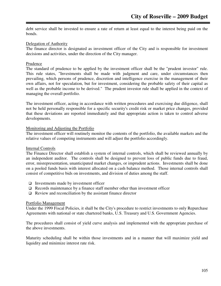debt service shall be invested to ensure a rate of return at least equal to the interest being paid on the bonds.

#### Delegation of Authority

The finance director is designated as investment officer of the City and is responsible for investment decisions and activities, under the direction of the City manager.

#### Prudence

The standard of prudence to be applied by the investment officer shall be the "prudent investor" rule. This rule states, "Investments shall be made with judgment and care, under circumstances then prevailing, which persons of prudence, discretion and intelligence exercise in the management of their own affairs, not for speculation, but for investment, considering the probable safety of their capital as well as the probable income to be derived." The prudent investor rule shall be applied in the context of managing the overall portfolio.

The investment officer, acting in accordance with written procedures and exercising due diligence, shall not be held personally responsible for a specific security's credit risk or market price changes, provided that these deviations are reported immediately and that appropriate action is taken to control adverse developments.

#### Monitoring and Adjusting the Portfolio

The investment officer will routinely monitor the contents of the portfolio, the available markets and the relative values of competing instruments and will adjust the portfolio accordingly.

#### Internal Controls

The Finance Director shall establish a system of internal controls, which shall be reviewed annually by an independent auditor. The controls shall be designed to prevent loss of public funds due to fraud, error, misrepresentation, unanticipated market changes, or imprudent actions. Investments shall be done on a pooled funds basis with interest allocated on a cash balance method. Those internal controls shall consist of competitive bids on investments, and division of duties among the staff.

- $\Box$  Investments made by investment officer
- $\Box$  Records maintenance by a finance staff member other than investment officer
- $\Box$  Review and reconciliation by the assistant finance director

#### Portfolio Management

Under the 1999 Fiscal Policies, it shall be the City's procedure to restrict investments to only Repurchase Agreements with national or state chartered banks, U.S. Treasury and U.S. Government Agencies.

The procedures shall consist of yield curve analysis and implemented with the appropriate purchase of the above investments.

Maturity scheduling shall be within those investments and in a manner that will maximize yield and liquidity and minimize interest rate risk.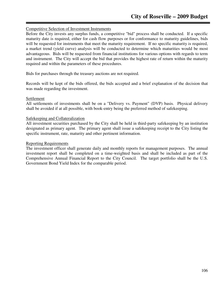#### Competitive Selection of Investment Instruments

Before the City invests any surplus funds, a competitive "bid" process shall be conducted. If a specific maturity date is required, either for cash flow purposes or for conformance to maturity guidelines, bids will be requested for instruments that meet the maturity requirement. If no specific maturity is required, a market trend (yield curve) analysis will be conducted to determine which maturities would be most advantageous. Bids will be requested from financial institutions for various options with regards to term and instrument. The City will accept the bid that provides the highest rate of return within the maturity required and within the parameters of these procedures.

Bids for purchases through the treasury auctions are not required.

Records will be kept of the bids offered, the bids accepted and a brief explanation of the decision that was made regarding the investment.

#### Settlement

All settlements of investments shall be on a "Delivery vs. Payment" (DVP) basis. Physical delivery shall be avoided if at all possible, with book-entry being the preferred method of safekeeping.

#### Safekeeping and Collateralization

All investment securities purchased by the City shall be held in third-party safekeeping by an institution designated as primary agent. The primary agent shall issue a safekeeping receipt to the City listing the specific instrument, rate, maturity and other pertinent information.

#### Reporting Requirements

The investment officer shall generate daily and monthly reports for management purposes. The annual investment report shall be completed on a time-weighted basis and shall be included as part of the Comprehensive Annual Financial Report to the City Council. The target portfolio shall be the U.S. Government Bond Yield Index for the comparable period.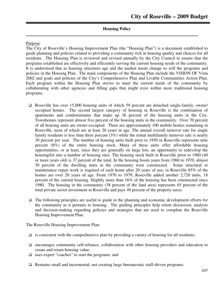## **Housing Policy**

#### Purpose

The City of Roseville's Housing Improvement Plan (the "Housing Plan") is a document established to guide planning and policies related to providing a community rich in housing quality and choices for all residents. The Housing Plan is reviewed and revised annually by the City Council to ensure that the programs established are effectively and efficiently serving the current housing needs of the community. It is understood that as housing structures age and the market needs change so will the programs and policies in the Housing Plan. The main components of the Housing Plan include the VISION OF Vista 2002 and goals and policies of the City's Comprehensive Plan and Livable Communities Action Plan. Each program within the Housing Plan strives to meet the current needs of the community by collaborating with other agencies and filling gaps that might exist within more traditional housing programs.

- □ Roseville has over 15,000 housing units of which 59 percent are detached single-family, owner/ occupied homes. The second largest category of housing in Roseville is the combination of apartments and condominiums that make up 36 percent of the housing units in the City. Townhomes represent almost five percent of the housing units in the community. Over 70 percent of all housing units are owner-occupied. There are approximately 100 mobile homes remaining in Roseville, most of which are at least 20 years in age. The annual overall turnover rate for single family residents is less than three percent (3%) while the rental multifamily turnover rate is nearly 30 percent per year. The number of housing units built prior to 1950 in Roseville represents nine percent (8%) of the entire housing stock. Many of these units offer affordable housing opportunities, or at least, since they are generally on large lots, an opportunity to redevelop the housing/lot into a number of housing sites. The housing stock built in Roseville prior to 1960 (40 or more years old) is 37 percent of the total. In the housing boom years from 1960 to 1970, almost 30 percent of the dwelling units in the community were constructed. Some structural or maintenance repair work is required of each home after 20 years of use; in Roseville 85% of the homes are over 20 years of age. From 1970 to 1979, Roseville added another 2,726 units, 18 percent of the current housing. Slightly more than 16% of the housing has been constructed since 1980. The housing in the community (38 percent of the land area) represents 65 percent of the total private sector investment in Roseville and pays 49 percent of the property taxes.
- $\Box$  The following principles are useful to guide in the planning and economic development efforts for the community as it pertains to housing. The guiding principles help orient discussion, analysis and decision-making regarding policies and strategies that are used to complete the Roseville Housing Improvement Plan.

The Roseville Housing Improvement Plan:

- $\Box$  is consistent with the comprehensive plan by providing a variety of housing for all residents;
- $\Box$  encourages community self-reliance, collaboration with other housing providers and education to create and retain housing value;
- uses expert "coaches" to start the programs; and
- Remains small and incremental, not creating large bureaucratic staff-driven programs.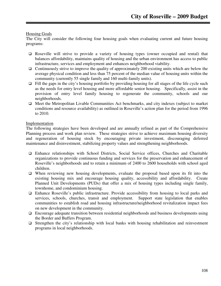## Housing Goals

The City will consider the following four housing goals when evaluating current and future housing programs:

- Roseville will strive to provide a variety of housing types (owner occupied and rental) that balances affordability, maintains quality of housing and the urban environment has access to public infrastructure, services and employment and enhances neighborhood viability.
- $\Box$  Continuously strive to improve the quality of approximately 200 existing units which are below the average physical condition and less than 75 percent of the median value of housing units within the community (currently 55 single family and 160 multi-family units).
- $\Box$  Fill the gaps in the city's housing portfolio by providing housing for all stages of the life cycle such as the needs for entry level housing and more affordable senior housing. Specifically, assist in the provision of entry level family housing to regenerate the community, schools and our neighborhoods.
- $\Box$  Meet the Metropolitan Livable Communities Act benchmarks, and city indexes (subject to market conditions and resource availability) as outlined in Roseville's action plan for the period from 1996 to 2010.

## Implementation

The following strategies have been developed and are annually refined as part of the Comprehensive Planning process and work plan review. These strategies strive to achieve maximum housing diversity and regeneration of housing stock by encouraging private investment, discouraging deferred maintenance and disinvestment, stabilizing property values and strengthening neighborhoods.

- Enhance relationships with School Districts, Social Service offices, Churches and Charitable organizations to provide continuous funding and services for the preservation and enhancement of Roseville's neighborhoods and to retain a minimum of 2400 to 2600 households with school aged children.
- $\Box$  When reviewing new housing developments, evaluate the proposal based upon its fit into the existing housing mix and encourage housing quality, accessibility and affordability. Create Planned Unit Developments (PUDs) that offer a mix of housing types including single family, townhome, and condominium housing.
- Enhance Roseville's public infrastructure. Provide accessibility from housing to local parks and services, schools, churches, transit and employment. Support state legislation that enables communities to establish road and housing infrastructure/neighborhood revitalization impact fees on new development in the community.
- $\Box$  Encourage adequate transition between residential neighborhoods and business developments using the Border and Buffers Program.
- $\Box$  Strengthen the city's relationship with local banks with housing rehabilitation and reinvestment programs in local neighborhoods.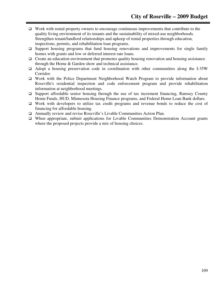- $\Box$  Work with rental property owners to encourage continuous improvements that contribute to the quality living environment of its tenants and the sustainability of mixed-use neighborhoods. Strengthen tenant/landlord relationships and upkeep of rental properties through education, inspections, permits, and rehabilitation loan programs.
- $\Box$  Support housing programs that fund housing renovations and improvements for single family homes with grants and low or deferred interest rate loans.
- $\Box$  Create an education environment that promotes quality housing renovation and housing assistance through the Home & Garden show and technical assistance.
- $\Box$  Adopt a housing preservation code in coordination with other communities along the I-35W Corridor.
- Work with the Police Department Neighborhood Watch Program to provide information about Roseville's residential inspection and code enforcement program and provide rehabilitation information at neighborhood meetings.
- $\Box$  Support affordable senior housing through the use of tax increment financing, Ramsey County Home Funds, HUD, Minnesota Housing Finance programs, and Federal Home Loan Bank dollars.
- Work with developers to utilize tax credit programs and revenue bonds to reduce the cost of financing for affordable housing.
- Annually review and revise Roseville's Livable Communities Action Plan.
- When appropriate, submit applications for Livable Communities Demonstration Account grants where the proposed projects provide a mix of housing choices.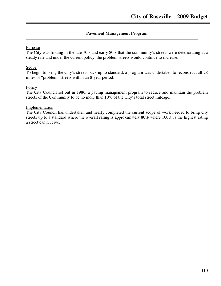## **Pavement Management Program**

## Purpose

The City was finding in the late 70's and early 80's that the community's streets were deteriorating at a steady rate and under the current policy, the problem streets would continue to increase.

#### **Scope**

To begin to bring the City's streets back up to standard, a program was undertaken to reconstruct all 28 miles of "problem" streets within an 8-year period.

## **Policy**

The City Council set out in 1986, a paving management program to reduce and maintain the problem streets of the Community to be no more than 10% of the City's total street mileage.

## Implementation

The City Council has undertaken and nearly completed the current scope of work needed to bring city streets up to a standard where the overall rating is approximately 80% where 100% is the highest rating a street can receive.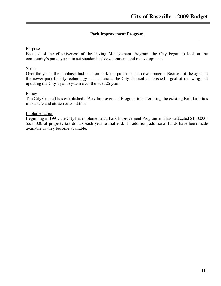## **Park Improvement Program**

## Purpose

Because of the effectiveness of the Paving Management Program, the City began to look at the community's park system to set standards of development, and redevelopment.

## Scope<sub>1</sub>

Over the years, the emphasis had been on parkland purchase and development. Because of the age and the newer park facility technology and materials, the City Council established a goal of renewing and updating the City's park system over the next 25 years.

## Policy

The City Council has established a Park Improvement Program to better bring the existing Park facilities into a safe and attractive condition.

## Implementation

Beginning in 1991, the City has implemented a Park Improvement Program and has dedicated \$150,000- \$250,000 of property tax dollars each year to that end. In addition, additional funds have been made available as they become available.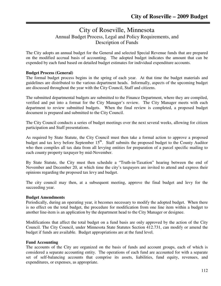# City of Roseville, Minnesota Annual Budget Process, Legal and Policy Requirements, and Description of Funds

The City adopts an annual budget for the General and selected Special Revenue funds that are prepared on the modified accrual basis of accounting. The adopted budget indicates the amount that can be expended by each fund based on detailed budget estimates for individual expenditure accounts.

## **Budget Process (General)**

The formal budget process begins in the spring of each year. At that time the budget materials and guidelines are distributed to the various department heads. Informally, aspects of the upcoming budget are discussed throughout the year with the City Council, Staff and citizens.

The submitted departmental budgets are submitted to the Finance Department, where they are compiled, verified and put into a format for the City Manager's review. The City Manager meets with each department to review submitted budgets. When the final review is completed, a proposed budget document is prepared and submitted to the City Council.

The City Council conducts a series of budget meetings over the next several weeks, allowing for citizen participation and Staff presentations.

As required by State Statute, the City Council must then take a formal action to approve a proposed budget and tax levy before September 15<sup>th</sup>. Staff submits the proposed budget to the County Auditor who then compiles all tax data from all levying entities for preparation of a parcel specific mailing to each county property taxpayer by mid-November.

By State Statute, the City must then schedule a "Truth-in-Taxation" hearing between the end of November and December 20, at which time the city's taxpayers are invited to attend and express their opinions regarding the proposed tax levy and budget.

The city council may then, at a subsequent meeting, approve the final budget and levy for the succeeding year.

## **Budget Amendments**

Periodically, during an operating year, it becomes necessary to modify the adopted budget. When there is no effect on the total budget, the procedure for modification from one line item within a budget to another line-item is an application by the department head to the City Manager or designee.

Modifications that affect the total budget on a fund basis are only approved by the action of the City Council. The City Council, under Minnesota State Statutes Section 412.731, can modify or amend the budget if funds are available. Budget appropriations are at the fund level.

## **Fund Accounting**

The accounts of the City are organized on the basis of funds and account groups, each of which is considered a separate accounting entity. The operations of each fund are accounted for with a separate set of self-balancing accounts that comprise its assets, liabilities, fund equity, revenues, and expenditures, or expenses, as appropriate.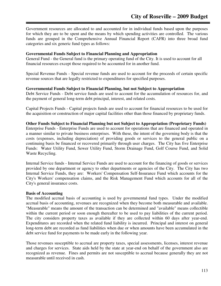Government resources are allocated to and accounted for in individual funds based upon the purposes for which they are to be spent and the means by which spending activities are controlled. The various funds are grouped in the Comprehensive Annual Financial Report (CAFR) into three broad fund categories and six generic fund types as follows:

### **Governmental Funds Subject to Financial Planning and Appropriation**

General Fund - the General fund is the primary operating fund of the City. It is used to account for all financial resources except those required to be accounted for in another fund.

Special Revenue Funds - Special revenue funds are used to account for the proceeds of certain specific revenue sources that are legally restricted to expenditures for specified purposes.

#### **Governmental Funds Subject to Financial Planning, but not Subject to Appropriation**

Debt Service Funds - Debt service funds are used to account for the accumulation of resources for, and the payment of general long-term debt principal, interest, and related costs.

Capital Projects Funds - Capital projects funds are used to account for financial resources to be used for the acquisition or construction of major capital facilities other than those financed by proprietary funds.

#### **Other Funds Subject to Financial Planning but not Subject to Appropriation (Proprietary Funds)**

Enterprise Funds - Enterprise Funds are used to account for operations that are financed and operated in a manner similar to private business enterprises. With these, the intent of the governing body is that the costs (expenses, including depreciation) of providing goods or services to the general public on a continuing basis be financed or recovered primarily through user charges. The City has five Enterprise Funds: Water Utility Fund, Sewer Utility Fund, Storm Drainage Fund, Golf Course Fund, and Solid Waste Recycling.

Internal Service funds - Internal Service Funds are used to account for the financing of goods or services provided by one department or agency to other departments or agencies of the City. The City has two Internal Service Funds, they are: Workers' Compensation Self-Insurance Fund which accounts for the City's Workers' compensation claims, and the Risk Management Fund which accounts for all of the City's general insurance costs.

#### **Basis of Accounting**

The modified accrual basis of accounting is used by governmental fund types. Under the modified accrual basis of accounting, revenues are recognized when they become both measurable and available. "Measurable" means the amount of the transaction can be determined and "available" means collectible within the current period or soon enough thereafter to be used to pay liabilities of the current period. The city considers property taxes as available if they are collected within 60 days after year-end. Expenditures are recorded when the related fund liability is incurred. Principal and interest on general long-term debt are recorded as fund liabilities when due or when amounts have been accumulated in the debt service fund for payments to be made early in the following year.

Those revenues susceptible to accrual are property taxes, special assessments, licenses, interest revenue and charges for services. State aids held by the state at year-end on behalf of the government also are recognized as revenue. Fines and permits are not susceptible to accrual because generally they are not measurable until received in cash.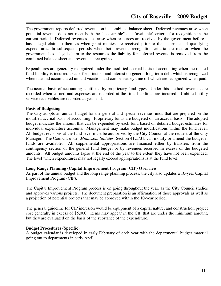The government reports deferred revenue on its combined balance sheet. Deferred revenues arise when potential revenue does not meet both the "measurable" and "available" criteria for recognition in the current period. Deferred revenues also arise when resources are received by the government before it has a legal claim to them as when grant monies are received prior to the incurrence of qualifying expenditures. In subsequent periods when both revenue recognition criteria are met or when the government has a legal claim to the resources the liability for deferred revenue is removed from the combined balance sheet and revenue is recognized.

Expenditures are generally recognized under the modified accrual basis of accounting when the related fund liability is incurred except for principal and interest on general long-term debt which is recognized when due and accumulated unpaid vacation and compensatory time off which are recognized when paid.

The accrual basis of accounting is utilized by proprietary fund types. Under this method, revenues are recorded when earned and expenses are recorded at the time liabilities are incurred. Unbilled utility service receivables are recorded at year-end.

## **Basis of Budgeting**

The City adopts an annual budget for the general and special revenue funds that are prepared on the modified accrual basis of accounting. Proprietary funds are budgeted on an accrual basis. The adopted budget indicates the amount that can be expended by each fund based on detailed budget estimates for individual expenditure accounts. Management may make budget modifications within the fund level. All budget revisions at the fund level must be authorized by the City Council at the request of the City Manager. The Council, under *Minnesota Statutes*, Section 412.731, can modify or amend the budget if funds are available. All supplemental appropriations are financed either by transfers from the contingency section of the general fund budget or by revenues received in excess of the budgeted amounts. All budget amounts lapse at the end of the year to the extent they have not been expended. The level which expenditures may not legally exceed appropriations is at the fund level.

## **Long Range Planning (Capital Improvement Program (CIP) Overview**

As part of the annual budget and the long range planning process, the city also updates a 10-year Capital Improvement Program (CIP).

The Capital Improvement Program process is on going throughout the year, as the City Council studies and approves various projects. The document preparation is an affirmation of those approvals as well as a projection of potential projects that may be approved within the 10-year period.

The general guideline for CIP inclusion would be equipment of a capital nature, and construction project cost generally in excess of \$5,000. Items may appear in the CIP that are under the minimum amount, but they are evaluated on the basis of the substance of the expenditure.

## **Budget Procedures (Specific)**

A budget calendar is developed in early February of each year with the departmental budget material going out to departments in early April.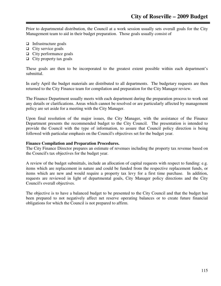Prior to departmental distribution, the Council at a work session usually sets overall goals for the City Management team to aid in their budget preparation. Those goals usually consist of

- $\Box$  Infrastructure goals
- $\Box$  City service goals
- $\Box$  City performance goals
- $\Box$  City property tax goals

These goals are then to be incorporated to the greatest extent possible within each department's submittal.

In early April the budget materials are distributed to all departments. The budgetary requests are then returned to the City Finance team for compilation and preparation for the City Manager review.

The Finance Department usually meets with each department during the preparation process to work out any details or clarifications. Areas which cannot be resolved or are particularly affected by management policy are set aside for a meeting with the City Manager.

Upon final resolution of the major issues, the City Manager, with the assistance of the Finance Department presents the recommended budget to the City Council. The presentation is intended to provide the Council with the type of information, to assure that Council policy direction is being followed with particular emphasis on the Council's objectives set for the budget year.

#### **Finance Compilation and Preparation Procedures.**

The City Finance Director prepares an estimate of revenues including the property tax revenue based on the Council's tax objectives for the budget year.

A review of the budget submittals, include an allocation of capital requests with respect to funding: e.g. items which are replacement in nature and could be funded from the respective replacement funds, or items which are new and would require a property tax levy for a first time purchase. In addition, requests are reviewed in light of departmental goals, City Manager policy directions and the City Council's overall objectives.

The objective is to have a balanced budget to be presented to the City Council and that the budget has been prepared to not negatively affect net reserve operating balances or to create future financial obligations for which the Council is not prepared to affirm.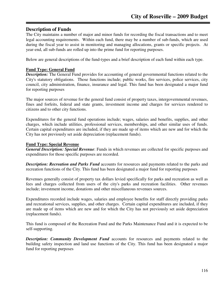## **Description of Funds**

The City maintains a number of major and minor funds for recording the fiscal transactions and to meet legal accounting requirements. Within each fund, there may be a number of sub-funds, which are used during the fiscal year to assist in monitoring and managing allocations, grants or specific projects. At year-end, all sub-funds are rolled up into the prime fund for reporting purposes.

Below are general descriptions of the fund-types and a brief description of each fund within each type.

## **Fund Type: General Fund**

*Description:* The General Fund provides for accounting of general governmental functions related to the City's statutory obligations. Those functions include; public works, fire services, police services, city council, city administration, finance, insurance and legal. This fund has been designated a major fund for reporting purposes

The major sources of revenue for the general fund consist of property taxes, intergovernmental revenues, fines and forfeits, federal and state grants, investment income and charges for services rendered to citizens and to other city functions.

Expenditures for the general fund operations include; wages, salaries and benefits, supplies, and other charges, which include utilities, professional services, memberships, and other similar uses of funds. Certain capital expenditures are included, if they are made up of items which are new and for which the City has not previously set aside depreciation (replacement funds).

## **Fund Type: Special Revenue**

*General Description: Special Revenue*: Funds in which revenues are collected for specific purposes and expenditures for those specific purposes are recorded.

*Description: Recreation and Parks Fund* accounts for resources and payments related to the parks and recreation functions of the City. This fund has been designated a major fund for reporting purposes

Revenues generally consist of property tax dollars levied specifically for parks and recreation as well as fees and charges collected from users of the city's parks and recreation facilities. Other revenues include; investment income, donations and other miscellaneous revenues sources.

Expenditures recorded include wages, salaries and employee benefits for staff directly providing parks and recreational services, supplies, and other charges. Certain capital expenditures are included, if they are made up of items which are new and for which the City has not previously set aside depreciation (replacement funds).

This fund is composed of the Recreation Fund and the Parks Maintenance Fund and it is expected to be self-supporting.

*Description: Community Development Fund* accounts for resources and payments related to the building safety inspection and land use functions of the City. This fund has been designated a major fund for reporting purposes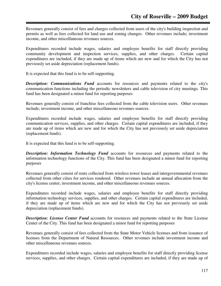Revenues generally consist of fees and charges collected from users of the city's building inspection and permits as well as fees collected for land use and zoning changes. Other revenues include; investment income, and other miscellaneous revenues sources.

Expenditures recorded include wages, salaries and employee benefits for staff directly providing community development and inspection services, supplies, and other charges. Certain capital expenditures are included, if they are made up of items which are new and for which the City has not previously set aside depreciation (replacement funds).

It is expected that this fund is to be self-supporting.

*Description: Communications Fund* accounts for resources and payments related to the city's communication functions including the periodic newsletters and cable television of city meetings. This fund has been designated a minor fund for reporting purposes

Revenues generally consist of franchise fees collected from the cable television users. Other revenues include; investment income, and other miscellaneous revenues sources.

Expenditures recorded include wages, salaries and employee benefits for staff directly providing communication services, supplies, and other charges. Certain capital expenditures are included, if they are made up of items which are new and for which the City has not previously set aside depreciation (replacement funds).

It is expected that this fund is to be self-supporting.

**Description: Information Technology Fund** accounts for resources and payments related to the information technology functions of the City. This fund has been designated a minor fund for reporting purposes

Revenues generally consist of rents collected from wireless tower leases and intergovernmental revenues collected from other cities for services rendered. Other revenues include an annual allocation from the city's license center, investment income, and other miscellaneous revenues sources.

Expenditures recorded include wages, salaries and employee benefits for staff directly providing information technology services, supplies, and other charges. Certain capital expenditures are included, if they are made up of items which are new and for which the City has not previously set aside depreciation (replacement funds).

*Description: License Center Fund* accounts for resources and payments related to the State License Center of the City. This fund has been designated a minor fund for reporting purposes

Revenues generally consist of fees collected from the State Motor Vehicle licenses and from issuance of licenses from the Department of Natural Resources. Other revenues include investment income and other miscellaneous revenues sources.

Expenditures recorded include wages, salaries and employee benefits for staff directly providing license services, supplies, and other charges. Certain capital expenditures are included, if they are made up of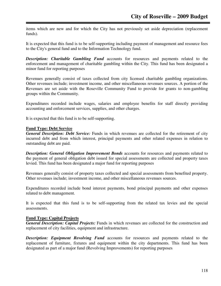items which are new and for which the City has not previously set aside depreciation (replacement funds).

It is expected that this fund is to be self-supporting including payment of management and resource fees to the City's general fund and to the Information Technology fund.

*Description: Charitable Gambling Fund* accounts for resources and payments related to the enforcement and management of charitable gambling within the City. This fund has been designated a minor fund for reporting purposes

Revenues generally consist of taxes collected from city licensed charitable gambling organizations. Other revenues include; investment income, and other miscellaneous revenues sources. A portion of the Revenues are set aside with the Roseville Community Fund to provide for grants to non-gambling groups within the Community.

Expenditures recorded include wages, salaries and employee benefits for staff directly providing accounting and enforcement services, supplies, and other charges.

It is expected that this fund is to be self-supporting.

#### **Fund Type: Debt Service**

*General Description: Debt Service:* Funds in which revenues are collected for the retirement of city incurred debt and from which interest, principal payments and other related expenses in relation to outstanding debt are paid.

*Description: General Obligation Improvement Bonds* accounts for resources and payments related to the payment of general obligation debt issued for special assessments are collected and property taxes levied. This fund has been designated a major fund for reporting purposes

Revenues generally consist of property taxes collected and special assessments from benefited property. Other revenues include; investment income, and other miscellaneous revenues sources.

Expenditures recorded include bond interest payments, bond principal payments and other expenses related to debt management.

It is expected that this fund is to be self-supporting from the related tax levies and the special assessments.

## **Fund Type: Capital Projects**

*General Description: Capital Projects:* Funds in which revenues are collected for the construction and replacement of city facilities, equipment and infrastructure.

*Description: Equipment Revolving Fund* accounts for resources and payments related to the replacement of furniture, fixtures and equipment within the city departments. This fund has been designated as part of a major fund (Revolving Improvements) for reporting purposes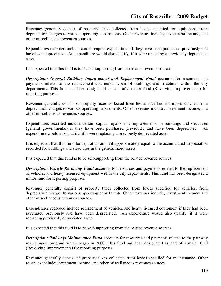Revenues generally consist of property taxes collected from levies specified for equipment, from depreciation charges to various operating departments. Other revenues include; investment income, and other miscellaneous revenues sources.

Expenditures recorded include certain capital expenditures if they have been purchased previously and have been depreciated. An expenditure would also qualify, if it were replacing a previously depreciated asset.

It is expected that this fund is to be self-supporting from the related revenue sources.

*Description: General Building Improvement and Replacement Fund accounts for resources and* payments related to the replacement and major repair of buildings and structures within the city departments. This fund has been designated as part of a major fund (Revolving Improvements) for reporting purposes

Revenues generally consist of property taxes collected from levies specified for improvements, from depreciation charges to various operating departments. Other revenues include; investment income, and other miscellaneous revenues sources.

Expenditures recorded include certain capital repairs and improvements on buildings and structures (general governmental) if they have been purchased previously and have been depreciated. An expenditure would also qualify, if it were replacing a previously depreciated asset.

It is expected that this fund be kept at an amount approximately equal to the accumulated depreciation recorded for buildings and structures in the general fixed assets.

It is expected that this fund is to be self-supporting from the related revenue sources.

*Description: Vehicle Revolving Fund* accounts for resources and payments related to the replacement of vehicles and heavy licensed equipment within the city departments. This fund has been designated a minor fund for reporting purposes

Revenues generally consist of property taxes collected from levies specified for vehicles, from depreciation charges to various operating departments. Other revenues include; investment income, and other miscellaneous revenues sources.

Expenditures recorded include replacement of vehicles and heavy licensed equipment if they had been purchased previously and have been depreciated. An expenditure would also qualify, if it were replacing previously depreciated asset.

It is expected that this fund is to be self-supporting from the related revenue sources.

**Description: Pathways Maintenance Fund** accounts for resources and payments related to the pathway maintenance program which began in 2000. This fund has been designated as part of a major fund (Revolving Improvements) for reporting purposes

Revenues generally consist of property taxes collected from levies specified for maintenance. Other revenues include; investment income, and other miscellaneous revenues sources.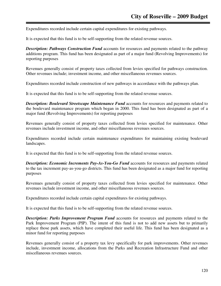Expenditures recorded include certain capital expenditures for existing pathways.

It is expected that this fund is to be self-supporting from the related revenue sources.

**Description: Pathways Construction Fund** accounts for resources and payments related to the pathway additions program. This fund has been designated as part of a major fund (Revolving Improvements) for reporting purposes

Revenues generally consist of property taxes collected from levies specified for pathways construction. Other revenues include; investment income, and other miscellaneous revenues sources.

Expenditures recorded include construction of new pathways in accordance with the pathways plan.

It is expected that this fund is to be self-supporting from the related revenue sources.

*Description: Boulevard Streetscape Maintenance Fund* accounts for resources and payments related to the boulevard maintenance program which began in 2000. This fund has been designated as part of a major fund (Revolving Improvements) for reporting purposes

Revenues generally consist of property taxes collected from levies specified for maintenance. Other revenues include investment income, and other miscellaneous revenues sources.

Expenditures recorded include certain maintenance expenditures for maintaining existing boulevard landscapes.

It is expected that this fund is to be self-supporting from the related revenue sources.

**Description: Economic Increments Pay-As-You-Go Fund** accounts for resources and payments related to the tax increment pay-as-you-go districts. This fund has been designated as a major fund for reporting purposes

Revenues generally consist of property taxes collected from levies specified for maintenance. Other revenues include investment income, and other miscellaneous revenues sources.

Expenditures recorded include certain capital expenditures for existing pathways.

It is expected that this fund is to be self-supporting from the related revenue sources.

*Description: Parks Improvement Program Fund* accounts for resources and payments related to the Park Improvement Program (PIP). The intent of this fund is not to add new assets but to primarily replace those park assets, which have completed their useful life. This fund has been designated as a minor fund for reporting purposes

Revenues generally consist of a property tax levy specifically for park improvements. Other revenues include, investment income, allocations from the Parks and Recreation Infrastructure Fund and other miscellaneous revenues sources.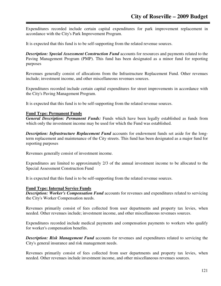Expenditures recorded include certain capital expenditures for park improvement replacement in accordance with the City's Park Improvement Program.

It is expected that this fund is to be self-supporting from the related revenue sources.

*Description: Special Assessment Construction Fund* accounts for resources and payments related to the Paving Management Program (PMP). This fund has been designated as a minor fund for reporting purposes

Revenues generally consist of allocations from the Infrastructure Replacement Fund. Other revenues include; investment income, and other miscellaneous revenues sources.

Expenditures recorded include certain capital expenditures for street improvements in accordance with the City's Paving Management Program.

It is expected that this fund is to be self-supporting from the related revenue sources.

#### **Fund Type: Permanent Funds**

*General Description: Permanent Funds:* Funds which have been legally established as funds from which only the investment income may be used for which the Fund was established.

*Description: Infrastructure Replacement Fund* accounts for endowment funds set aside for the longterm replacement and maintenance of the City streets. This fund has been designated as a major fund for reporting purposes

Revenues generally consist of investment income.

Expenditures are limited to approximately 2/3 of the annual investment income to be allocated to the Special Assessment Construction Fund

It is expected that this fund is to be self-supporting from the related revenue sources.

#### **Fund Type: Internal Service Funds**

*Description: Worker's Compensation Fund* accounts for revenues and expenditures related to servicing the City's Worker Compensation needs.

Revenues primarily consist of fees collected from user departments and property tax levies, when needed. Other revenues include; investment income, and other miscellaneous revenues sources.

Expenditures recorded include medical payments and compensation payments to workers who qualify for worker's compensation benefits.

*Description: Risk Management Fund* accounts for revenues and expenditures related to servicing the City's general insurance and risk management needs.

Revenues primarily consist of fees collected from user departments and property tax levies, when needed. Other revenues include investment income, and other miscellaneous revenues sources.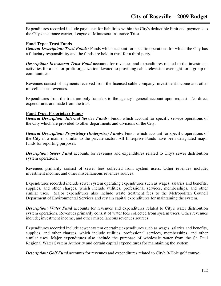Expenditures recorded include payments for liabilities within the City's deductible limit and payments to the City's insurance carrier, League of Minnesota Insurance Trust.

## **Fund Type: Trust Funds**

*General Description: Trust Funds:* Funds which account for specific operations for which the City has a fiduciary responsibility and the funds are held in trust for a third party.

*Description: Investment Trust Fund* accounts for revenues and expenditures related to the investment activities for a not-for-profit organization devoted to providing cable television oversight for a group of communities.

Revenues consist of payments received from the licensed cable company, investment income and other miscellaneous revenues.

Expenditures from the trust are only transfers to the agency's general account upon request. No direct expenditures are made from the trust.

## **Fund Type: Proprietary Funds**

*General Description: Internal Service Funds:* Funds which account for specific service operations of the City which are provided to other departments and divisions of the City.

*General Description: Proprietary (Enterprise) Funds:* Funds which account for specific operations of the City in a manner similar to the private sector. All Enterprise Funds have been designated major funds for reporting purposes.

*Description: Sewer Fund* accounts for revenues and expenditures related to City's sewer distribution system operations.

Revenues primarily consist of sewer fees collected from system users. Other revenues include; investment income, and other miscellaneous revenues sources.

Expenditures recorded include sewer system operating expenditures such as wages, salaries and benefits, supplies, and other charges, which include utilities, professional services, memberships, and other similar uses. Major expenditures also include waste treatment fees to the Metropolitan Council Department of Environmental Services and certain capital expenditures for maintaining the system.

**Description: Water Fund** accounts for revenues and expenditures related to City's water distribution system operations. Revenues primarily consist of water fees collected from system users. Other revenues include; investment income, and other miscellaneous revenues sources.

Expenditures recorded include sewer system operating expenditures such as wages, salaries and benefits, supplies, and other charges, which include utilities, professional services, memberships, and other similar uses. Major expenditures also include the purchase of wholesale water from the St. Paul Regional Water System Authority and certain capital expenditures for maintaining the system.

*Description: Golf Fund* accounts for revenues and expenditures related to City's 9-Hole golf course.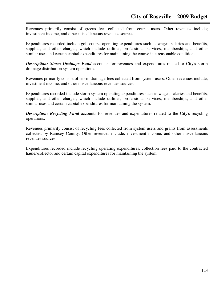Revenues primarily consist of greens fees collected from course users. Other revenues include; investment income, and other miscellaneous revenues sources.

Expenditures recorded include golf course operating expenditures such as wages, salaries and benefits, supplies, and other charges, which include utilities, professional services, memberships, and other similar uses and certain capital expenditures for maintaining the course in a reasonable condition.

*Description: Storm Drainage Fund* accounts for revenues and expenditures related to City's storm drainage distribution system operations.

Revenues primarily consist of storm drainage fees collected from system users. Other revenues include; investment income, and other miscellaneous revenues sources.

Expenditures recorded include storm system operating expenditures such as wages, salaries and benefits, supplies, and other charges, which include utilities, professional services, memberships, and other similar uses and certain capital expenditures for maintaining the system.

*Description: Recycling Fund* accounts for revenues and expenditures related to the City's recycling operations.

Revenues primarily consist of recycling fees collected from system users and grants from assessments collected by Ramsey County. Other revenues include; investment income, and other miscellaneous revenues sources.

Expenditures recorded include recycling operating expenditures, collection fees paid to the contracted hauler\collector and certain capital expenditures for maintaining the system.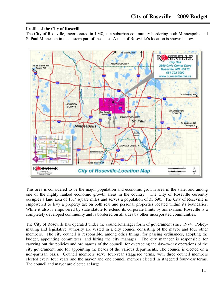## **Profile of the City of Roseville**

The City of Roseville, incorporated in 1948, is a suburban community bordering both Minneapolis and St Paul Minnesota in the eastern part of the state. A map of Roseville's location is shown below.



This area is considered to be the major population and economic growth area in the state, and among one of the highly ranked economic growth areas in the country. The City of Roseville currently occupies a land area of 13.7 square miles and serves a population of 33,690. The City of Roseville is empowered to levy a property tax on both real and personal properties located within its boundaries. While it also is empowered by state statute to extend its corporate limits by annexation, Roseville is a completely developed community and is bordered on all sides by other incorporated communities.

The City of Roseville has operated under the council-manager form of government since 1974. Policymaking and legislative authority are vested in a city council consisting of the mayor and four other members. The city council is responsible, among other things, for passing ordinances, adopting the budget, appointing committees, and hiring the city manager. The city manager is responsible for carrying out the policies and ordinances of the council, for overseeing the day-to-day operations of the city government, and for appointing the heads of the various departments. The council is elected on a non-partisan basis. Council members serve four-year staggered terms, with three council members elected every four years and the mayor and one council member elected in staggered four-year terms. The council and mayor are elected at large.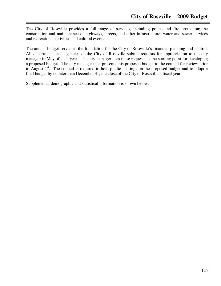The City of Roseville provides a full range of services, including police and fire protection; the construction and maintenance of highways, streets, and other infrastructure; water and sewer services and recreational activities and cultural events.

The annual budget serves as the foundation for the City of Roseville's financial planning and control. All departments and agencies of the City of Roseville submit requests for appropriation to the city manager in May of each year. The city manager uses these requests as the starting point for developing a proposed budget. The city manager then presents this proposed budget to the council for review prior to August 1<sup>st</sup>. The council is required to hold public hearings on the proposed budget and to adopt a final budget by no later than December 31, the close of the City of Roseville's fiscal year.

Supplemental demographic and statistical information is shown below.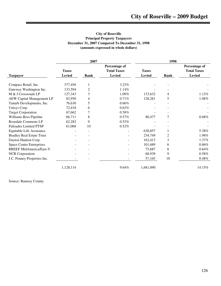#### **City of Roseville Principal Property Taxpayers December 31, 2007 Compared To December 31, 1998 (amounts expressed in whole dollars)**

|                                  |               | 2007 |                                     | 1998          |                |                                     |  |
|----------------------------------|---------------|------|-------------------------------------|---------------|----------------|-------------------------------------|--|
|                                  | <b>Taxes</b>  |      | Percentage of<br><b>Total Taxes</b> | <b>Taxes</b>  |                | Percentage of<br><b>Total Taxes</b> |  |
| <b>Taxpayer</b>                  | <b>Levied</b> | Rank | <b>Levied</b>                       | <b>Levied</b> | Rank           | <b>Levied</b>                       |  |
| Compass Retail, Inc.             | 377,456       |      | 3.23%                               |               |                |                                     |  |
| Gateway Washington Inc.          | 133,594       | 2    | 1.14%                               |               |                |                                     |  |
| M & J Crossroads LP              | 127,343       | 3    | 1.09%                               | 133,632       | 4              | 1.12%                               |  |
| <b>AEW Capital Management LP</b> | 82,950        | 4    | 0.71%                               | 128,281       | 5              | $1.08\%$                            |  |
| Tanurb Developments, Inc.        | 76,630        | 5    | 0.66%                               |               |                |                                     |  |
| Unisys Corp.                     | 72,418        | 6    | 0.62%                               |               |                |                                     |  |
| <b>Target Corporation</b>        | 67,662        |      | 0.58%                               |               |                |                                     |  |
| Williams Bros Pipeline           | 66,711        | 8    | $0.57\%$                            | 80,477        | 7              | 0.68%                               |  |
| Rosedale Commons LP              | 62,282        | 9    | 0.53%                               |               |                |                                     |  |
| Palisades Limited PTSP           | 61,068        | 10   | 0.52%                               |               |                |                                     |  |
| Equitable Life Assurance         |               |      |                                     | 638,857       |                | 5.38%                               |  |
| <b>Bradley Real Estate Trust</b> |               |      |                                     | 234,749       | $\overline{2}$ | 1.98%                               |  |
| Dayton Hudson Corp.              |               |      |                                     | 162,413       | 3              | $1.37\%$                            |  |
| <b>Space Center Enterprises</b>  |               |      |                                     | 101,689       | 6              | 0.86%                               |  |
| RREEF MidAmerica/East-V          |               |      |                                     | 75,687        | 8              | 0.64%                               |  |
| <b>NCR</b> Corporation           |               |      |                                     | 68,939        | 9              | 0.58%                               |  |
| J.C. Penney Properties Inc.      |               |      |                                     | 57,165        | 10             | $0.48\%$                            |  |
|                                  | 1,128,114     |      | 9.64%                               | 1,681,890     |                | 14.15%                              |  |

Source: Ramsey County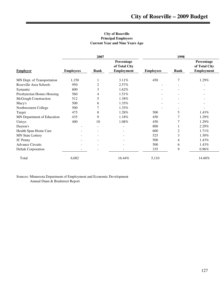### **City of Roseville Principal Employers Current Year and Nine Years Ago**

|                            |                          | 2007                     |                             | 1998             |      |                             |  |
|----------------------------|--------------------------|--------------------------|-----------------------------|------------------|------|-----------------------------|--|
|                            |                          |                          | Percentage<br>of Total City |                  |      | Percentage<br>of Total City |  |
| <b>Employer</b>            | <b>Employees</b>         | Rank                     | <b>Employment</b>           | <b>Employees</b> | Rank | <b>Employment</b>           |  |
| MN Dept. of Transportation | 1,150                    | 1                        | 3.11%                       | 450              | 7    | 1.29%                       |  |
| Roseville Area Schools     | 950                      | $\mathbf{2}$             | $2.57\%$                    |                  |      |                             |  |
| Symantic                   | 600                      | 3                        | 1.62%                       |                  | ۰    | $\overline{\phantom{0}}$    |  |
| Presbyterian Homes Housing | 560                      | 4                        | 1.51%                       |                  |      |                             |  |
| McGough Construction       | 512                      | 5                        | 1.38%                       |                  |      |                             |  |
| Macy's                     | 500                      | 6                        | 1.35%                       |                  |      |                             |  |
| Northwestern College       | 500                      | 7                        | 1.35%                       |                  |      |                             |  |
| Target                     | 475                      | $\,8\,$                  | 1.28%                       | 500              | 5    | 1.43%                       |  |
| MN Department of Education | 435                      | 9                        | 1.18%                       | 450              | 7    | 1.29%                       |  |
| Unisys                     | 400                      | 10                       | 1.08%                       | 450              |      | 1.29%                       |  |
| Dayton's                   |                          | $\overline{\phantom{a}}$ |                             | 800              |      | 2.29%                       |  |
| Health Span Home Care      |                          |                          |                             | 600              | 2    | 1.71%                       |  |
| <b>MN State Lottery</b>    |                          |                          |                             | 525              | 3    | 1.50%                       |  |
| JC Penny                   |                          |                          |                             | 500              | 4    | 1.43%                       |  |
| <b>Advance Circuits</b>    |                          |                          |                             | 500              | 6    | 1.43%                       |  |
| Deltak Corporation         | $\overline{\phantom{0}}$ |                          | $\overline{\phantom{0}}$    | 335              | 9    | $0.96\%$                    |  |
| Total                      | 6,082                    |                          | 16.44%                      | 5,110            |      | 14.60%                      |  |

Sources: Minnesota Department of Employment and Economic Development Annual Dunn & Bradstreet Report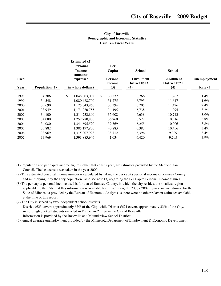#### **City of Roseville Demographic and Economic Statistics Last Ten Fiscal Years**

|                | <b>Estimated</b> (2)<br><b>Personal</b> |                   | Per                       |                                    |                                    |              |
|----------------|-----------------------------------------|-------------------|---------------------------|------------------------------------|------------------------------------|--------------|
|                | <b>Income</b><br>(amounts               |                   | Capita                    | <b>School</b>                      | <b>School</b>                      |              |
|                | expressed                               |                   | <b>Personal</b><br>income | <b>Enrollment</b><br>District #623 | <b>Enrollment</b><br>District #621 | Unemployment |
| Population (1) |                                         |                   | (3)                       | (4)                                | (4)                                | Rate $(5)$   |
| 34,306         | \$<br>1,048,803,032                     | \$                | 30,572                    | 6,766                              | 11,767                             | 1.4%         |
| 34,548         | 1,080,488,700                           |                   | 31,275                    | 6,795                              | 11,617                             | $1.6\%$      |
| 33,690         | 1,125,043,860                           |                   | 33,394                    | 6,705                              | 11,426                             | $2.4\%$      |
| 33,949         | 1,171,070,755                           |                   | 34,495                    | 6,738                              | 11,095                             | $3.2\%$      |
| 34,100         | 1,214,232,800                           |                   | 35,608                    | 6,638                              | 10,742                             | $3.9\%$      |
| 34,080         | 1,252,780,800                           |                   | 36,760                    | 6,522                              | 10,316                             | $3.8\%$      |
| 34,080         | 1,341,695,520                           |                   | 39,369                    | 6,255                              | 10,006                             | $3.8\%$      |
| 33,882         | 1,385,197,806                           |                   | 40,883                    | 6,383                              | 10,456                             | $3.4\%$      |
| 33,969         | 1,315,007,928                           |                   | 38,712                    | 6,396                              | 9,929                              | $3.4\%$      |
| 33,969         | 1,393,883,946                           |                   | 41,034                    | 6,420                              | 9,705                              | $3.9\%$      |
|                |                                         | in whole dollars) |                           |                                    |                                    |              |

- (1) Population and per capita income figures, other that census year, are estimates provided by the Metropolitan Council. The last census was taken in the year 2000.
- (2) This estimated personal income number is calculated by taking the per capita personal income of Ramsey County and multiplying it by the City population. Also see note (3) regarding the Per Capita Personal Income figures.
- (3) The per capita personal income used is for that of Ramsey County, in which the city resides, the smallest region applicable to the City that this information is available for. In addition, the 2006 - 2007 figures are an estimate for the State of Minnesota provided by the Bureau of Economic Analysis as there were no other relavent estimates available at the time of this report.
- (4) The City is served by two independent school districts.

 District #623 covers approximately 67% of the City, while District #621 covers approximately 33% of the City. Accordingly, not all students enrolled in District #621 live in the City of Roseville. Information is provided by the Roseville and Moundsview School Districts.

(5) Annual average unemployment provided by the Minnesota Department of Employment & Economic Development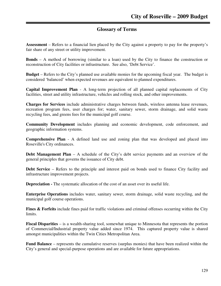## **Glossary of Terms**

**Assessment** – Refers to a financial lien placed by the City against a property to pay for the property's fair share of any street or utility improvement.

**Bonds** – A method of borrowing (similar to a loan) used by the City to finance the construction or reconstruction of City facilities or infrastructure. See also, 'Debt Service'.

**Budget** – Refers to the City's planned use available monies for the upcoming fiscal year. The budget is considered 'balanced' when expected revenues are equivalent to planned expenditures.

**Capital Improvement Plan** - A long-term projection of all planned capital replacements of City facilities, street and utility infrastructure, vehicles and rolling stock, and other improvements.

**Charges for Services** include administrative charges between funds, wireless antenna lease revenues, recreation program fees, user charges for; water, sanitary sewer, storm drainage, and solid waste recycling fees, and greens fees for the municipal golf course.

**Community Development** includes planning and economic development, code enforcement, and geographic information systems.

**Comprehensive Plan** - A defined land use and zoning plan that was developed and placed into Roseville's City ordinances.

**Debt Management Plan** – A schedule of the City's debt service payments and an overview of the general principles that governs the issuance of City debt.

**Debt Service** – Refers to the principle and interest paid on bonds used to finance City facility and infrastructure improvement projects.

**Depreciation -** The systematic allocation of the cost of an asset over its useful life.

**Enterprise Operations** includes water, sanitary sewer, storm drainage, solid waste recycling, and the municipal golf course operations.

**Fines & Forfeits** include fines paid for traffic violations and criminal offenses occurring within the City limits.

**Fiscal Disparities** – is a wealth-sharing tool, somewhat unique to Minnesota that represents the portion of Commercial/Industrial property value added since 1974. This captured property value is shared amongst municipalities within the Twin Cities Metropolitan Area.

**Fund Balance** – represents the cumulative reserves (surplus monies) that have been realized within the City's general and special-purpose operations and are available for future appropriations.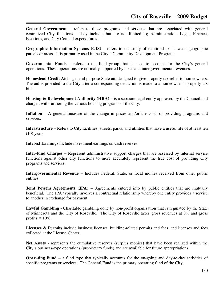**General Government** – refers to those programs and services that are associated with general centralized City functions. They include, but are not limited to; Administration, Legal, Finance, Elections, and City Council expenditures.

**Geographic Information Systems (GIS)** – refers to the study of relationships between geographic parcels or areas. It is primarily used in the City's Community Development Program.

**Governmental Funds** – refers to the fund group that is used to account for the City's general operations. These operations are normally supported by taxes and intergovernmental revenues.

**Homestead Credit Aid** – general purpose State aid designed to give property tax relief to homeowners. The aid is provided to the City after a corresponding deduction is made to a homeowner's property tax bill.

**Housing & Redevelopment Authority (HRA)** – is a separate legal entity approved by the Council and charged with furthering the various housing programs of the City.

**Inflation** – A general measure of the change in prices and/or the costs of providing programs and services.

**Infrastructure** – Refers to City facilities, streets, parks, and utilities that have a useful life of at least ten  $(10)$  years.

**Interest Earnings** include investment earnings on cash reserves.

**Inter-fund Charges** – Represent administrative support charges that are assessed by internal service functions against other city functions to more accurately represent the true cost of providing City programs and services.

**Intergovernmental Revenue** – Includes Federal, State, or local monies received from other public entities.

**Joint Powers Agreements (JPA)** – Agreements entered into by public entities that are mutually beneficial. The JPA typically involves a contractual relationship whereby one entity provides a service to another in exchange for payment.

**Lawful Gambling** - Charitable gambling done by non-profit organization that is regulated by the State of Minnesota and the City of Roseville. The City of Roseville taxes gross revenues at 3% and gross profits at 10%.

Licenses & Permits include business licenses, building-related permits and fees, and licenses and fees collected at the License Center.

**Net Assets** - represents the cumulative reserves (surplus monies) that have been realized within the City's business-type operations (proprietary funds) and are available for future appropriations.

**Operating Fund** – a fund type that typically accounts for the on-going and day-to-day activities of specific programs or services. The General Fund is the primary operating fund of the City.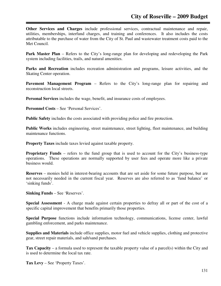**Other Services and Charges** include professional services, contractual maintenance and repair, utilities, memberships, interfund charges, and training and conferences. It also includes the costs attributable to the purchase of water from the City of St. Paul and wastewater treatment costs paid to the Met Council.

**Park Master Plan** – Refers to the City's long-range plan for developing and redeveloping the Park system including facilities, trails, and natural amenities.

Parks and Recreation includes recreation administration and programs, leisure activities, and the Skating Center operation.

**Pavement Management Program** – Refers to the City's long-range plan for repairing and reconstruction local streets.

**Personal Services** includes the wage, benefit, and insurance costs of employees.

**Personnel Costs** – See 'Personal Services'.

**Public Safety** includes the costs associated with providing police and fire protection.

**Public Works** includes engineering, street maintenance, street lighting, fleet maintenance, and building maintenance functions.

**Property Taxes** include taxes levied against taxable property.

**Proprietary Funds** – refers to the fund group that is used to account for the City's business-type operations. These operations are normally supported by user fees and operate more like a private business would.

**Reserves** – monies held in interest-bearing accounts that are set aside for some future purpose, but are not necessarily needed in the current fiscal year. Reserves are also referred to as 'fund balance' or 'sinking funds'.

**Sinking Funds** – See 'Reserves'.

**Special Assessment** - A charge made against certain properties to defray all or part of the cost of a specific capital improvement that benefits primarily those properties.

**Special Purpose** functions include information technology, communications, license center, lawful gambling enforcement, and parks maintenance.

**Supplies and Materials** include office supplies, motor fuel and vehicle supplies, clothing and protective gear, street repair materials, and salt/sand purchases.

**Tax Capacity** – a formula used to represent the taxable property value of a parcel(s) within the City and is used to determine the local tax rate.

**Tax Levy** – See 'Property Taxes'.